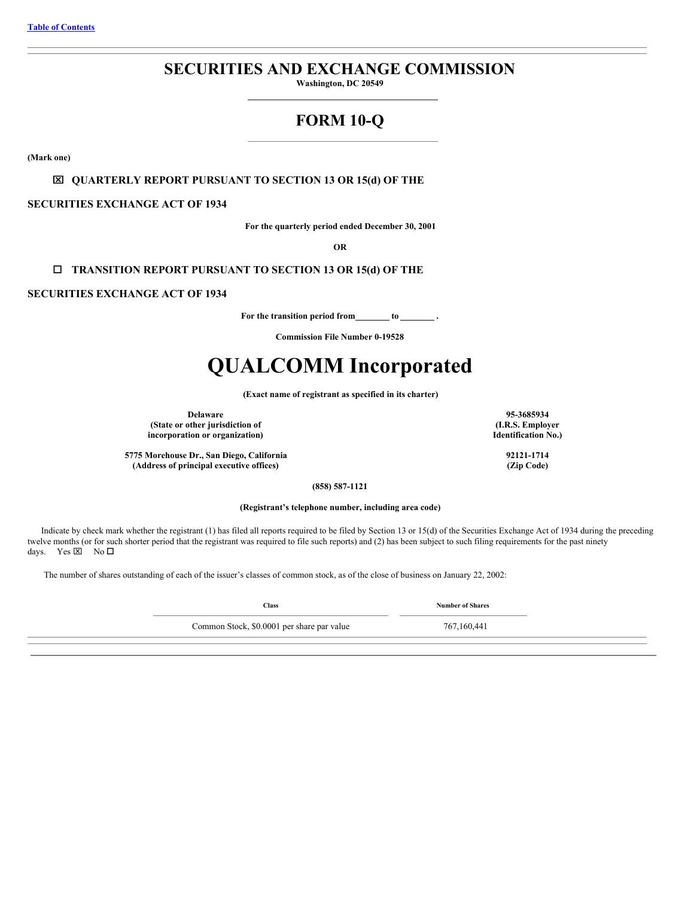# **SECURITIES AND EXCHANGE COMMISSION**

**Washington, DC 20549**

# **FORM 10-Q**

<span id="page-0-0"></span>**(Mark one)**

# x **QUARTERLY REPORT PURSUANT TO SECTION 13 OR 15(d) OF THE**

# **SECURITIES EXCHANGE ACT OF 1934**

**For the quarterly period ended December 30, 2001**

**OR**

# o **TRANSITION REPORT PURSUANT TO SECTION 13 OR 15(d) OF THE**

# **SECURITIES EXCHANGE ACT OF 1934**

For the transition period from \_\_\_\_\_\_\_\_ to \_\_\_\_\_\_\_\_\_.

**Commission File Number 0-19528**

# **QUALCOMM Incorporated**

**(Exact name of registrant as specified in its charter)**

**Delaware (State or other jurisdiction of incorporation or organization)**

**5775 Morehouse Dr., San Diego, California (Address of principal executive offices)**

**(858) 587-1121**

**(Registrant's telephone number, including area code)**

Indicate by check mark whether the registrant (1) has filed all reports required to be filed by Section 13 or 15(d) of the Securities Exchange Act of 1934 during the preceding twelve months (or for such shorter period that the registrant was required to file such reports) and (2) has been subject to such filing requirements for the past ninety days. Yes  $\times$  No  $\square$ 

The number of shares outstanding of each of the issuer's classes of common stock, as of the close of business on January 22, 2002:

| <b>Class</b>                               | <b>Number of Shares</b> |  |
|--------------------------------------------|-------------------------|--|
| Common Stock, \$0.0001 per share par value | 767,160,441             |  |
|                                            |                         |  |

**95-3685934 (I.R.S. Employer Identification No.)**

> **92121-1714 (Zip Code)**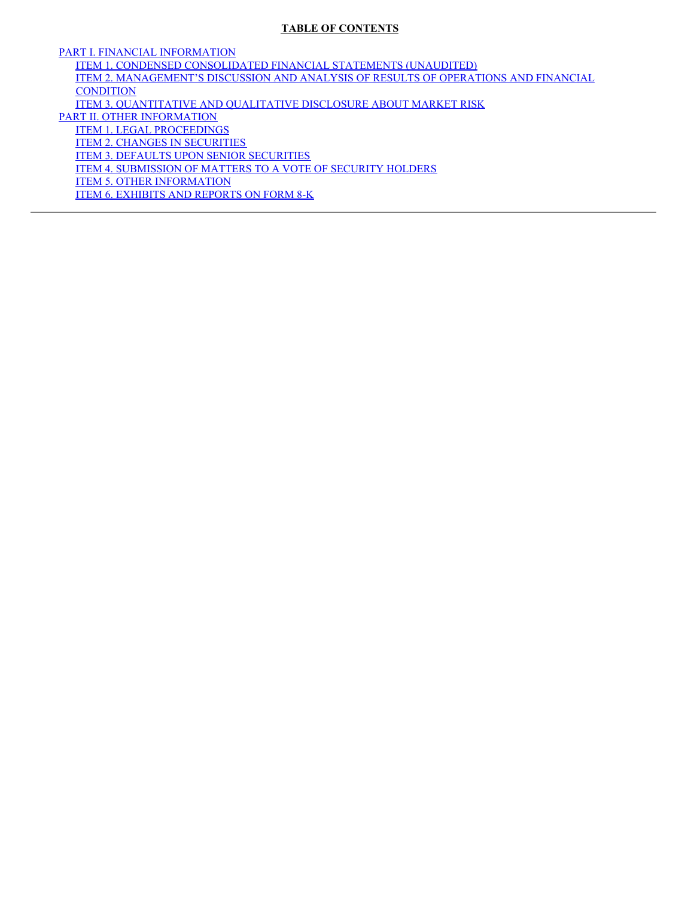# **TABLE OF CONTENTS**

PART I. FINANCIAL [INFORMATION](#page-3-0) ITEM 1. CONDENSED [CONSOLIDATED](#page-3-1) FINANCIAL STATEMENTS (UNAUDITED) ITEM 2. [MANAGEMENT'S](#page-19-0) DISCUSSION AND ANALYSIS OF RESULTS OF OPERATIONS AND FINANCIAL **CONDITION** ITEM 3. [QUANTITATIVE](#page-41-0) AND QUALITATIVE DISCLOSURE ABOUT MARKET RISK PART II. OTHER [INFORMATION](#page-42-0) ITEM 1. LEGAL [PROCEEDINGS](#page-42-1) ITEM 2. CHANGES IN [SECURITIES](#page-42-2) ITEM 3. DEFAULTS UPON SENIOR [SECURITIES](#page-42-3) ITEM 4. [SUBMISSION](#page-42-4) OF MATTERS TO A VOTE OF SECURITY HOLDERS ITEM 5. OTHER [INFORMATION](#page-42-5) ITEM 6. [EXHIBITS](#page-42-6) AND REPORTS ON FORM 8-K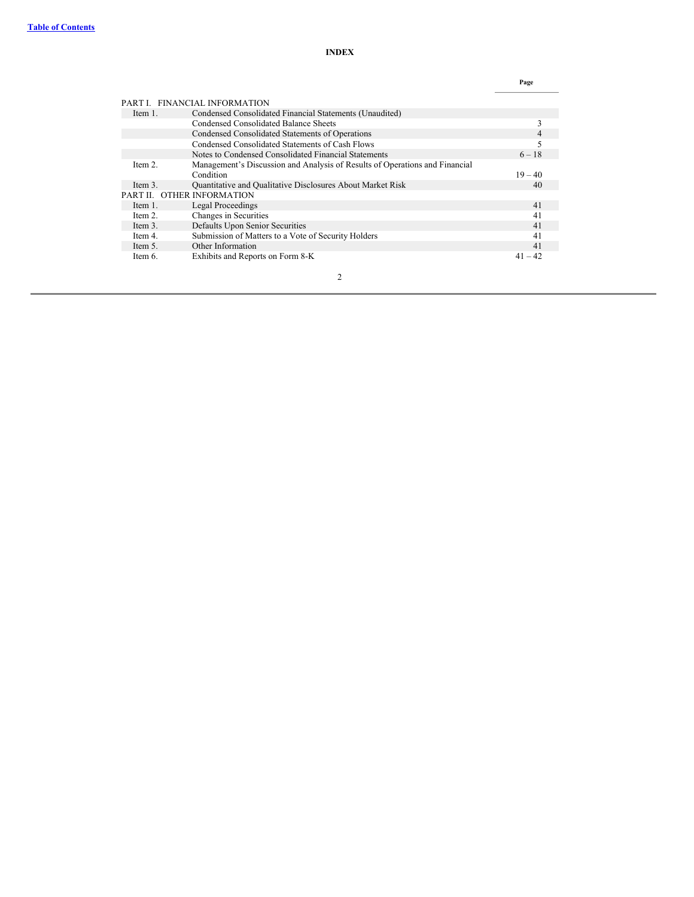# **INDEX**

|         |                                                                             | Page      |  |
|---------|-----------------------------------------------------------------------------|-----------|--|
|         | PART I. FINANCIAL INFORMATION                                               |           |  |
| Item 1. | Condensed Consolidated Financial Statements (Unaudited)                     |           |  |
|         | Condensed Consolidated Balance Sheets                                       | 3         |  |
|         | Condensed Consolidated Statements of Operations                             | 4         |  |
|         | Condensed Consolidated Statements of Cash Flows                             | 5         |  |
|         | Notes to Condensed Consolidated Financial Statements                        | $6 - 18$  |  |
| Item 2. | Management's Discussion and Analysis of Results of Operations and Financial |           |  |
|         | Condition                                                                   | $19 - 40$ |  |
| Item 3. | Quantitative and Qualitative Disclosures About Market Risk                  | 40        |  |
|         | PART II. OTHER INFORMATION                                                  |           |  |
| Item 1. | Legal Proceedings                                                           | 41        |  |
| Item 2. | Changes in Securities                                                       | 41        |  |
| Item 3. | Defaults Upon Senior Securities                                             | 41        |  |
| Item 4. | Submission of Matters to a Vote of Security Holders                         | 41        |  |
| Item 5. | Other Information                                                           | 41        |  |
| Item 6. | Exhibits and Reports on Form 8-K                                            | $41 - 42$ |  |
|         |                                                                             |           |  |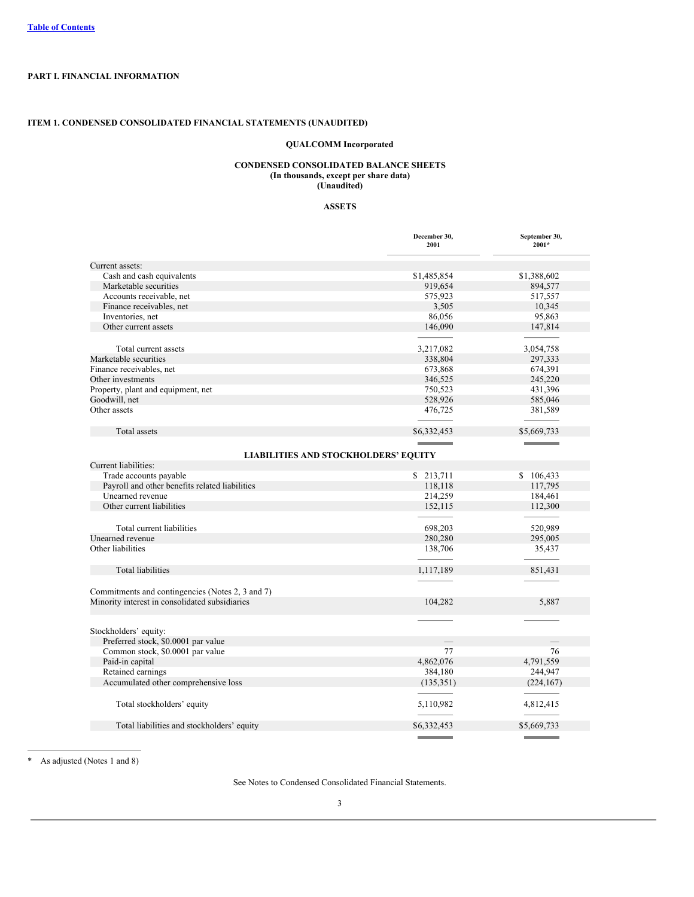# <span id="page-3-0"></span>**PART I. FINANCIAL INFORMATION**

# <span id="page-3-1"></span>**ITEM 1. CONDENSED CONSOLIDATED FINANCIAL STATEMENTS (UNAUDITED)**

# **QUALCOMM Incorporated**

# **CONDENSED CONSOLIDATED BALANCE SHEETS (In thousands, except per share data) (Unaudited)**

# **ASSETS**

|                                                  | December 30,<br>2001 | September 30,<br>$2001*$ |
|--------------------------------------------------|----------------------|--------------------------|
| Current assets:                                  |                      |                          |
| Cash and cash equivalents                        | \$1,485,854          | \$1,388,602              |
| Marketable securities                            | 919,654              | 894,577                  |
| Accounts receivable, net                         | 575,923              | 517,557                  |
| Finance receivables, net                         | 3,505                | 10,345                   |
| Inventories, net                                 | 86,056               | 95,863                   |
| Other current assets                             | 146,090              | 147,814                  |
| Total current assets                             | 3,217,082            | 3,054,758                |
| Marketable securities                            | 338,804              | 297,333                  |
| Finance receivables, net                         | 673,868              | 674,391                  |
| Other investments                                | 346,525              | 245,220                  |
| Property, plant and equipment, net               | 750,523              | 431,396                  |
| Goodwill, net                                    | 528,926              | 585,046                  |
| Other assets                                     | 476,725              | 381,589                  |
| Total assets                                     | \$6,332,453          | \$5,669,733              |
|                                                  |                      |                          |
| <b>LIABILITIES AND STOCKHOLDERS' EQUITY</b>      |                      |                          |
| Current liabilities:                             |                      |                          |
| Trade accounts payable                           | \$ 213,711           | \$106,433                |
| Payroll and other benefits related liabilities   | 118,118              | 117,795                  |
| Unearned revenue                                 | 214,259              | 184,461                  |
| Other current liabilities                        | 152,115              | 112,300                  |
|                                                  |                      |                          |
| Total current liabilities                        | 698,203              | 520,989                  |
| Unearned revenue                                 | 280,280              | 295,005                  |
| Other liabilities                                | 138,706              | 35,437                   |
|                                                  |                      |                          |
| <b>Total liabilities</b>                         | 1,117,189            | 851,431                  |
|                                                  |                      |                          |
| Commitments and contingencies (Notes 2, 3 and 7) |                      |                          |
| Minority interest in consolidated subsidiaries   | 104,282              | 5,887                    |
|                                                  |                      |                          |
| Stockholders' equity:                            |                      |                          |
| Preferred stock, \$0.0001 par value              |                      |                          |
| Common stock, \$0.0001 par value                 | 77                   | 76                       |
| Paid-in capital                                  | 4,862,076            | 4,791,559                |
| Retained earnings                                | 384,180              | 244,947                  |
| Accumulated other comprehensive loss             | (135, 351)           | (224, 167)               |
| Total stockholders' equity                       | 5,110,982            | 4,812,415                |
| Total liabilities and stockholders' equity       | \$6,332,453          | \$5,669,733              |

\* As adjusted (Notes 1 and 8)

See Notes to Condensed Consolidated Financial Statements.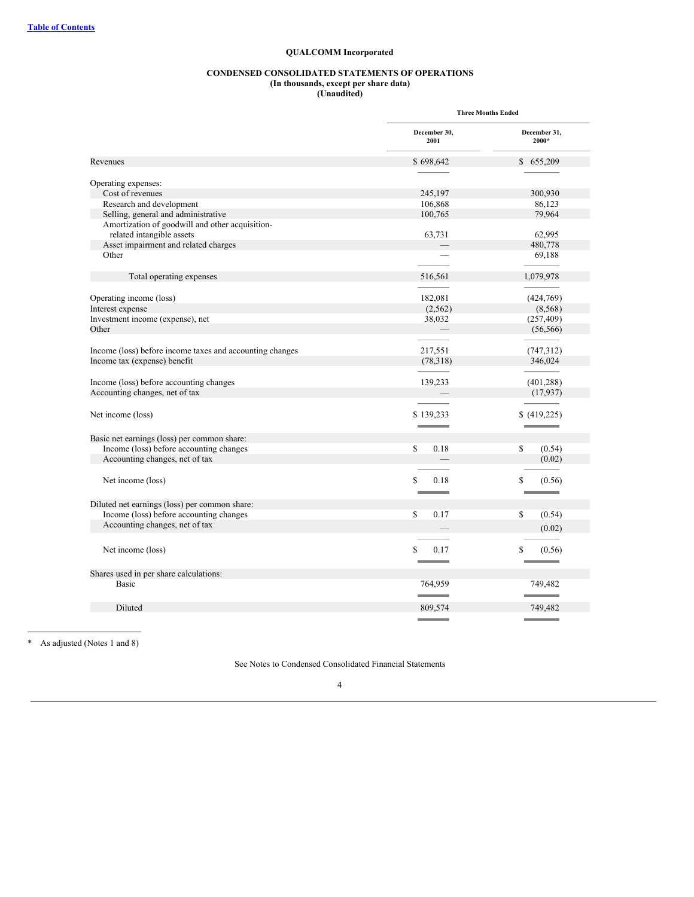# **QUALCOMM Incorporated**

### **CONDENSED CONSOLIDATED STATEMENTS OF OPERATIONS (In thousands, except per share data)**

**(Unaudited)**

|                                                          | <b>Three Months Ended</b> |                       |
|----------------------------------------------------------|---------------------------|-----------------------|
|                                                          | December 30,<br>2001      | December 31,<br>2000* |
| Revenues                                                 | \$698,642                 | \$655,209             |
|                                                          |                           |                       |
| Operating expenses:                                      |                           |                       |
| Cost of revenues                                         | 245,197                   | 300,930               |
| Research and development                                 | 106,868                   | 86,123                |
| Selling, general and administrative                      | 100,765                   | 79,964                |
| Amortization of goodwill and other acquisition-          |                           |                       |
| related intangible assets                                | 63,731                    | 62,995                |
| Asset impairment and related charges                     |                           | 480,778               |
| Other                                                    |                           | 69,188                |
|                                                          |                           |                       |
| Total operating expenses                                 | 516,561                   | 1,079,978             |
|                                                          |                           |                       |
| Operating income (loss)                                  | 182,081                   | (424,769)             |
| Interest expense                                         | (2,562)                   | (8,568)               |
| Investment income (expense), net                         | 38,032                    | (257, 409)            |
| Other                                                    |                           | (56, 566)             |
|                                                          |                           |                       |
| Income (loss) before income taxes and accounting changes | 217,551                   | (747,312)             |
| Income tax (expense) benefit                             | (78,318)                  | 346,024               |
|                                                          |                           |                       |
| Income (loss) before accounting changes                  | 139,233                   | (401, 288)            |
| Accounting changes, net of tax                           |                           | (17, 937)             |
|                                                          |                           |                       |
| Net income (loss)                                        | \$139,233                 | (419,225)             |
|                                                          |                           |                       |
|                                                          |                           |                       |
| Basic net earnings (loss) per common share:              |                           |                       |
| Income (loss) before accounting changes                  | S.<br>0.18                | \$<br>(0.54)          |
| Accounting changes, net of tax                           |                           | (0.02)                |
|                                                          |                           |                       |
| Net income (loss)                                        | S<br>0.18                 | \$<br>(0.56)          |
|                                                          |                           |                       |
| Diluted net earnings (loss) per common share:            |                           |                       |
| Income (loss) before accounting changes                  | S.<br>0.17                | \$<br>(0.54)          |
| Accounting changes, net of tax                           |                           |                       |
|                                                          |                           | (0.02)                |
|                                                          |                           |                       |
| Net income (loss)                                        | S<br>0.17                 | \$<br>(0.56)          |
|                                                          |                           |                       |
| Shares used in per share calculations:                   |                           |                       |
| Basic                                                    | 764,959                   | 749,482               |
|                                                          |                           |                       |
| Diluted                                                  |                           |                       |
|                                                          | 809,574                   | 749,482               |
|                                                          |                           |                       |

\* As adjusted (Notes 1 and 8)

See Notes to Condensed Consolidated Financial Statements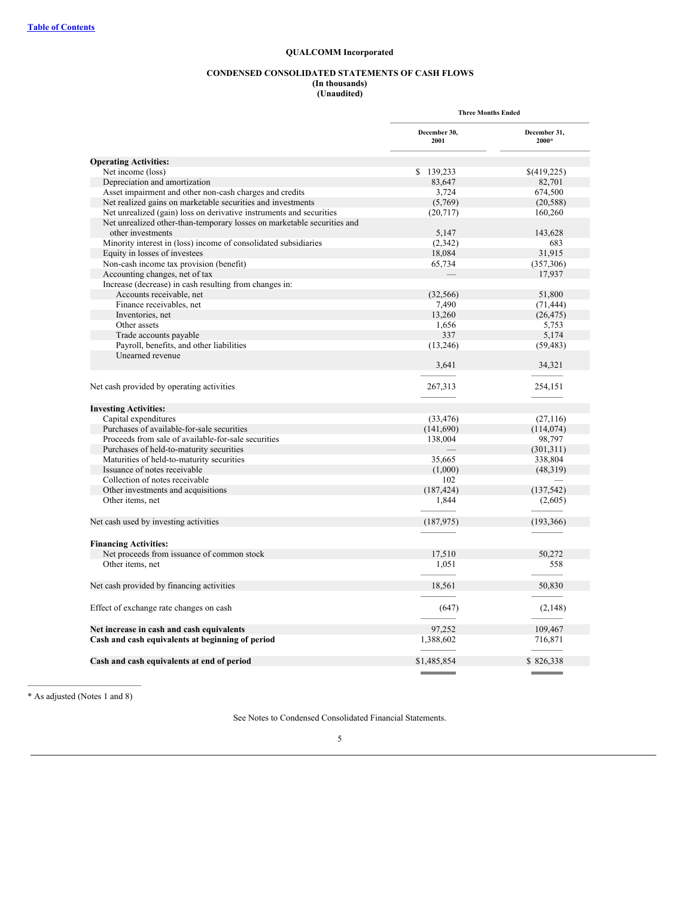# **QUALCOMM Incorporated**

# **CONDENSED CONSOLIDATED STATEMENTS OF CASH FLOWS**

#### **(In thousands) (Unaudited)**

|                                                                                              | <b>Three Months Ended</b> |                       |
|----------------------------------------------------------------------------------------------|---------------------------|-----------------------|
|                                                                                              | December 30,<br>2001      | December 31,<br>2000* |
| <b>Operating Activities:</b>                                                                 |                           |                       |
| Net income (loss)                                                                            | \$139,233                 | \$(419,225)           |
| Depreciation and amortization                                                                | 83,647                    | 82,701                |
| Asset impairment and other non-cash charges and credits                                      | 3,724                     | 674,500               |
| Net realized gains on marketable securities and investments                                  | (5,769)                   | (20, 588)             |
| Net unrealized (gain) loss on derivative instruments and securities                          | (20, 717)                 | 160,260               |
| Net unrealized other-than-temporary losses on marketable securities and<br>other investments |                           |                       |
|                                                                                              | 5,147                     | 143,628               |
| Minority interest in (loss) income of consolidated subsidiaries                              | (2,342)                   | 683                   |
| Equity in losses of investees                                                                | 18,084                    | 31,915                |
| Non-cash income tax provision (benefit)                                                      | 65,734                    | (357, 306)            |
| Accounting changes, net of tax                                                               |                           | 17,937                |
| Increase (decrease) in cash resulting from changes in:                                       |                           |                       |
| Accounts receivable, net                                                                     | (32, 566)                 | 51,800                |
| Finance receivables, net                                                                     | 7,490                     | (71, 444)             |
| Inventories, net                                                                             | 13,260                    | (26, 475)             |
| Other assets                                                                                 | 1,656                     | 5,753                 |
| Trade accounts payable                                                                       | 337                       | 5,174                 |
| Payroll, benefits, and other liabilities                                                     | (13,246)                  | (59, 483)             |
| Unearned revenue                                                                             | 3,641                     | 34,321                |
| Net cash provided by operating activities                                                    | 267,313                   | 254,151               |
| <b>Investing Activities:</b>                                                                 |                           |                       |
| Capital expenditures                                                                         | (33, 476)                 | (27, 116)             |
| Purchases of available-for-sale securities                                                   | (141,690)                 | (114, 074)            |
| Proceeds from sale of available-for-sale securities                                          | 138,004                   | 98,797                |
| Purchases of held-to-maturity securities                                                     |                           | (301, 311)            |
| Maturities of held-to-maturity securities                                                    | 35,665                    | 338,804               |
| Issuance of notes receivable                                                                 | (1,000)                   | (48,319)              |
| Collection of notes receivable                                                               | 102                       |                       |
| Other investments and acquisitions                                                           | (187, 424)                | (137, 542)            |
| Other items, net                                                                             | 1,844                     | (2,605)               |
|                                                                                              |                           |                       |
|                                                                                              |                           |                       |
| Net cash used by investing activities                                                        | (187, 975)                | (193, 366)            |
|                                                                                              |                           |                       |
| <b>Financing Activities:</b>                                                                 |                           |                       |
| Net proceeds from issuance of common stock                                                   | 17,510                    | 50,272                |
| Other items, net                                                                             | 1,051                     | 558                   |
| Net cash provided by financing activities                                                    | 18,561                    | 50,830                |
|                                                                                              |                           |                       |
| Effect of exchange rate changes on cash                                                      | (647)                     | (2,148)               |
| Net increase in cash and cash equivalents                                                    | 97,252                    | 109,467               |
| Cash and cash equivalents at beginning of period                                             | 1,388,602                 | 716,871               |
|                                                                                              |                           |                       |
| Cash and cash equivalents at end of period                                                   | \$1,485,854               | \$826,338             |

\* As adjusted (Notes 1 and 8)

See Notes to Condensed Consolidated Financial Statements.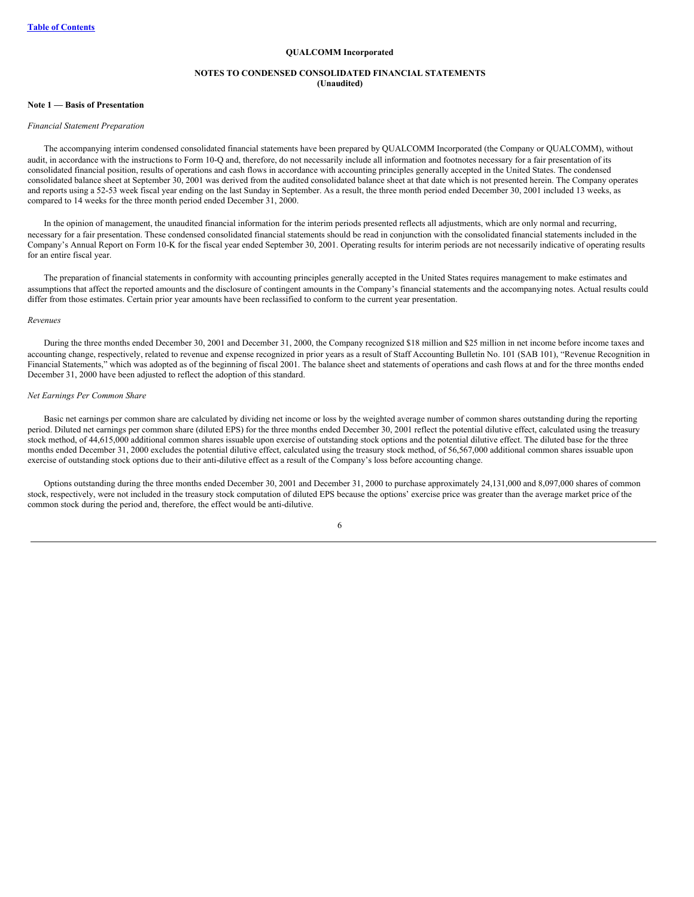#### **QUALCOMM Incorporated**

### **NOTES TO CONDENSED CONSOLIDATED FINANCIAL STATEMENTS (Unaudited)**

# **Note 1 — Basis of Presentation**

#### *Financial Statement Preparation*

The accompanying interim condensed consolidated financial statements have been prepared by QUALCOMM Incorporated (the Company or QUALCOMM), without audit, in accordance with the instructions to Form 10-Q and, therefore, do not necessarily include all information and footnotes necessary for a fair presentation of its consolidated financial position, results of operations and cash flows in accordance with accounting principles generally accepted in the United States. The condensed consolidated balance sheet at September 30, 2001 was derived from the audited consolidated balance sheet at that date which is not presented herein. The Company operates and reports using a 52-53 week fiscal year ending on the last Sunday in September. As a result, the three month period ended December 30, 2001 included 13 weeks, as compared to 14 weeks for the three month period ended December 31, 2000.

In the opinion of management, the unaudited financial information for the interim periods presented reflects all adjustments, which are only normal and recurring, necessary for a fair presentation. These condensed consolidated financial statements should be read in conjunction with the consolidated financial statements included in the Company's Annual Report on Form 10-K for the fiscal year ended September 30, 2001. Operating results for interim periods are not necessarily indicative of operating results for an entire fiscal year.

The preparation of financial statements in conformity with accounting principles generally accepted in the United States requires management to make estimates and assumptions that affect the reported amounts and the disclosure of contingent amounts in the Company's financial statements and the accompanying notes. Actual results could differ from those estimates. Certain prior year amounts have been reclassified to conform to the current year presentation.

#### *Revenues*

During the three months ended December 30, 2001 and December 31, 2000, the Company recognized \$18 million and \$25 million in net income before income taxes and accounting change, respectively, related to revenue and expense recognized in prior years as a result of Staff Accounting Bulletin No. 101 (SAB 101), "Revenue Recognition in Financial Statements," which was adopted as of the beginning of fiscal 2001. The balance sheet and statements of operations and cash flows at and for the three months ended December 31, 2000 have been adjusted to reflect the adoption of this standard.

#### *Net Earnings Per Common Share*

Basic net earnings per common share are calculated by dividing net income or loss by the weighted average number of common shares outstanding during the reporting period. Diluted net earnings per common share (diluted EPS) for the three months ended December 30, 2001 reflect the potential dilutive effect, calculated using the treasury stock method, of 44,615,000 additional common shares issuable upon exercise of outstanding stock options and the potential dilutive effect. The diluted base for the three months ended December 31, 2000 excludes the potential dilutive effect, calculated using the treasury stock method, of 56,567,000 additional common shares issuable upon exercise of outstanding stock options due to their anti-dilutive effect as a result of the Company's loss before accounting change.

Options outstanding during the three months ended December 30, 2001 and December 31, 2000 to purchase approximately 24,131,000 and 8,097,000 shares of common stock, respectively, were not included in the treasury stock computation of diluted EPS because the options' exercise price was greater than the average market price of the common stock during the period and, therefore, the effect would be anti-dilutive.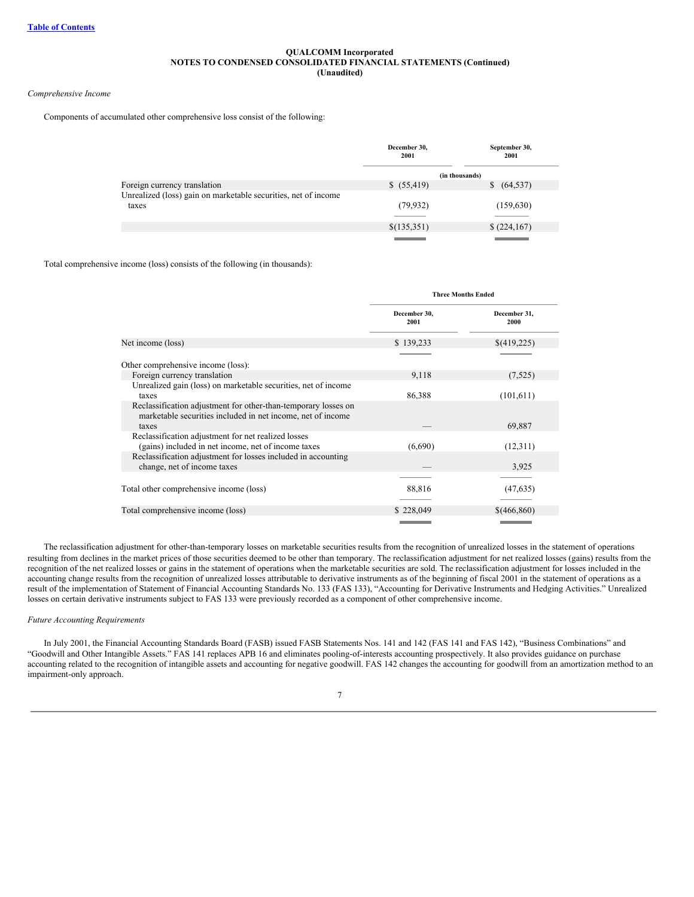#### *Comprehensive Income*

Components of accumulated other comprehensive loss consist of the following:

|                                                                | December 30,<br>2001 | September 30,<br>2001 |
|----------------------------------------------------------------|----------------------|-----------------------|
|                                                                |                      | (in thousands)        |
| Foreign currency translation                                   | \$(55, 419)          | (64, 537)             |
| Unrealized (loss) gain on marketable securities, net of income |                      |                       |
| taxes                                                          | (79, 932)            | (159, 630)            |
|                                                                |                      |                       |
|                                                                | \$(135,351)          | \$(224,167)           |
|                                                                |                      |                       |

# Total comprehensive income (loss) consists of the following (in thousands):

|                                                                                                                                        | <b>Three Months Ended</b> |                      |
|----------------------------------------------------------------------------------------------------------------------------------------|---------------------------|----------------------|
|                                                                                                                                        | December 30,<br>2001      | December 31,<br>2000 |
| Net income (loss)                                                                                                                      | \$139,233                 | \$(419,225)          |
| Other comprehensive income (loss):                                                                                                     |                           |                      |
| Foreign currency translation                                                                                                           | 9,118                     | (7,525)              |
| Unrealized gain (loss) on marketable securities, net of income<br>taxes                                                                | 86,388                    | (101,611)            |
| Reclassification adjustment for other-than-temporary losses on<br>marketable securities included in net income, net of income<br>taxes |                           | 69,887               |
| Reclassification adjustment for net realized losses<br>(gains) included in net income, net of income taxes                             | (6,690)                   | (12,311)             |
| Reclassification adjustment for losses included in accounting<br>change, net of income taxes                                           |                           | 3,925                |
| Total other comprehensive income (loss)                                                                                                | 88,816                    | (47, 635)            |
| Total comprehensive income (loss)                                                                                                      | \$228,049                 | \$(466,860)          |
|                                                                                                                                        |                           |                      |

The reclassification adjustment for other-than-temporary losses on marketable securities results from the recognition of unrealized losses in the statement of operations resulting from declines in the market prices of those securities deemed to be other than temporary. The reclassification adjustment for net realized losses (gains) results from the recognition of the net realized losses or gains in the statement of operations when the marketable securities are sold. The reclassification adjustment for losses included in the accounting change results from the recognition of unrealized losses attributable to derivative instruments as of the beginning of fiscal 2001 in the statement of operations as a result of the implementation of Statement of Financial Accounting Standards No. 133 (FAS 133), "Accounting for Derivative Instruments and Hedging Activities." Unrealized losses on certain derivative instruments subject to FAS 133 were previously recorded as a component of other comprehensive income.

#### *Future Accounting Requirements*

In July 2001, the Financial Accounting Standards Board (FASB) issued FASB Statements Nos. 141 and 142 (FAS 141 and FAS 142), "Business Combinations" and "Goodwill and Other Intangible Assets." FAS 141 replaces APB 16 and eliminates pooling-of-interests accounting prospectively. It also provides guidance on purchase accounting related to the recognition of intangible assets and accounting for negative goodwill. FAS 142 changes the accounting for goodwill from an amortization method to an impairment-only approach.

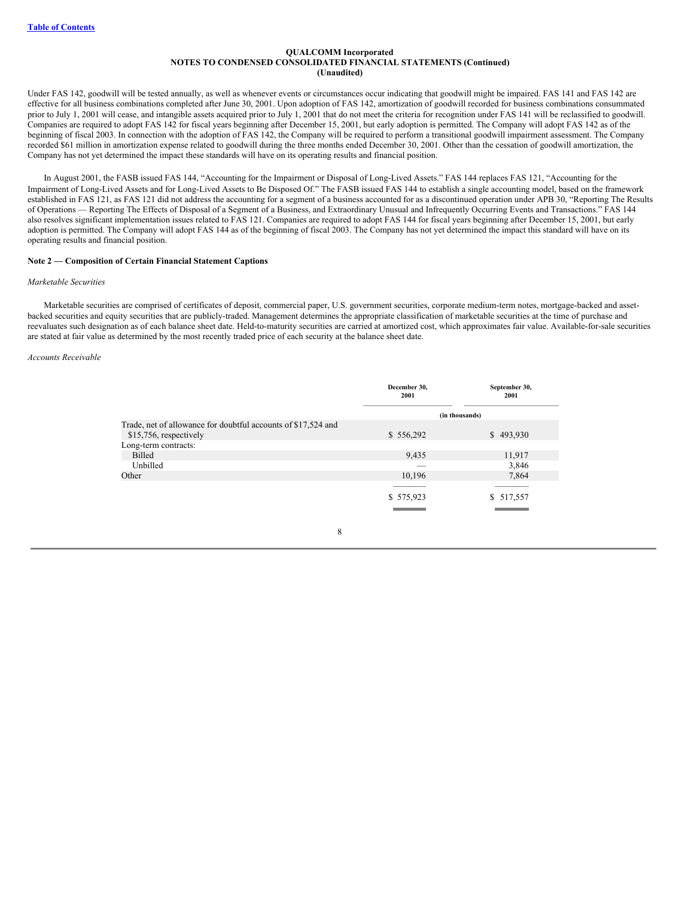Under FAS 142, goodwill will be tested annually, as well as whenever events or circumstances occur indicating that goodwill might be impaired. FAS 141 and FAS 142 are effective for all business combinations completed after June 30, 2001. Upon adoption of FAS 142, amortization of goodwill recorded for business combinations consummated prior to July 1, 2001 will cease, and intangible assets acquired prior to July 1, 2001 that do not meet the criteria for recognition under FAS 141 will be reclassified to goodwill. Companies are required to adopt FAS 142 for fiscal years beginning after December 15, 2001, but early adoption is permitted. The Company will adopt FAS 142 as of the beginning of fiscal 2003. In connection with the adoption of FAS 142, the Company will be required to perform a transitional goodwill impairment assessment. The Company recorded \$61 million in amortization expense related to goodwill during the three months ended December 30, 2001. Other than the cessation of goodwill amortization, the Company has not yet determined the impact these standards will have on its operating results and financial position.

In August 2001, the FASB issued FAS 144, "Accounting for the Impairment or Disposal of Long-Lived Assets." FAS 144 replaces FAS 121, "Accounting for the Impairment of Long-Lived Assets and for Long-Lived Assets to Be Disposed Of." The FASB issued FAS 144 to establish a single accounting model, based on the framework established in FAS 121, as FAS 121 did not address the accounting for a segment of a business accounted for as a discontinued operation under APB 30, "Reporting The Results of Operations — Reporting The Effects of Disposal of a Segment of a Business, and Extraordinary Unusual and Infrequently Occurring Events and Transactions." FAS 144 also resolves significant implementation issues related to FAS 121. Companies are required to adopt FAS 144 for fiscal years beginning after December 15, 2001, but early adoption is permitted. The Company will adopt FAS 144 as of the beginning of fiscal 2003. The Company has not yet determined the impact this standard will have on its operating results and financial position.

# **Note 2 — Composition of Certain Financial Statement Captions**

#### *Marketable Securities*

Marketable securities are comprised of certificates of deposit, commercial paper, U.S. government securities, corporate medium-term notes, mortgage-backed and assetbacked securities and equity securities that are publicly-traded. Management determines the appropriate classification of marketable securities at the time of purchase and reevaluates such designation as of each balance sheet date. Held-to-maturity securities are carried at amortized cost, which approximates fair value. Available-for-sale securities are stated at fair value as determined by the most recently traded price of each security at the balance sheet date.

*Accounts Receivable*

|                                                               | December 30,<br>2001 | September 30,<br>2001 |
|---------------------------------------------------------------|----------------------|-----------------------|
|                                                               | (in thousands)       |                       |
| Trade, net of allowance for doubtful accounts of \$17,524 and |                      |                       |
| \$15,756, respectively                                        | \$556,292            | \$493,930             |
| Long-term contracts:                                          |                      |                       |
| <b>Billed</b>                                                 | 9,435                | 11,917                |
| Unbilled                                                      |                      | 3,846                 |
| Other                                                         | 10,196               | 7,864                 |
|                                                               |                      |                       |
|                                                               | \$575,923            | \$ 517,557            |
|                                                               |                      |                       |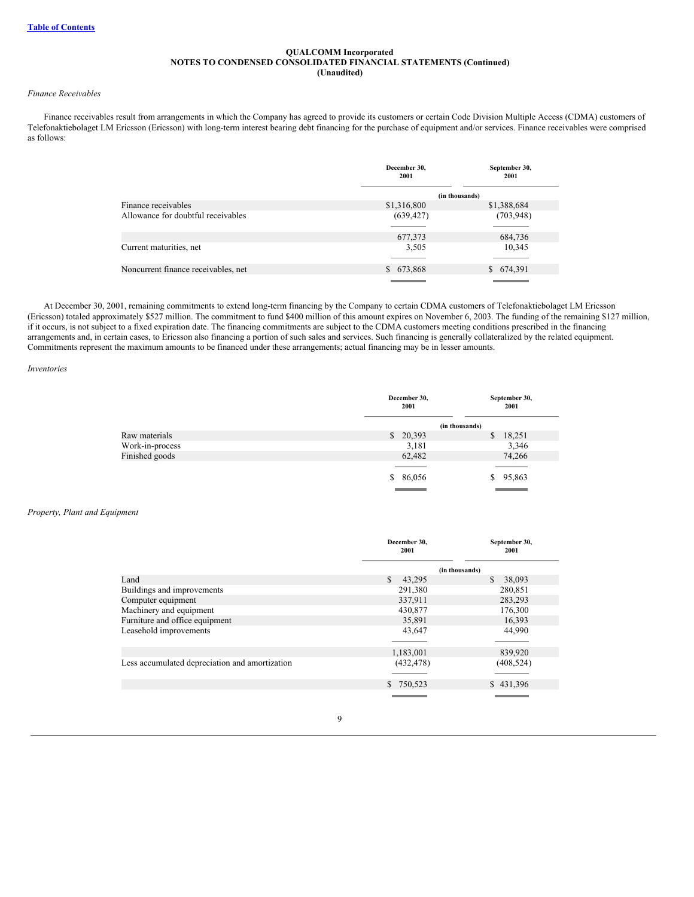# *Finance Receivables*

Finance receivables result from arrangements in which the Company has agreed to provide its customers or certain Code Division Multiple Access (CDMA) customers of Telefonaktiebolaget LM Ericsson (Ericsson) with long-term interest bearing debt financing for the purchase of equipment and/or services. Finance receivables were comprised as follows:

|                                     | December 30,<br>2001 | September 30,<br>2001 |
|-------------------------------------|----------------------|-----------------------|
|                                     | (in thousands)       |                       |
| Finance receivables                 | \$1,316,800          | \$1,388,684           |
| Allowance for doubtful receivables  | (639, 427)           | (703, 948)            |
|                                     |                      |                       |
|                                     | 677,373              | 684,736               |
| Current maturities, net             | 3,505                | 10,345                |
|                                     |                      |                       |
| Noncurrent finance receivables, net | \$673,868            | 674,391<br>S.         |
|                                     |                      |                       |

At December 30, 2001, remaining commitments to extend long-term financing by the Company to certain CDMA customers of Telefonaktiebolaget LM Ericsson (Ericsson) totaled approximately \$527 million. The commitment to fund \$400 million of this amount expires on November 6, 2003. The funding of the remaining \$127 million, if it occurs, is not subject to a fixed expiration date. The financing commitments are subject to the CDMA customers meeting conditions prescribed in the financing arrangements and, in certain cases, to Ericsson also financing a portion of such sales and services. Such financing is generally collateralized by the related equipment. Commitments represent the maximum amounts to be financed under these arrangements; actual financing may be in lesser amounts.

#### *Inventories*

|                 | December 30,<br>2001 | September 30,<br>2001 |
|-----------------|----------------------|-----------------------|
|                 | (in thousands)       |                       |
| Raw materials   | \$20,393             | 18,251<br>S.          |
| Work-in-process | 3,181                | 3,346                 |
| Finished goods  | 62,482               | 74,266                |
|                 |                      |                       |
|                 | \$ 86,056            | 95,863                |

#### *Property, Plant and Equipment*

|                                                | December 30,<br>2001 | September 30,<br>2001 |
|------------------------------------------------|----------------------|-----------------------|
|                                                | (in thousands)       |                       |
| Land                                           | S.<br>43,295         | \$<br>38,093          |
| Buildings and improvements                     | 291,380              | 280,851               |
| Computer equipment                             | 337,911              | 283,293               |
| Machinery and equipment                        | 430,877              | 176,300               |
| Furniture and office equipment                 | 35,891               | 16,393                |
| Leasehold improvements                         | 43,647               | 44,990                |
|                                                |                      |                       |
|                                                | 1,183,001            | 839,920               |
| Less accumulated depreciation and amortization | (432, 478)           | (408, 524)            |
|                                                |                      |                       |
|                                                | \$ 750,523           | \$431,396             |
|                                                |                      |                       |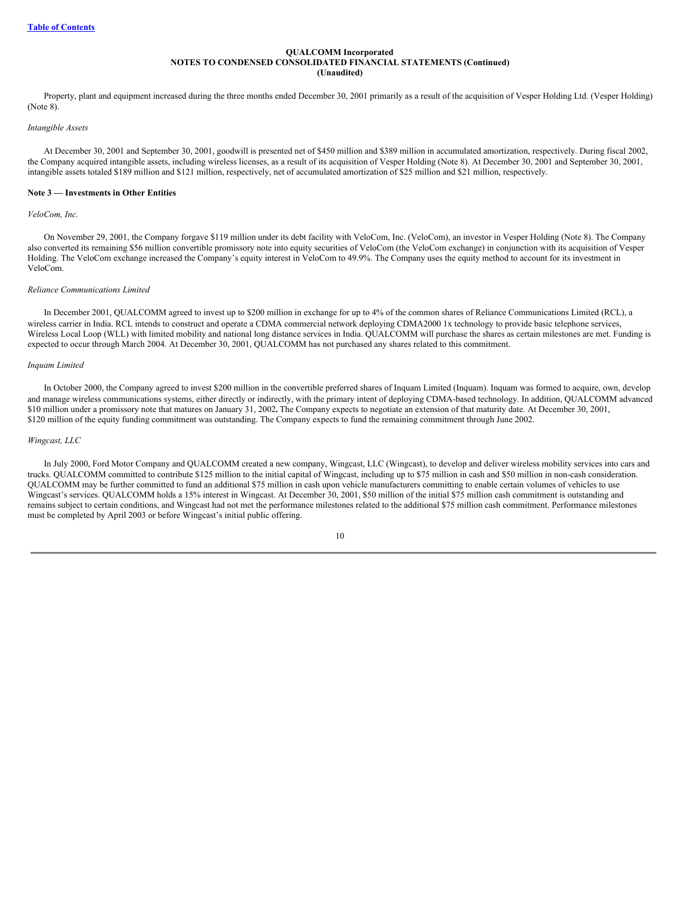Property, plant and equipment increased during the three months ended December 30, 2001 primarily as a result of the acquisition of Vesper Holding Ltd. (Vesper Holding) (Note 8).

#### *Intangible Assets*

At December 30, 2001 and September 30, 2001, goodwill is presented net of \$450 million and \$389 million in accumulated amortization, respectively. During fiscal 2002, the Company acquired intangible assets, including wireless licenses, as a result of its acquisition of Vesper Holding (Note 8). At December 30, 2001 and September 30, 2001, intangible assets totaled \$189 million and \$121 million, respectively, net of accumulated amortization of \$25 million and \$21 million, respectively.

#### **Note 3 — Investments in Other Entities**

#### *VeloCom, Inc.*

On November 29, 2001, the Company forgave \$119 million under its debt facility with VeloCom, Inc. (VeloCom), an investor in Vesper Holding (Note 8). The Company also converted its remaining \$56 million convertible promissory note into equity securities of VeloCom (the VeloCom exchange) in conjunction with its acquisition of Vesper Holding. The VeloCom exchange increased the Company's equity interest in VeloCom to 49.9%. The Company uses the equity method to account for its investment in VeloCom.

#### *Reliance Communications Limited*

In December 2001, QUALCOMM agreed to invest up to \$200 million in exchange for up to 4% of the common shares of Reliance Communications Limited (RCL), a wireless carrier in India. RCL intends to construct and operate a CDMA commercial network deploying CDMA2000 1x technology to provide basic telephone services, Wireless Local Loop (WLL) with limited mobility and national long distance services in India. QUALCOMM will purchase the shares as certain milestones are met. Funding is expected to occur through March 2004. At December 30, 2001, QUALCOMM has not purchased any shares related to this commitment.

#### *Inquam Limited*

In October 2000, the Company agreed to invest \$200 million in the convertible preferred shares of Inquam Limited (Inquam). Inquam was formed to acquire, own, develop and manage wireless communications systems, either directly or indirectly, with the primary intent of deploying CDMA-based technology. In addition, QUALCOMM advanced \$10 million under a promissory note that matures on January 31, 2002**.** The Company expects to negotiate an extension of that maturity date. At December 30, 2001, \$120 million of the equity funding commitment was outstanding. The Company expects to fund the remaining commitment through June 2002.

# *Wingcast, LLC*

In July 2000, Ford Motor Company and QUALCOMM created a new company, Wingcast, LLC (Wingcast), to develop and deliver wireless mobility services into cars and trucks. QUALCOMM committed to contribute \$125 million to the initial capital of Wingcast, including up to \$75 million in cash and \$50 million in non-cash consideration. QUALCOMM may be further committed to fund an additional \$75 million in cash upon vehicle manufacturers committing to enable certain volumes of vehicles to use Wingcast's services. QUALCOMM holds a 15% interest in Wingcast. At December 30, 2001, \$50 million of the initial \$75 million cash commitment is outstanding and remains subject to certain conditions, and Wingcast had not met the performance milestones related to the additional \$75 million cash commitment. Performance milestones must be completed by April 2003 or before Wingcast's initial public offering.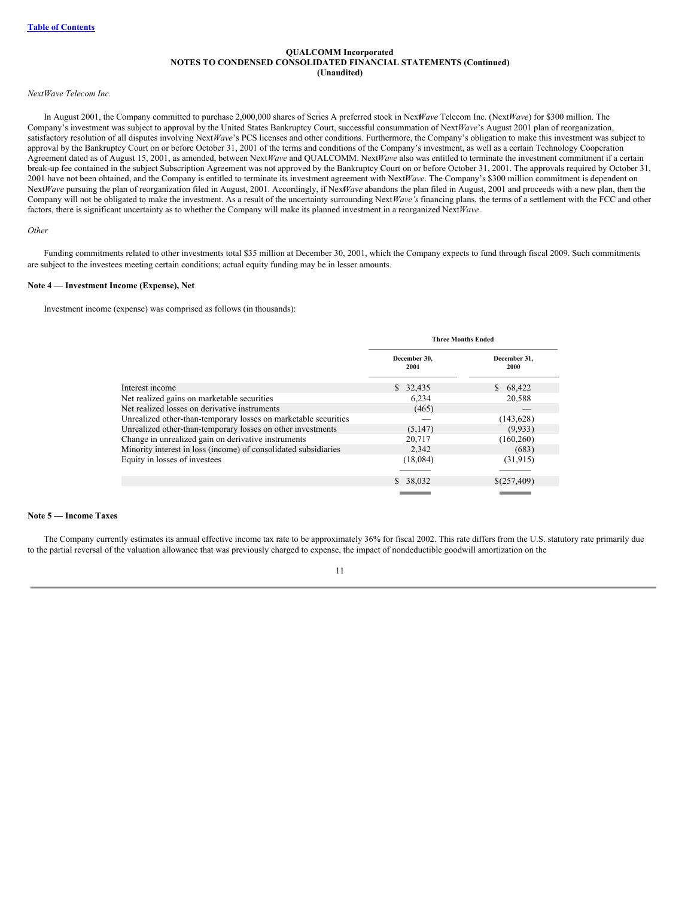# *NextWave Telecom Inc.*

In August 2001, the Company committed to purchase 2,000,000 shares of Series A preferred stock in Nex*Wave* Telecom Inc. (Next*Wave*) for \$300 million. The Company's investment was subject to approval by the United States Bankruptcy Court, successful consummation of Next*Wave*'s August 2001 plan of reorganization, satisfactory resolution of all disputes involving Next*Wave*'s PCS licenses and other conditions. Furthermore, the Company's obligation to make this investment was subject to approval by the Bankruptcy Court on or before October 31, 2001 of the terms and conditions of the Company's investment, as well as a certain Technology Cooperation Agreement dated as of August 15, 2001, as amended, between Next*Wave* and QUALCOMM. Next*Wave* also was entitled to terminate the investment commitment if a certain break-up fee contained in the subject Subscription Agreement was not approved by the Bankruptcy Court on or before October 31, 2001. The approvals required by October 31, 2001 have not been obtained, and the Company is entitled to terminate its investment agreement with Next*Wave*. The Company's \$300 million commitment is dependent on Next*Wave* pursuing the plan of reorganization filed in August, 2001. Accordingly, if Nex*Wave* abandons the plan filed in August, 2001 and proceeds with a new plan, then the Company will not be obligated to make the investment. As a result of the uncertainty surrounding Next*Wave's* financing plans, the terms of a settlement with the FCC and other factors, there is significant uncertainty as to whether the Company will make its planned investment in a reorganized Next*Wave*.

# *Other*

Funding commitments related to other investments total \$35 million at December 30, 2001, which the Company expects to fund through fiscal 2009. Such commitments are subject to the investees meeting certain conditions; actual equity funding may be in lesser amounts.

# **Note 4 — Investment Income (Expense), Net**

Investment income (expense) was comprised as follows (in thousands):

|                                                                 | <b>Three Months Ended</b> |                      |
|-----------------------------------------------------------------|---------------------------|----------------------|
|                                                                 | December 30,<br>2001      | December 31,<br>2000 |
| Interest income                                                 | \$32,435                  | \$68,422             |
| Net realized gains on marketable securities                     | 6,234                     | 20,588               |
| Net realized losses on derivative instruments                   | (465)                     |                      |
| Unrealized other-than-temporary losses on marketable securities |                           | (143, 628)           |
| Unrealized other-than-temporary losses on other investments     | (5,147)                   | (9,933)              |
| Change in unrealized gain on derivative instruments             | 20,717                    | (160, 260)           |
| Minority interest in loss (income) of consolidated subsidiaries | 2,342                     | (683)                |
| Equity in losses of investees                                   | (18,084)                  | (31,915)             |
|                                                                 |                           |                      |
|                                                                 | \$ 38,032                 | \$(257,409)          |
|                                                                 |                           |                      |

### **Note 5 — Income Taxes**

The Company currently estimates its annual effective income tax rate to be approximately 36% for fiscal 2002. This rate differs from the U.S. statutory rate primarily due to the partial reversal of the valuation allowance that was previously charged to expense, the impact of nondeductible goodwill amortization on the

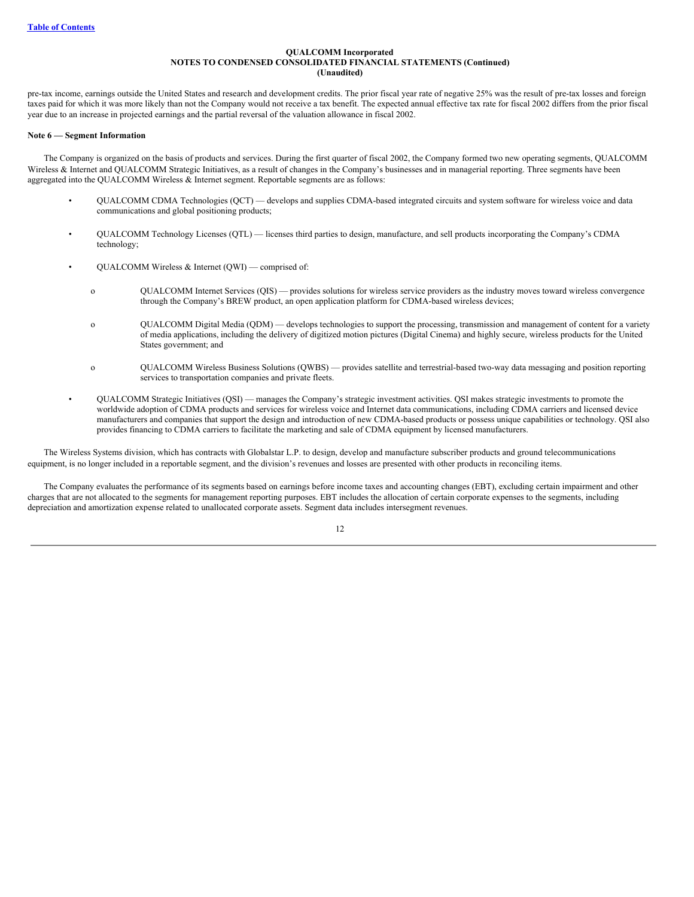pre-tax income, earnings outside the United States and research and development credits. The prior fiscal year rate of negative 25% was the result of pre-tax losses and foreign taxes paid for which it was more likely than not the Company would not receive a tax benefit. The expected annual effective tax rate for fiscal 2002 differs from the prior fiscal year due to an increase in projected earnings and the partial reversal of the valuation allowance in fiscal 2002.

# **Note 6 — Segment Information**

The Company is organized on the basis of products and services. During the first quarter of fiscal 2002, the Company formed two new operating segments, QUALCOMM Wireless & Internet and QUALCOMM Strategic Initiatives, as a result of changes in the Company's businesses and in managerial reporting. Three segments have been aggregated into the QUALCOMM Wireless & Internet segment. Reportable segments are as follows:

- QUALCOMM CDMA Technologies (QCT) develops and supplies CDMA-based integrated circuits and system software for wireless voice and data communications and global positioning products;
- QUALCOMM Technology Licenses (QTL) licenses third parties to design, manufacture, and sell products incorporating the Company's CDMA technology;
- QUALCOMM Wireless & Internet (QWI) comprised of:
	- o QUALCOMM Internet Services (QIS) provides solutions for wireless service providers as the industry moves toward wireless convergence through the Company's BREW product, an open application platform for CDMA-based wireless devices;
	- o QUALCOMM Digital Media (QDM) develops technologies to support the processing, transmission and management of content for a variety of media applications, including the delivery of digitized motion pictures (Digital Cinema) and highly secure, wireless products for the United States government; and
	- o QUALCOMM Wireless Business Solutions (QWBS) provides satellite and terrestrial-based two-way data messaging and position reporting services to transportation companies and private fleets.
	- QUALCOMM Strategic Initiatives (QSI) manages the Company's strategic investment activities. QSI makes strategic investments to promote the worldwide adoption of CDMA products and services for wireless voice and Internet data communications, including CDMA carriers and licensed device manufacturers and companies that support the design and introduction of new CDMA-based products or possess unique capabilities or technology. QSI also provides financing to CDMA carriers to facilitate the marketing and sale of CDMA equipment by licensed manufacturers.

The Wireless Systems division, which has contracts with Globalstar L.P. to design, develop and manufacture subscriber products and ground telecommunications equipment, is no longer included in a reportable segment, and the division's revenues and losses are presented with other products in reconciling items.

The Company evaluates the performance of its segments based on earnings before income taxes and accounting changes (EBT), excluding certain impairment and other charges that are not allocated to the segments for management reporting purposes. EBT includes the allocation of certain corporate expenses to the segments, including depreciation and amortization expense related to unallocated corporate assets. Segment data includes intersegment revenues.

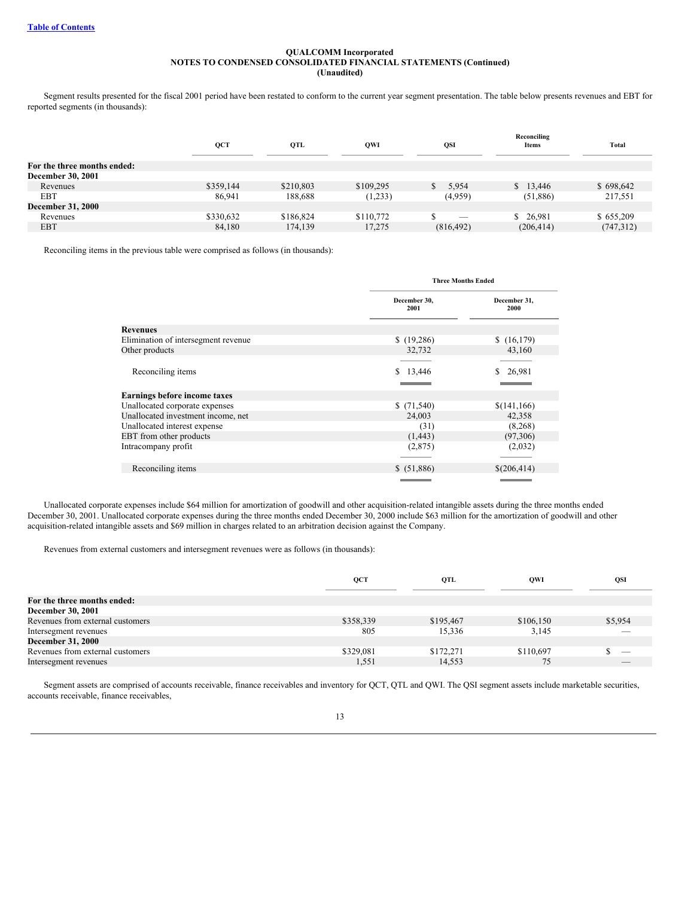Segment results presented for the fiscal 2001 period have been restated to conform to the current year segment presentation. The table below presents revenues and EBT for reported segments (in thousands):

|                             | QCT       | QTL       | QWI       | QSI        | Reconciling<br>Items | <b>Total</b> |
|-----------------------------|-----------|-----------|-----------|------------|----------------------|--------------|
| For the three months ended: |           |           |           |            |                      |              |
| December 30, 2001           |           |           |           |            |                      |              |
| Revenues                    | \$359,144 | \$210,803 | \$109,295 | 5.954<br>S | \$13,446             | \$698,642    |
| EBT                         | 86.941    | 188,688   | (1,233)   | (4,959)    | (51,886)             | 217,551      |
| <b>December 31, 2000</b>    |           |           |           |            |                      |              |
| Revenues                    | \$330,632 | \$186,824 | \$110,772 | $\sim$     | \$ 26,981            | \$655,209    |
| <b>EBT</b>                  | 84,180    | 174,139   | 17.275    | (816, 492) | (206, 414)           | (747, 312)   |

Reconciling items in the previous table were comprised as follows (in thousands):

|                                     |                      | <b>Three Months Ended</b> |  |  |
|-------------------------------------|----------------------|---------------------------|--|--|
|                                     | December 30,<br>2001 | December 31,<br>2000      |  |  |
| <b>Revenues</b>                     |                      |                           |  |  |
| Elimination of intersegment revenue | \$(19,286)           | (16,179)                  |  |  |
| Other products                      | 32,732               | 43,160                    |  |  |
|                                     |                      |                           |  |  |
| Reconciling items                   | \$13,446             | 26,981                    |  |  |
|                                     |                      |                           |  |  |
| <b>Earnings before income taxes</b> |                      |                           |  |  |
| Unallocated corporate expenses      | (71,540)             | \$(141,166)               |  |  |
| Unallocated investment income, net  | 24,003               | 42,358                    |  |  |
| Unallocated interest expense        | (31)                 | (8,268)                   |  |  |
| EBT from other products             | (1, 443)             | (97,306)                  |  |  |
| Intracompany profit                 | (2,875)              | (2,032)                   |  |  |
|                                     |                      |                           |  |  |
| Reconciling items                   | \$ (51,886)          | \$(206,414)               |  |  |
|                                     |                      |                           |  |  |

Unallocated corporate expenses include \$64 million for amortization of goodwill and other acquisition-related intangible assets during the three months ended December 30, 2001. Unallocated corporate expenses during the three months ended December 30, 2000 include \$63 million for the amortization of goodwill and other acquisition-related intangible assets and \$69 million in charges related to an arbitration decision against the Company.

Revenues from external customers and intersegment revenues were as follows (in thousands):

|                                  | QCT       | QTL       | OWI       | <b>QSI</b>               |
|----------------------------------|-----------|-----------|-----------|--------------------------|
| For the three months ended:      |           |           |           |                          |
| <b>December 30, 2001</b>         |           |           |           |                          |
| Revenues from external customers | \$358,339 | \$195,467 | \$106,150 | \$5,954                  |
| Intersegment revenues            | 805       | 15,336    | 3,145     | $\overline{\phantom{a}}$ |
| <b>December 31, 2000</b>         |           |           |           |                          |
| Revenues from external customers | \$329,081 | \$172,271 | \$110,697 |                          |
| Intersegment revenues            | 1,551     | 14.553    | 75        |                          |

Segment assets are comprised of accounts receivable, finance receivables and inventory for QCT, QTL and QWI. The QSI segment assets include marketable securities, accounts receivable, finance receivables,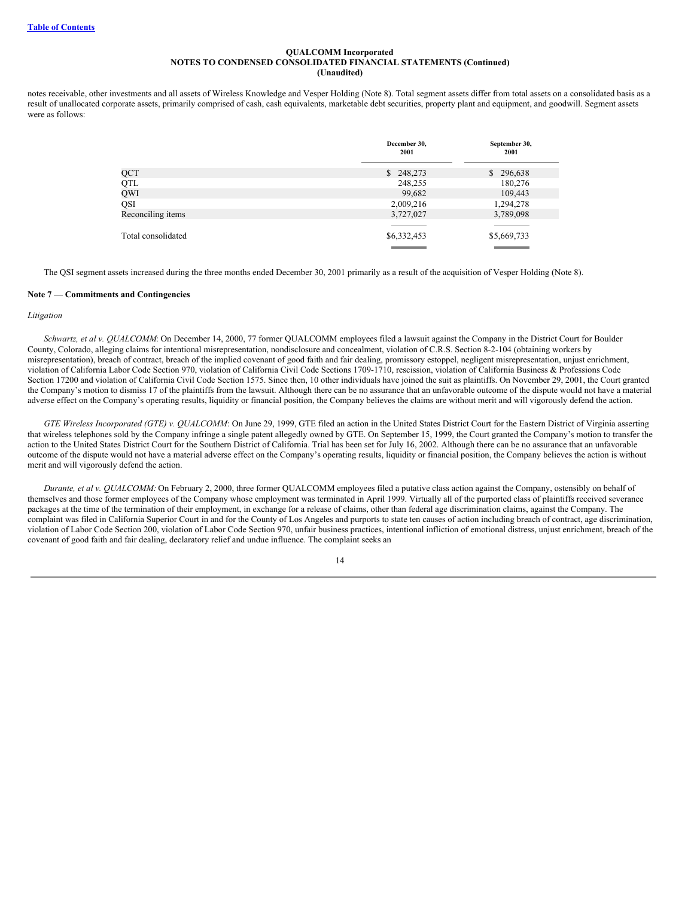notes receivable, other investments and all assets of Wireless Knowledge and Vesper Holding (Note 8). Total segment assets differ from total assets on a consolidated basis as a result of unallocated corporate assets, primarily comprised of cash, cash equivalents, marketable debt securities, property plant and equipment, and goodwill. Segment assets were as follows:

|                    | December 30,<br>2001 | September 30,<br>2001 |
|--------------------|----------------------|-----------------------|
| QCT                | \$248,273            | \$296,638             |
| QTL                | 248,255              | 180,276               |
| QWI                | 99,682               | 109,443               |
| QSI                | 2,009,216            | 1,294,278             |
| Reconciling items  | 3,727,027            | 3,789,098             |
|                    |                      |                       |
| Total consolidated | \$6,332,453          | \$5,669,733           |
|                    |                      |                       |

The QSI segment assets increased during the three months ended December 30, 2001 primarily as a result of the acquisition of Vesper Holding (Note 8).

#### **Note 7 — Commitments and Contingencies**

#### *Litigation*

*Schwartz, et al v. QUALCOMM*: On December 14, 2000, 77 former QUALCOMM employees filed a lawsuit against the Company in the District Court for Boulder County, Colorado, alleging claims for intentional misrepresentation, nondisclosure and concealment, violation of C.R.S. Section 8-2-104 (obtaining workers by misrepresentation), breach of contract, breach of the implied covenant of good faith and fair dealing, promissory estoppel, negligent misrepresentation, unjust enrichment, violation of California Labor Code Section 970, violation of California Civil Code Sections 1709-1710, rescission, violation of California Business & Professions Code Section 17200 and violation of California Civil Code Section 1575. Since then, 10 other individuals have joined the suit as plaintiffs. On November 29, 2001, the Court granted the Company's motion to dismiss 17 of the plaintiffs from the lawsuit. Although there can be no assurance that an unfavorable outcome of the dispute would not have a material adverse effect on the Company's operating results, liquidity or financial position, the Company believes the claims are without merit and will vigorously defend the action.

*GTE Wireless Incorporated (GTE) v. QUALCOMM*: On June 29, 1999, GTE filed an action in the United States District Court for the Eastern District of Virginia asserting that wireless telephones sold by the Company infringe a single patent allegedly owned by GTE. On September 15, 1999, the Court granted the Company's motion to transfer the action to the United States District Court for the Southern District of California. Trial has been set for July 16, 2002. Although there can be no assurance that an unfavorable outcome of the dispute would not have a material adverse effect on the Company's operating results, liquidity or financial position, the Company believes the action is without merit and will vigorously defend the action.

*Durante, et al v. QUALCOMM:* On February 2, 2000, three former QUALCOMM employees filed a putative class action against the Company, ostensibly on behalf of themselves and those former employees of the Company whose employment was terminated in April 1999. Virtually all of the purported class of plaintiffs received severance packages at the time of the termination of their employment, in exchange for a release of claims, other than federal age discrimination claims, against the Company. The complaint was filed in California Superior Court in and for the County of Los Angeles and purports to state ten causes of action including breach of contract, age discrimination, violation of Labor Code Section 200, violation of Labor Code Section 970, unfair business practices, intentional infliction of emotional distress, unjust enrichment, breach of the covenant of good faith and fair dealing, declaratory relief and undue influence. The complaint seeks an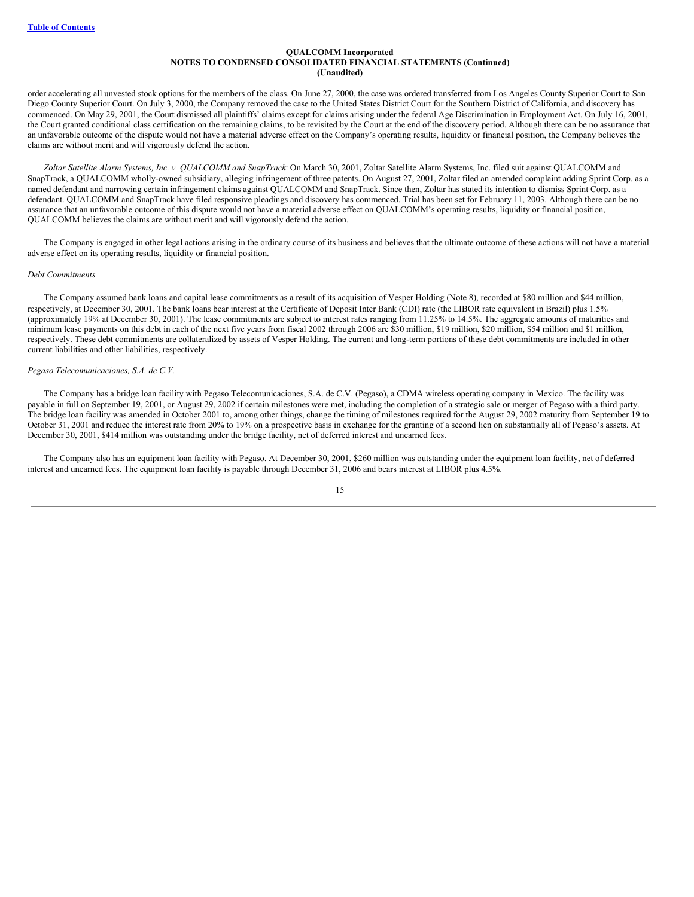order accelerating all unvested stock options for the members of the class. On June 27, 2000, the case was ordered transferred from Los Angeles County Superior Court to San Diego County Superior Court. On July 3, 2000, the Company removed the case to the United States District Court for the Southern District of California, and discovery has commenced. On May 29, 2001, the Court dismissed all plaintiffs' claims except for claims arising under the federal Age Discrimination in Employment Act. On July 16, 2001, the Court granted conditional class certification on the remaining claims, to be revisited by the Court at the end of the discovery period. Although there can be no assurance that an unfavorable outcome of the dispute would not have a material adverse effect on the Company's operating results, liquidity or financial position, the Company believes the claims are without merit and will vigorously defend the action.

*Zoltar Satellite Alarm Systems, Inc. v. QUALCOMM and SnapTrack:*On March 30, 2001, Zoltar Satellite Alarm Systems, Inc. filed suit against QUALCOMM and SnapTrack, a QUALCOMM wholly-owned subsidiary, alleging infringement of three patents. On August 27, 2001, Zoltar filed an amended complaint adding Sprint Corp. as a named defendant and narrowing certain infringement claims against QUALCOMM and SnapTrack. Since then, Zoltar has stated its intention to dismiss Sprint Corp. as a defendant. QUALCOMM and SnapTrack have filed responsive pleadings and discovery has commenced. Trial has been set for February 11, 2003. Although there can be no assurance that an unfavorable outcome of this dispute would not have a material adverse effect on QUALCOMM's operating results, liquidity or financial position, QUALCOMM believes the claims are without merit and will vigorously defend the action.

The Company is engaged in other legal actions arising in the ordinary course of its business and believes that the ultimate outcome of these actions will not have a material adverse effect on its operating results, liquidity or financial position.

#### *Debt Commitments*

The Company assumed bank loans and capital lease commitments as a result of its acquisition of Vesper Holding (Note 8), recorded at \$80 million and \$44 million, respectively, at December 30, 2001. The bank loans bear interest at the Certificate of Deposit Inter Bank (CDI) rate (the LIBOR rate equivalent in Brazil) plus 1.5% (approximately 19% at December 30, 2001). The lease commitments are subject to interest rates ranging from 11.25% to 14.5%. The aggregate amounts of maturities and minimum lease payments on this debt in each of the next five years from fiscal 2002 through 2006 are \$30 million, \$19 million, \$20 million, \$54 million and \$1 million, respectively. These debt commitments are collateralized by assets of Vesper Holding. The current and long-term portions of these debt commitments are included in other current liabilities and other liabilities, respectively.

#### *Pegaso Telecomunicaciones, S.A. de C.V.*

The Company has a bridge loan facility with Pegaso Telecomunicaciones, S.A. de C.V. (Pegaso), a CDMA wireless operating company in Mexico. The facility was payable in full on September 19, 2001, or August 29, 2002 if certain milestones were met, including the completion of a strategic sale or merger of Pegaso with a third party. The bridge loan facility was amended in October 2001 to, among other things, change the timing of milestones required for the August 29, 2002 maturity from September 19 to October 31, 2001 and reduce the interest rate from 20% to 19% on a prospective basis in exchange for the granting of a second lien on substantially all of Pegaso's assets. At December 30, 2001, \$414 million was outstanding under the bridge facility, net of deferred interest and unearned fees.

The Company also has an equipment loan facility with Pegaso. At December 30, 2001, \$260 million was outstanding under the equipment loan facility, net of deferred interest and unearned fees. The equipment loan facility is payable through December 31, 2006 and bears interest at LIBOR plus 4.5%.

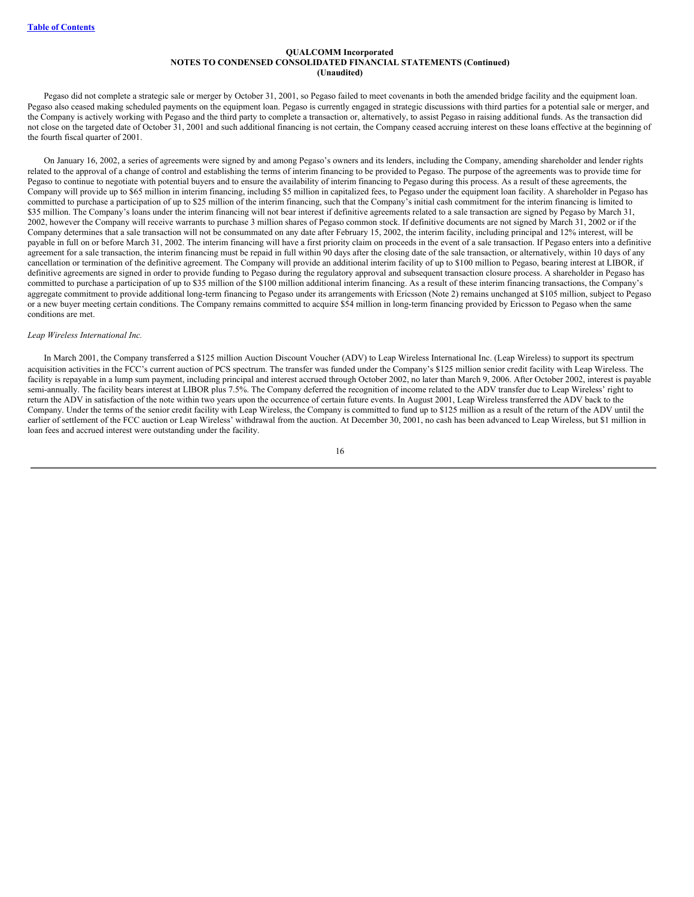Pegaso did not complete a strategic sale or merger by October 31, 2001, so Pegaso failed to meet covenants in both the amended bridge facility and the equipment loan. Pegaso also ceased making scheduled payments on the equipment loan. Pegaso is currently engaged in strategic discussions with third parties for a potential sale or merger, and the Company is actively working with Pegaso and the third party to complete a transaction or, alternatively, to assist Pegaso in raising additional funds. As the transaction did not close on the targeted date of October 31, 2001 and such additional financing is not certain, the Company ceased accruing interest on these loans effective at the beginning of the fourth fiscal quarter of 2001.

On January 16, 2002, a series of agreements were signed by and among Pegaso's owners and its lenders, including the Company, amending shareholder and lender rights related to the approval of a change of control and establishing the terms of interim financing to be provided to Pegaso. The purpose of the agreements was to provide time for Pegaso to continue to negotiate with potential buyers and to ensure the availability of interim financing to Pegaso during this process. As a result of these agreements, the Company will provide up to \$65 million in interim financing, including \$5 million in capitalized fees, to Pegaso under the equipment loan facility. A shareholder in Pegaso has committed to purchase a participation of up to \$25 million of the interim financing, such that the Company's initial cash commitment for the interim financing is limited to \$35 million. The Company's loans under the interim financing will not bear interest if definitive agreements related to a sale transaction are signed by Pegaso by March 31, 2002, however the Company will receive warrants to purchase 3 million shares of Pegaso common stock. If definitive documents are not signed by March 31, 2002 or if the Company determines that a sale transaction will not be consummated on any date after February 15, 2002, the interim facility, including principal and 12% interest, will be payable in full on or before March 31, 2002. The interim financing will have a first priority claim on proceeds in the event of a sale transaction. If Pegaso enters into a definitive agreement for a sale transaction, the interim financing must be repaid in full within 90 days after the closing date of the sale transaction, or alternatively, within 10 days of any cancellation or termination of the definitive agreement. The Company will provide an additional interim facility of up to \$100 million to Pegaso, bearing interest at LIBOR, if definitive agreements are signed in order to provide funding to Pegaso during the regulatory approval and subsequent transaction closure process. A shareholder in Pegaso has committed to purchase a participation of up to \$35 million of the \$100 million additional interim financing. As a result of these interim financing transactions, the Company's aggregate commitment to provide additional long-term financing to Pegaso under its arrangements with Ericsson (Note 2) remains unchanged at \$105 million, subject to Pegaso or a new buyer meeting certain conditions. The Company remains committed to acquire \$54 million in long-term financing provided by Ericsson to Pegaso when the same conditions are met.

# *Leap Wireless International Inc.*

In March 2001, the Company transferred a \$125 million Auction Discount Voucher (ADV) to Leap Wireless International Inc. (Leap Wireless) to support its spectrum acquisition activities in the FCC's current auction of PCS spectrum. The transfer was funded under the Company's \$125 million senior credit facility with Leap Wireless. The facility is repayable in a lump sum payment, including principal and interest accrued through October 2002, no later than March 9, 2006. After October 2002, interest is payable semi-annually. The facility bears interest at LIBOR plus 7.5%. The Company deferred the recognition of income related to the ADV transfer due to Leap Wireless' right to return the ADV in satisfaction of the note within two years upon the occurrence of certain future events. In August 2001, Leap Wireless transferred the ADV back to the Company. Under the terms of the senior credit facility with Leap Wireless, the Company is committed to fund up to \$125 million as a result of the return of the ADV until the earlier of settlement of the FCC auction or Leap Wireless' withdrawal from the auction. At December 30, 2001, no cash has been advanced to Leap Wireless, but \$1 million in loan fees and accrued interest were outstanding under the facility.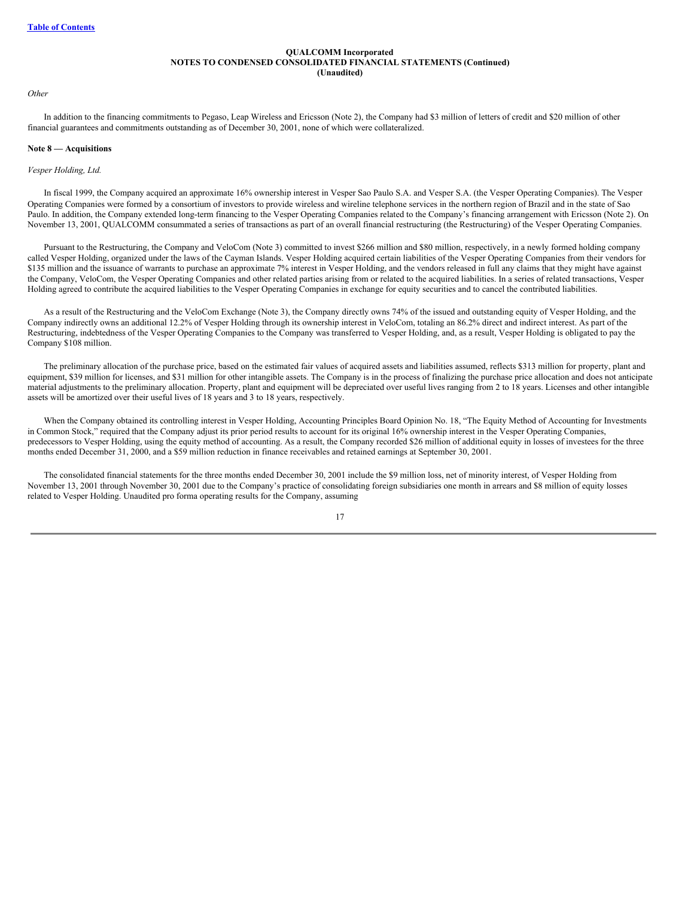# *Other*

In addition to the financing commitments to Pegaso, Leap Wireless and Ericsson (Note 2), the Company had \$3 million of letters of credit and \$20 million of other financial guarantees and commitments outstanding as of December 30, 2001, none of which were collateralized.

# **Note 8 — Acquisitions**

#### *Vesper Holding, Ltd.*

In fiscal 1999, the Company acquired an approximate 16% ownership interest in Vesper Sao Paulo S.A. and Vesper S.A. (the Vesper Operating Companies). The Vesper Operating Companies were formed by a consortium of investors to provide wireless and wireline telephone services in the northern region of Brazil and in the state of Sao Paulo. In addition, the Company extended long-term financing to the Vesper Operating Companies related to the Company's financing arrangement with Ericsson (Note 2). On November 13, 2001, QUALCOMM consummated a series of transactions as part of an overall financial restructuring (the Restructuring) of the Vesper Operating Companies.

Pursuant to the Restructuring, the Company and VeloCom (Note 3) committed to invest \$266 million and \$80 million, respectively, in a newly formed holding company called Vesper Holding, organized under the laws of the Cayman Islands. Vesper Holding acquired certain liabilities of the Vesper Operating Companies from their vendors for \$135 million and the issuance of warrants to purchase an approximate 7% interest in Vesper Holding, and the vendors released in full any claims that they might have against the Company, VeloCom, the Vesper Operating Companies and other related parties arising from or related to the acquired liabilities. In a series of related transactions, Vesper Holding agreed to contribute the acquired liabilities to the Vesper Operating Companies in exchange for equity securities and to cancel the contributed liabilities.

As a result of the Restructuring and the VeloCom Exchange (Note 3), the Company directly owns 74% of the issued and outstanding equity of Vesper Holding, and the Company indirectly owns an additional 12.2% of Vesper Holding through its ownership interest in VeloCom, totaling an 86.2% direct and indirect interest. As part of the Restructuring, indebtedness of the Vesper Operating Companies to the Company was transferred to Vesper Holding, and, as a result, Vesper Holding is obligated to pay the Company \$108 million.

The preliminary allocation of the purchase price, based on the estimated fair values of acquired assets and liabilities assumed, reflects \$313 million for property, plant and equipment, \$39 million for licenses, and \$31 million for other intangible assets. The Company is in the process of finalizing the purchase price allocation and does not anticipate material adjustments to the preliminary allocation. Property, plant and equipment will be depreciated over useful lives ranging from 2 to 18 years. Licenses and other intangible assets will be amortized over their useful lives of 18 years and 3 to 18 years, respectively.

When the Company obtained its controlling interest in Vesper Holding, Accounting Principles Board Opinion No. 18, "The Equity Method of Accounting for Investments in Common Stock," required that the Company adjust its prior period results to account for its original 16% ownership interest in the Vesper Operating Companies, predecessors to Vesper Holding, using the equity method of accounting. As a result, the Company recorded \$26 million of additional equity in losses of investees for the three months ended December 31, 2000, and a \$59 million reduction in finance receivables and retained earnings at September 30, 2001.

The consolidated financial statements for the three months ended December 30, 2001 include the \$9 million loss, net of minority interest, of Vesper Holding from November 13, 2001 through November 30, 2001 due to the Company's practice of consolidating foreign subsidiaries one month in arrears and \$8 million of equity losses related to Vesper Holding. Unaudited pro forma operating results for the Company, assuming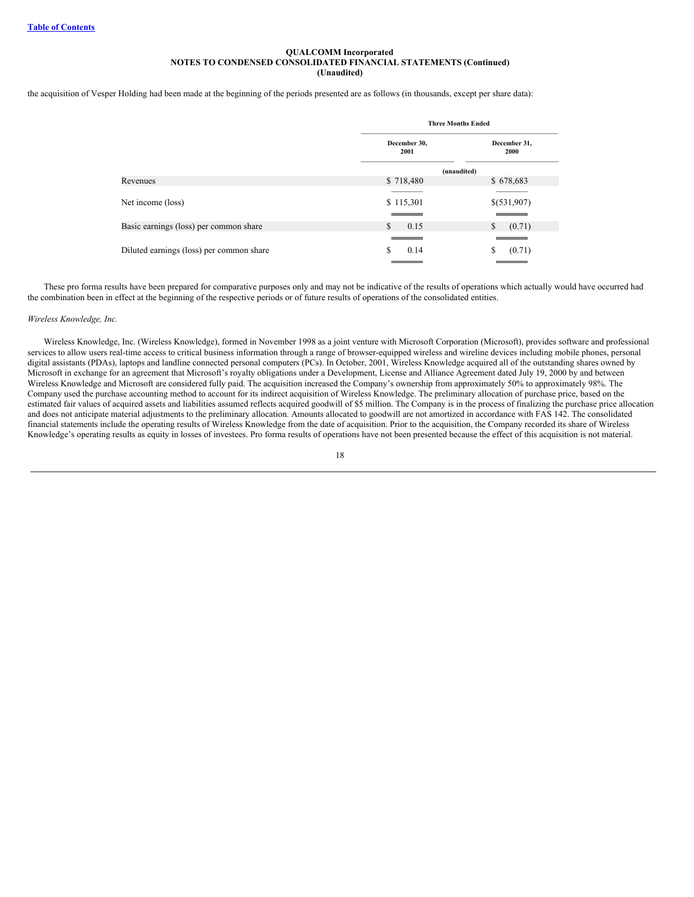the acquisition of Vesper Holding had been made at the beginning of the periods presented are as follows (in thousands, except per share data):

|                                          |                      | <b>Three Months Ended</b> |  |  |
|------------------------------------------|----------------------|---------------------------|--|--|
|                                          | December 30,<br>2001 | December 31,<br>2000      |  |  |
|                                          |                      | (unaudited)               |  |  |
| Revenues                                 | \$718,480            | \$678,683                 |  |  |
|                                          |                      |                           |  |  |
| Net income (loss)                        | \$115,301            | \$(531,907)               |  |  |
|                                          |                      |                           |  |  |
| Basic earnings (loss) per common share   | \$.<br>0.15          | S<br>(0.71)               |  |  |
|                                          |                      |                           |  |  |
| Diluted earnings (loss) per common share | S<br>0.14            | (0.71)<br>S               |  |  |
|                                          |                      |                           |  |  |

These pro forma results have been prepared for comparative purposes only and may not be indicative of the results of operations which actually would have occurred had the combination been in effect at the beginning of the respective periods or of future results of operations of the consolidated entities.

#### *Wireless Knowledge, Inc.*

Wireless Knowledge, Inc. (Wireless Knowledge), formed in November 1998 as a joint venture with Microsoft Corporation (Microsoft), provides software and professional services to allow users real-time access to critical business information through a range of browser-equipped wireless and wireline devices including mobile phones, personal digital assistants (PDAs), laptops and landline connected personal computers (PCs). In October, 2001, Wireless Knowledge acquired all of the outstanding shares owned by Microsoft in exchange for an agreement that Microsoft's royalty obligations under a Development, License and Alliance Agreement dated July 19, 2000 by and between Wireless Knowledge and Microsoft are considered fully paid. The acquisition increased the Company's ownership from approximately 50% to approximately 98%. The Company used the purchase accounting method to account for its indirect acquisition of Wireless Knowledge. The preliminary allocation of purchase price, based on the estimated fair values of acquired assets and liabilities assumed reflects acquired goodwill of \$5 million. The Company is in the process of finalizing the purchase price allocation and does not anticipate material adjustments to the preliminary allocation. Amounts allocated to goodwill are not amortized in accordance with FAS 142. The consolidated financial statements include the operating results of Wireless Knowledge from the date of acquisition. Prior to the acquisition, the Company recorded its share of Wireless Knowledge's operating results as equity in losses of investees. Pro forma results of operations have not been presented because the effect of this acquisition is not material.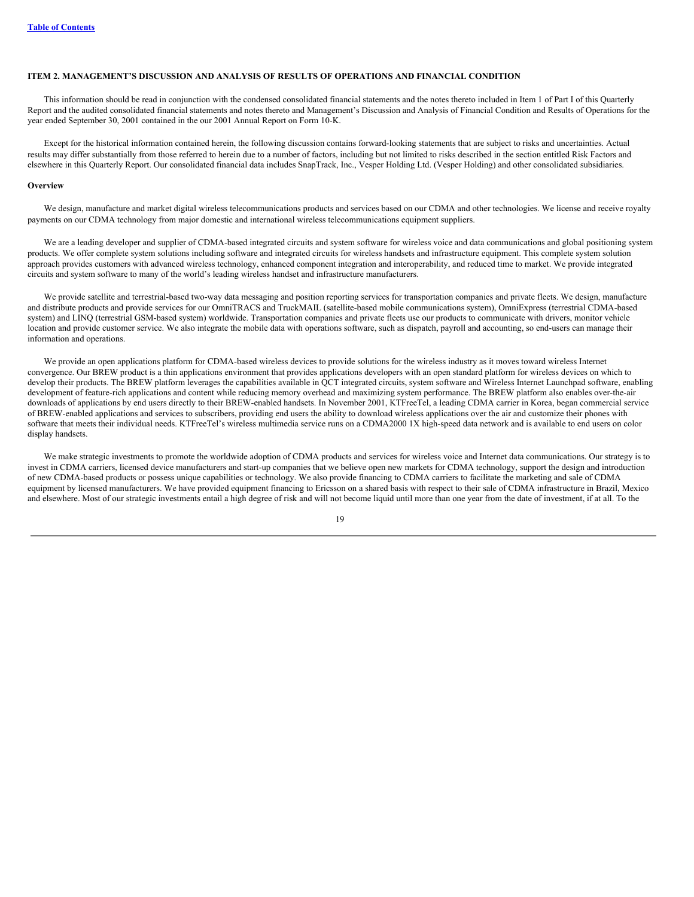# <span id="page-19-0"></span>**ITEM 2. MANAGEMENT'S DISCUSSION AND ANALYSIS OF RESULTS OF OPERATIONS AND FINANCIAL CONDITION**

This information should be read in conjunction with the condensed consolidated financial statements and the notes thereto included in Item 1 of Part I of this Quarterly Report and the audited consolidated financial statements and notes thereto and Management's Discussion and Analysis of Financial Condition and Results of Operations for the year ended September 30, 2001 contained in the our 2001 Annual Report on Form 10-K.

Except for the historical information contained herein, the following discussion contains forward-looking statements that are subject to risks and uncertainties. Actual results may differ substantially from those referred to herein due to a number of factors, including but not limited to risks described in the section entitled Risk Factors and elsewhere in this Quarterly Report. Our consolidated financial data includes SnapTrack, Inc., Vesper Holding Ltd. (Vesper Holding) and other consolidated subsidiaries.

# **Overview**

We design, manufacture and market digital wireless telecommunications products and services based on our CDMA and other technologies. We license and receive royalty payments on our CDMA technology from major domestic and international wireless telecommunications equipment suppliers.

We are a leading developer and supplier of CDMA-based integrated circuits and system software for wireless voice and data communications and global positioning system products. We offer complete system solutions including software and integrated circuits for wireless handsets and infrastructure equipment. This complete system solution approach provides customers with advanced wireless technology, enhanced component integration and interoperability, and reduced time to market. We provide integrated circuits and system software to many of the world's leading wireless handset and infrastructure manufacturers.

We provide satellite and terrestrial-based two-way data messaging and position reporting services for transportation companies and private fleets. We design, manufacture and distribute products and provide services for our OmniTRACS and TruckMAIL (satellite-based mobile communications system), OmniExpress (terrestrial CDMA-based system) and LINQ (terrestrial GSM-based system) worldwide. Transportation companies and private fleets use our products to communicate with drivers, monitor vehicle location and provide customer service. We also integrate the mobile data with operations software, such as dispatch, payroll and accounting, so end-users can manage their information and operations.

We provide an open applications platform for CDMA-based wireless devices to provide solutions for the wireless industry as it moves toward wireless Internet convergence. Our BREW product is a thin applications environment that provides applications developers with an open standard platform for wireless devices on which to develop their products. The BREW platform leverages the capabilities available in QCT integrated circuits, system software and Wireless Internet Launchpad software, enabling development of feature-rich applications and content while reducing memory overhead and maximizing system performance. The BREW platform also enables over-the-air downloads of applications by end users directly to their BREW-enabled handsets. In November 2001, KTFreeTel, a leading CDMA carrier in Korea, began commercial service of BREW-enabled applications and services to subscribers, providing end users the ability to download wireless applications over the air and customize their phones with software that meets their individual needs. KTFreeTel's wireless multimedia service runs on a CDMA2000 1X high-speed data network and is available to end users on color display handsets.

We make strategic investments to promote the worldwide adoption of CDMA products and services for wireless voice and Internet data communications. Our strategy is to invest in CDMA carriers, licensed device manufacturers and start-up companies that we believe open new markets for CDMA technology, support the design and introduction of new CDMA-based products or possess unique capabilities or technology. We also provide financing to CDMA carriers to facilitate the marketing and sale of CDMA equipment by licensed manufacturers. We have provided equipment financing to Ericsson on a shared basis with respect to their sale of CDMA infrastructure in Brazil, Mexico and elsewhere. Most of our strategic investments entail a high degree of risk and will not become liquid until more than one year from the date of investment, if at all. To the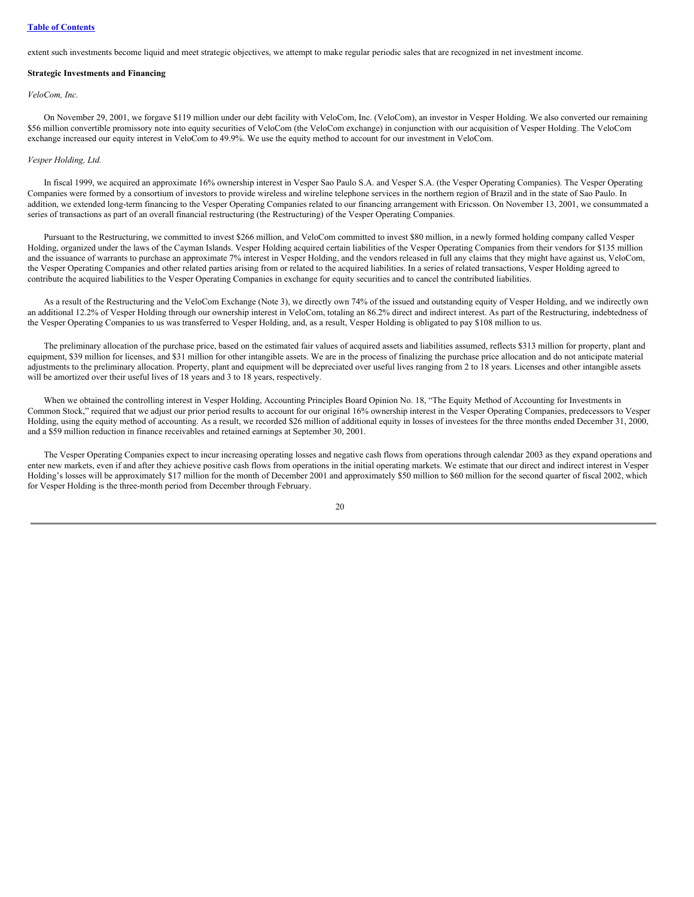extent such investments become liquid and meet strategic objectives, we attempt to make regular periodic sales that are recognized in net investment income.

#### **Strategic Investments and Financing**

#### *VeloCom, Inc.*

On November 29, 2001, we forgave \$119 million under our debt facility with VeloCom, Inc. (VeloCom), an investor in Vesper Holding. We also converted our remaining \$56 million convertible promissory note into equity securities of VeloCom (the VeloCom exchange) in conjunction with our acquisition of Vesper Holding. The VeloCom exchange increased our equity interest in VeloCom to 49.9%. We use the equity method to account for our investment in VeloCom.

#### *Vesper Holding, Ltd.*

In fiscal 1999, we acquired an approximate 16% ownership interest in Vesper Sao Paulo S.A. and Vesper S.A. (the Vesper Operating Companies). The Vesper Operating Companies were formed by a consortium of investors to provide wireless and wireline telephone services in the northern region of Brazil and in the state of Sao Paulo. In addition, we extended long-term financing to the Vesper Operating Companies related to our financing arrangement with Ericsson. On November 13, 2001, we consummated a series of transactions as part of an overall financial restructuring (the Restructuring) of the Vesper Operating Companies.

Pursuant to the Restructuring, we committed to invest \$266 million, and VeloCom committed to invest \$80 million, in a newly formed holding company called Vesper Holding, organized under the laws of the Cayman Islands. Vesper Holding acquired certain liabilities of the Vesper Operating Companies from their vendors for \$135 million and the issuance of warrants to purchase an approximate 7% interest in Vesper Holding, and the vendors released in full any claims that they might have against us, VeloCom, the Vesper Operating Companies and other related parties arising from or related to the acquired liabilities. In a series of related transactions, Vesper Holding agreed to contribute the acquired liabilities to the Vesper Operating Companies in exchange for equity securities and to cancel the contributed liabilities.

As a result of the Restructuring and the VeloCom Exchange (Note 3), we directly own 74% of the issued and outstanding equity of Vesper Holding, and we indirectly own an additional 12.2% of Vesper Holding through our ownership interest in VeloCom, totaling an 86.2% direct and indirect interest. As part of the Restructuring, indebtedness of the Vesper Operating Companies to us was transferred to Vesper Holding, and, as a result, Vesper Holding is obligated to pay \$108 million to us.

The preliminary allocation of the purchase price, based on the estimated fair values of acquired assets and liabilities assumed, reflects \$313 million for property, plant and equipment, \$39 million for licenses, and \$31 million for other intangible assets. We are in the process of finalizing the purchase price allocation and do not anticipate material adjustments to the preliminary allocation. Property, plant and equipment will be depreciated over useful lives ranging from 2 to 18 years. Licenses and other intangible assets will be amortized over their useful lives of 18 years and 3 to 18 years, respectively.

When we obtained the controlling interest in Vesper Holding, Accounting Principles Board Opinion No. 18, "The Equity Method of Accounting for Investments in Common Stock," required that we adjust our prior period results to account for our original 16% ownership interest in the Vesper Operating Companies, predecessors to Vesper Holding, using the equity method of accounting. As a result, we recorded \$26 million of additional equity in losses of investees for the three months ended December 31, 2000, and a \$59 million reduction in finance receivables and retained earnings at September 30, 2001.

The Vesper Operating Companies expect to incur increasing operating losses and negative cash flows from operations through calendar 2003 as they expand operations and enter new markets, even if and after they achieve positive cash flows from operations in the initial operating markets. We estimate that our direct and indirect interest in Vesper Holding's losses will be approximately \$17 million for the month of December 2001 and approximately \$50 million to \$60 million for the second quarter of fiscal 2002, which for Vesper Holding is the three-month period from December through February.

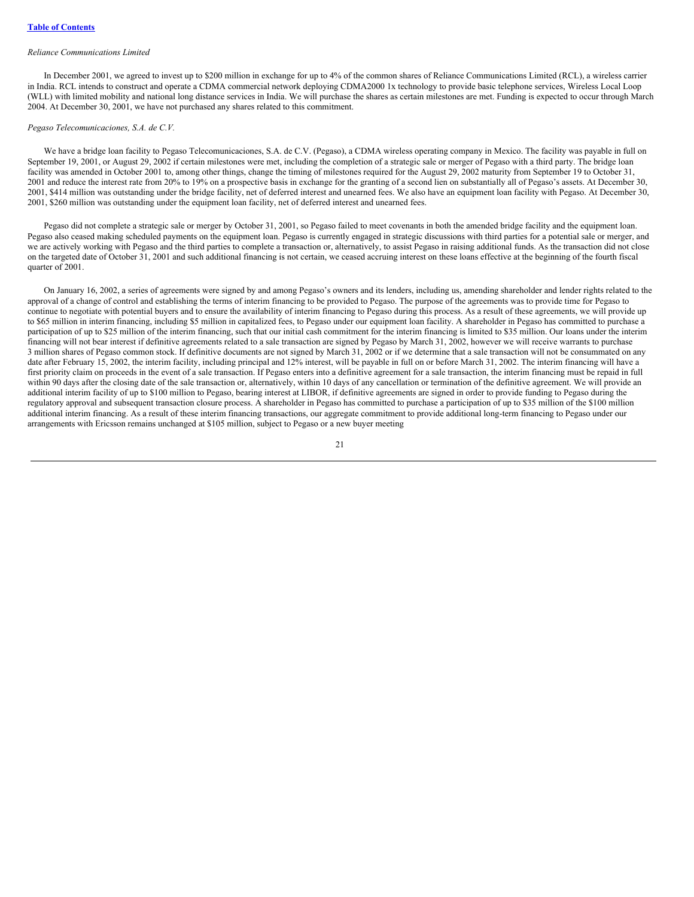#### *Reliance Communications Limited*

In December 2001, we agreed to invest up to \$200 million in exchange for up to 4% of the common shares of Reliance Communications Limited (RCL), a wireless carrier in India. RCL intends to construct and operate a CDMA commercial network deploying CDMA2000 1x technology to provide basic telephone services, Wireless Local Loop (WLL) with limited mobility and national long distance services in India. We will purchase the shares as certain milestones are met. Funding is expected to occur through March 2004. At December 30, 2001, we have not purchased any shares related to this commitment.

#### *Pegaso Telecomunicaciones, S.A. de C.V.*

We have a bridge loan facility to Pegaso Telecomunicaciones, S.A. de C.V. (Pegaso), a CDMA wireless operating company in Mexico. The facility was payable in full on September 19, 2001, or August 29, 2002 if certain milestones were met, including the completion of a strategic sale or merger of Pegaso with a third party. The bridge loan facility was amended in October 2001 to, among other things, change the timing of milestones required for the August 29, 2002 maturity from September 19 to October 31, 2001 and reduce the interest rate from 20% to 19% on a prospective basis in exchange for the granting of a second lien on substantially all of Pegaso's assets. At December 30, 2001, \$414 million was outstanding under the bridge facility, net of deferred interest and unearned fees. We also have an equipment loan facility with Pegaso. At December 30, 2001, \$260 million was outstanding under the equipment loan facility, net of deferred interest and unearned fees.

Pegaso did not complete a strategic sale or merger by October 31, 2001, so Pegaso failed to meet covenants in both the amended bridge facility and the equipment loan. Pegaso also ceased making scheduled payments on the equipment loan. Pegaso is currently engaged in strategic discussions with third parties for a potential sale or merger, and we are actively working with Pegaso and the third parties to complete a transaction or, alternatively, to assist Pegaso in raising additional funds. As the transaction did not close on the targeted date of October 31, 2001 and such additional financing is not certain, we ceased accruing interest on these loans effective at the beginning of the fourth fiscal quarter of 2001.

On January 16, 2002, a series of agreements were signed by and among Pegaso's owners and its lenders, including us, amending shareholder and lender rights related to the approval of a change of control and establishing the terms of interim financing to be provided to Pegaso. The purpose of the agreements was to provide time for Pegaso to continue to negotiate with potential buyers and to ensure the availability of interim financing to Pegaso during this process. As a result of these agreements, we will provide up to \$65 million in interim financing, including \$5 million in capitalized fees, to Pegaso under our equipment loan facility. A shareholder in Pegaso has committed to purchase a participation of up to \$25 million of the interim financing, such that our initial cash commitment for the interim financing is limited to \$35 million. Our loans under the interim financing will not bear interest if definitive agreements related to a sale transaction are signed by Pegaso by March 31, 2002, however we will receive warrants to purchase 3 million shares of Pegaso common stock. If definitive documents are not signed by March 31, 2002 or if we determine that a sale transaction will not be consummated on any date after February 15, 2002, the interim facility, including principal and 12% interest, will be payable in full on or before March 31, 2002. The interim financing will have a first priority claim on proceeds in the event of a sale transaction. If Pegaso enters into a definitive agreement for a sale transaction, the interim financing must be repaid in full within 90 days after the closing date of the sale transaction or, alternatively, within 10 days of any cancellation or termination of the definitive agreement. We will provide an additional interim facility of up to \$100 million to Pegaso, bearing interest at LIBOR, if definitive agreements are signed in order to provide funding to Pegaso during the regulatory approval and subsequent transaction closure process. A shareholder in Pegaso has committed to purchase a participation of up to \$35 million of the \$100 million additional interim financing. As a result of these interim financing transactions, our aggregate commitment to provide additional long-term financing to Pegaso under our arrangements with Ericsson remains unchanged at \$105 million, subject to Pegaso or a new buyer meeting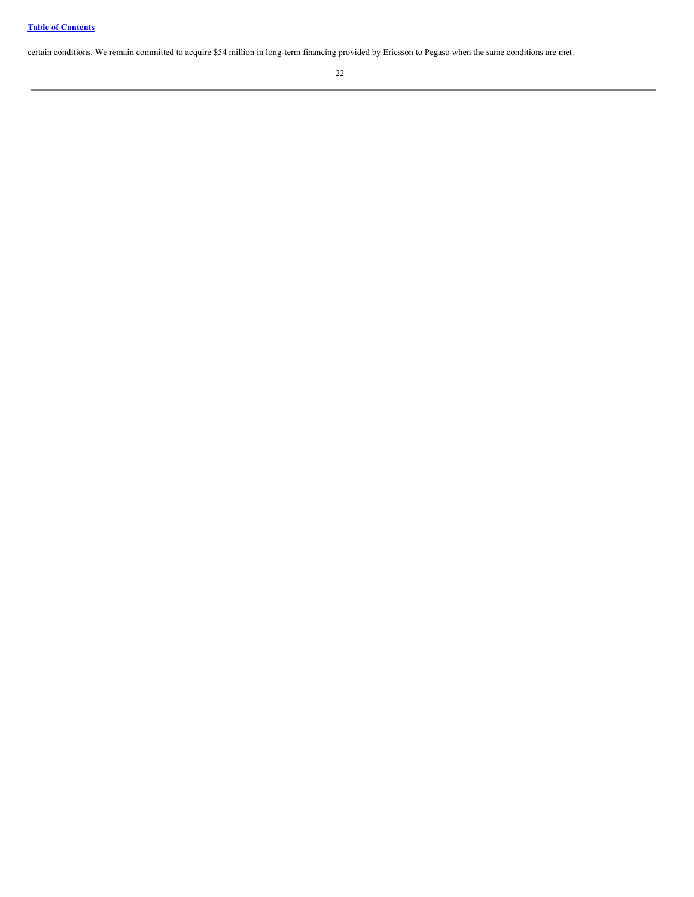certain conditions. We remain committed to acquire \$54 million in long-term financing provided by Ericsson to Pegaso when the same conditions are met.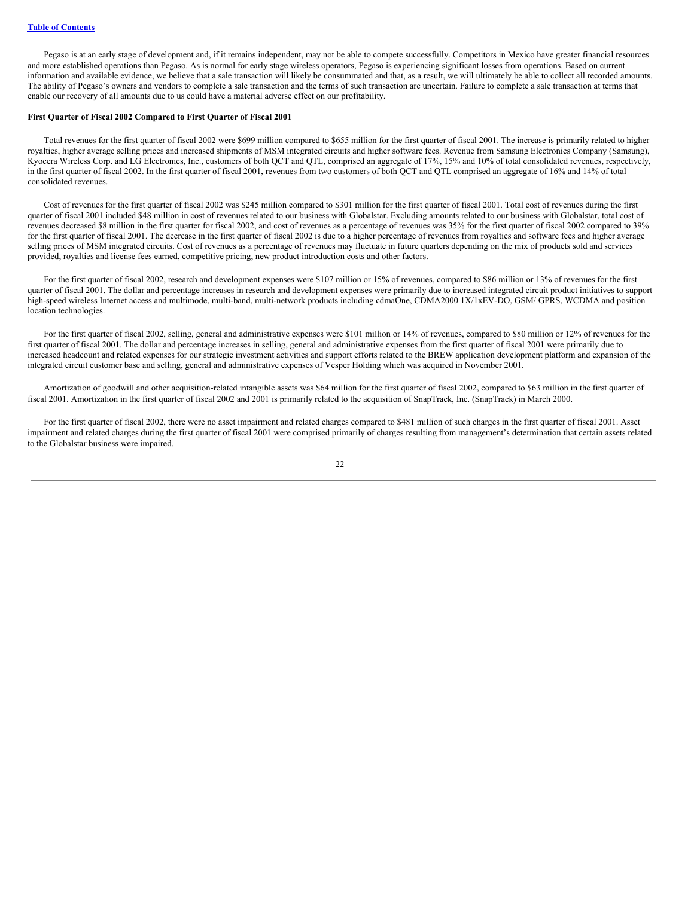Pegaso is at an early stage of development and, if it remains independent, may not be able to compete successfully. Competitors in Mexico have greater financial resources and more established operations than Pegaso. As is normal for early stage wireless operators, Pegaso is experiencing significant losses from operations. Based on current information and available evidence, we believe that a sale transaction will likely be consummated and that, as a result, we will ultimately be able to collect all recorded amounts. The ability of Pegaso's owners and vendors to complete a sale transaction and the terms of such transaction are uncertain. Failure to complete a sale transaction at terms that enable our recovery of all amounts due to us could have a material adverse effect on our profitability.

# **First Quarter of Fiscal 2002 Compared to First Quarter of Fiscal 2001**

Total revenues for the first quarter of fiscal 2002 were \$699 million compared to \$655 million for the first quarter of fiscal 2001. The increase is primarily related to higher royalties, higher average selling prices and increased shipments of MSM integrated circuits and higher software fees. Revenue from Samsung Electronics Company (Samsung), Kyocera Wireless Corp. and LG Electronics, Inc., customers of both QCT and QTL, comprised an aggregate of 17%, 15% and 10% of total consolidated revenues, respectively, in the first quarter of fiscal 2002. In the first quarter of fiscal 2001, revenues from two customers of both QCT and QTL comprised an aggregate of 16% and 14% of total consolidated revenues.

Cost of revenues for the first quarter of fiscal 2002 was \$245 million compared to \$301 million for the first quarter of fiscal 2001. Total cost of revenues during the first quarter of fiscal 2001 included \$48 million in cost of revenues related to our business with Globalstar. Excluding amounts related to our business with Globalstar, total cost of revenues decreased \$8 million in the first quarter for fiscal 2002, and cost of revenues as a percentage of revenues was 35% for the first quarter of fiscal 2002 compared to 39% for the first quarter of fiscal 2001. The decrease in the first quarter of fiscal 2002 is due to a higher percentage of revenues from royalties and software fees and higher average selling prices of MSM integrated circuits. Cost of revenues as a percentage of revenues may fluctuate in future quarters depending on the mix of products sold and services provided, royalties and license fees earned, competitive pricing, new product introduction costs and other factors.

For the first quarter of fiscal 2002, research and development expenses were \$107 million or 15% of revenues, compared to \$86 million or 13% of revenues for the first quarter of fiscal 2001. The dollar and percentage increases in research and development expenses were primarily due to increased integrated circuit product initiatives to support high-speed wireless Internet access and multimode, multi-band, multi-network products including cdmaOne, CDMA2000 1X/1xEV-DO, GSM/ GPRS, WCDMA and position location technologies.

For the first quarter of fiscal 2002, selling, general and administrative expenses were \$101 million or 14% of revenues, compared to \$80 million or 12% of revenues for the first quarter of fiscal 2001. The dollar and percentage increases in selling, general and administrative expenses from the first quarter of fiscal 2001 were primarily due to increased headcount and related expenses for our strategic investment activities and support efforts related to the BREW application development platform and expansion of the integrated circuit customer base and selling, general and administrative expenses of Vesper Holding which was acquired in November 2001.

Amortization of goodwill and other acquisition-related intangible assets was \$64 million for the first quarter of fiscal 2002, compared to \$63 million in the first quarter of fiscal 2001. Amortization in the first quarter of fiscal 2002 and 2001 is primarily related to the acquisition of SnapTrack, Inc. (SnapTrack) in March 2000.

For the first quarter of fiscal 2002, there were no asset impairment and related charges compared to \$481 million of such charges in the first quarter of fiscal 2001. Asset impairment and related charges during the first quarter of fiscal 2001 were comprised primarily of charges resulting from management's determination that certain assets related to the Globalstar business were impaired.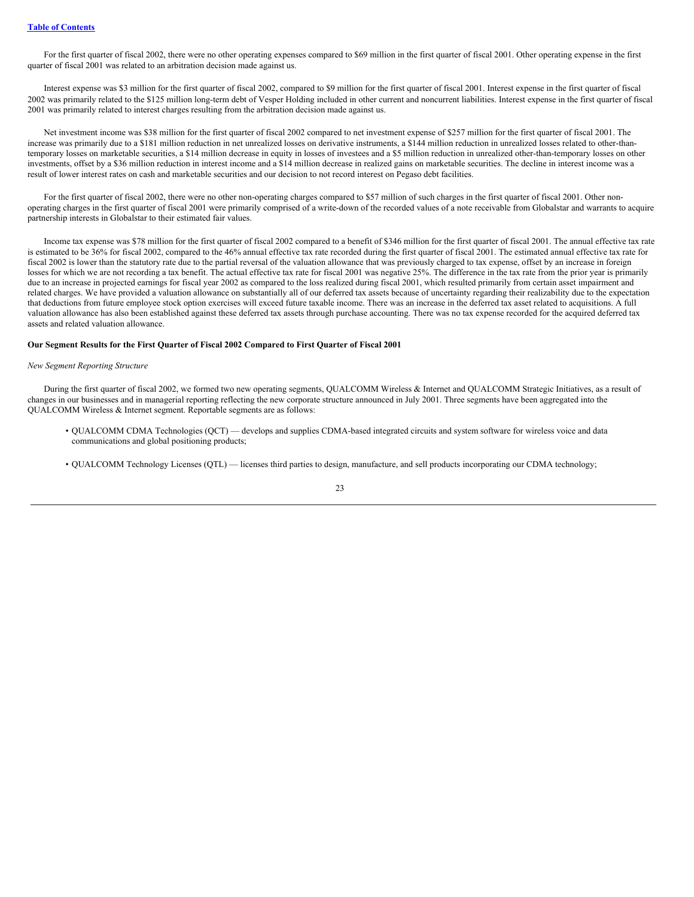For the first quarter of fiscal 2002, there were no other operating expenses compared to \$69 million in the first quarter of fiscal 2001. Other operating expense in the first quarter of fiscal 2001 was related to an arbitration decision made against us.

Interest expense was \$3 million for the first quarter of fiscal 2002, compared to \$9 million for the first quarter of fiscal 2001. Interest expense in the first quarter of fiscal 2002 was primarily related to the \$125 million long-term debt of Vesper Holding included in other current and noncurrent liabilities. Interest expense in the first quarter of fiscal 2001 was primarily related to interest charges resulting from the arbitration decision made against us.

Net investment income was \$38 million for the first quarter of fiscal 2002 compared to net investment expense of \$257 million for the first quarter of fiscal 2001. The increase was primarily due to a \$181 million reduction in net unrealized losses on derivative instruments, a \$144 million reduction in unrealized losses related to other-thantemporary losses on marketable securities, a \$14 million decrease in equity in losses of investees and a \$5 million reduction in unrealized other-than-temporary losses on other investments, offset by a \$36 million reduction in interest income and a \$14 million decrease in realized gains on marketable securities. The decline in interest income was a result of lower interest rates on cash and marketable securities and our decision to not record interest on Pegaso debt facilities.

For the first quarter of fiscal 2002, there were no other non-operating charges compared to \$57 million of such charges in the first quarter of fiscal 2001. Other nonoperating charges in the first quarter of fiscal 2001 were primarily comprised of a write-down of the recorded values of a note receivable from Globalstar and warrants to acquire partnership interests in Globalstar to their estimated fair values.

Income tax expense was \$78 million for the first quarter of fiscal 2002 compared to a benefit of \$346 million for the first quarter of fiscal 2001. The annual effective tax rate is estimated to be 36% for fiscal 2002, compared to the 46% annual effective tax rate recorded during the first quarter of fiscal 2001. The estimated annual effective tax rate for fiscal 2002 is lower than the statutory rate due to the partial reversal of the valuation allowance that was previously charged to tax expense, offset by an increase in foreign losses for which we are not recording a tax benefit. The actual effective tax rate for fiscal 2001 was negative 25%. The difference in the tax rate from the prior year is primarily due to an increase in projected earnings for fiscal year 2002 as compared to the loss realized during fiscal 2001, which resulted primarily from certain asset impairment and related charges. We have provided a valuation allowance on substantially all of our deferred tax assets because of uncertainty regarding their realizability due to the expectation that deductions from future employee stock option exercises will exceed future taxable income. There was an increase in the deferred tax asset related to acquisitions. A full valuation allowance has also been established against these deferred tax assets through purchase accounting. There was no tax expense recorded for the acquired deferred tax assets and related valuation allowance.

# **Our Segment Results for the First Quarter of Fiscal 2002 Compared to First Quarter of Fiscal 2001**

# *New Segment Reporting Structure*

During the first quarter of fiscal 2002, we formed two new operating segments, QUALCOMM Wireless & Internet and QUALCOMM Strategic Initiatives, as a result of changes in our businesses and in managerial reporting reflecting the new corporate structure announced in July 2001. Three segments have been aggregated into the QUALCOMM Wireless & Internet segment. Reportable segments are as follows:

- QUALCOMM CDMA Technologies (QCT) develops and supplies CDMA-based integrated circuits and system software for wireless voice and data communications and global positioning products;
- QUALCOMM Technology Licenses (QTL) licenses third parties to design, manufacture, and sell products incorporating our CDMA technology;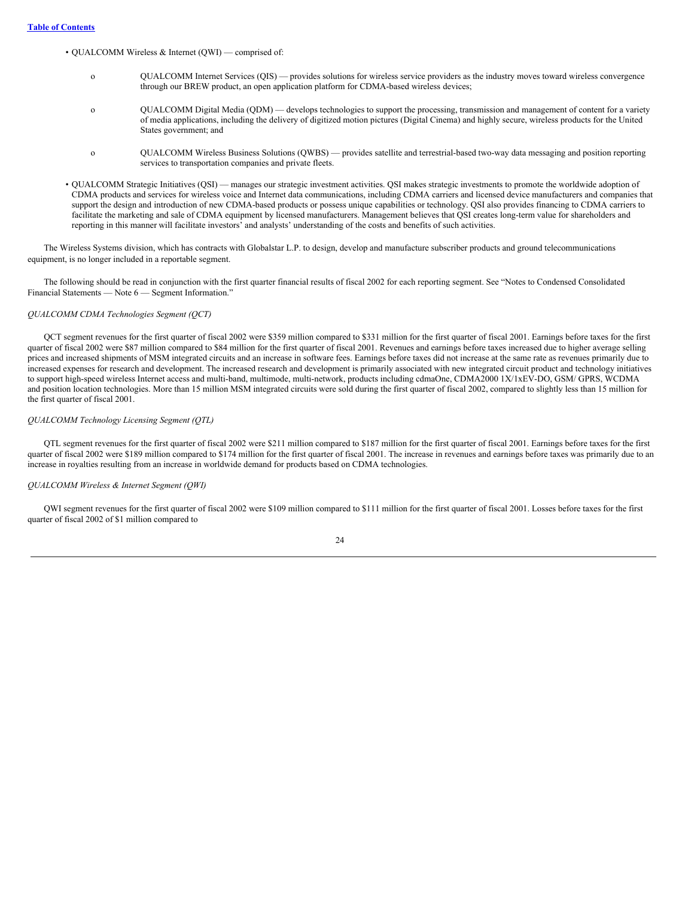- QUALCOMM Wireless & Internet (QWI) comprised of:
	- o QUALCOMM Internet Services (QIS) provides solutions for wireless service providers as the industry moves toward wireless convergence through our BREW product, an open application platform for CDMA-based wireless devices;
	- o QUALCOMM Digital Media (QDM) develops technologies to support the processing, transmission and management of content for a variety of media applications, including the delivery of digitized motion pictures (Digital Cinema) and highly secure, wireless products for the United States government; and
	- o QUALCOMM Wireless Business Solutions (QWBS) provides satellite and terrestrial-based two-way data messaging and position reporting services to transportation companies and private fleets.
- QUALCOMM Strategic Initiatives (QSI) manages our strategic investment activities. QSI makes strategic investments to promote the worldwide adoption of CDMA products and services for wireless voice and Internet data communications, including CDMA carriers and licensed device manufacturers and companies that support the design and introduction of new CDMA-based products or possess unique capabilities or technology. QSI also provides financing to CDMA carriers to facilitate the marketing and sale of CDMA equipment by licensed manufacturers. Management believes that QSI creates long-term value for shareholders and reporting in this manner will facilitate investors' and analysts' understanding of the costs and benefits of such activities.

The Wireless Systems division, which has contracts with Globalstar L.P. to design, develop and manufacture subscriber products and ground telecommunications equipment, is no longer included in a reportable segment.

The following should be read in conjunction with the first quarter financial results of fiscal 2002 for each reporting segment. See "Notes to Condensed Consolidated Financial Statements — Note 6 — Segment Information."

#### *QUALCOMM CDMA Technologies Segment (QCT)*

QCT segment revenues for the first quarter of fiscal 2002 were \$359 million compared to \$331 million for the first quarter of fiscal 2001. Earnings before taxes for the first quarter of fiscal 2002 were \$87 million compared to \$84 million for the first quarter of fiscal 2001. Revenues and earnings before taxes increased due to higher average selling prices and increased shipments of MSM integrated circuits and an increase in software fees. Earnings before taxes did not increase at the same rate as revenues primarily due to increased expenses for research and development. The increased research and development is primarily associated with new integrated circuit product and technology initiatives to support high-speed wireless Internet access and multi-band, multimode, multi-network, products including cdmaOne, CDMA2000 1X/1xEV-DO, GSM/ GPRS, WCDMA and position location technologies. More than 15 million MSM integrated circuits were sold during the first quarter of fiscal 2002, compared to slightly less than 15 million for the first quarter of fiscal 2001.

#### *QUALCOMM Technology Licensing Segment (QTL)*

QTL segment revenues for the first quarter of fiscal 2002 were \$211 million compared to \$187 million for the first quarter of fiscal 2001. Earnings before taxes for the first quarter of fiscal 2002 were \$189 million compared to \$174 million for the first quarter of fiscal 2001. The increase in revenues and earnings before taxes was primarily due to an increase in royalties resulting from an increase in worldwide demand for products based on CDMA technologies.

# *QUALCOMM Wireless & Internet Segment (QWI)*

QWI segment revenues for the first quarter of fiscal 2002 were \$109 million compared to \$111 million for the first quarter of fiscal 2001. Losses before taxes for the first quarter of fiscal 2002 of \$1 million compared to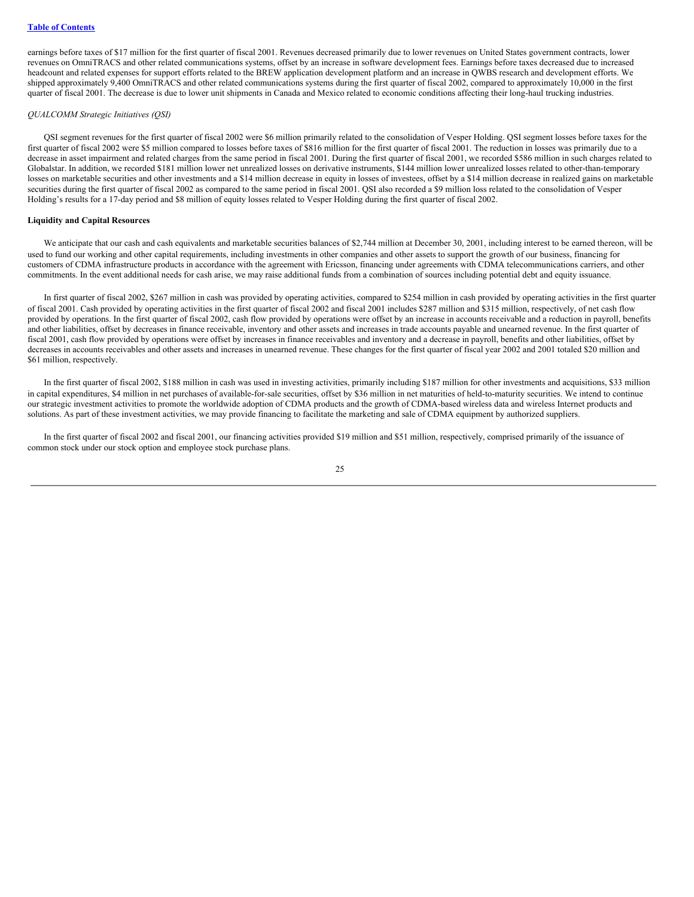earnings before taxes of \$17 million for the first quarter of fiscal 2001. Revenues decreased primarily due to lower revenues on United States government contracts, lower revenues on OmniTRACS and other related communications systems, offset by an increase in software development fees. Earnings before taxes decreased due to increased headcount and related expenses for support efforts related to the BREW application development platform and an increase in QWBS research and development efforts. We shipped approximately 9,400 OmniTRACS and other related communications systems during the first quarter of fiscal 2002, compared to approximately 10,000 in the first quarter of fiscal 2001. The decrease is due to lower unit shipments in Canada and Mexico related to economic conditions affecting their long-haul trucking industries.

#### *QUALCOMM Strategic Initiatives (QSI)*

QSI segment revenues for the first quarter of fiscal 2002 were \$6 million primarily related to the consolidation of Vesper Holding. QSI segment losses before taxes for the first quarter of fiscal 2002 were \$5 million compared to losses before taxes of \$816 million for the first quarter of fiscal 2001. The reduction in losses was primarily due to a decrease in asset impairment and related charges from the same period in fiscal 2001. During the first quarter of fiscal 2001, we recorded \$586 million in such charges related to Globalstar. In addition, we recorded \$181 million lower net unrealized losses on derivative instruments, \$144 million lower unrealized losses related to other-than-temporary losses on marketable securities and other investments and a \$14 million decrease in equity in losses of investees, offset by a \$14 million decrease in realized gains on marketable securities during the first quarter of fiscal 2002 as compared to the same period in fiscal 2001. QSI also recorded a \$9 million loss related to the consolidation of Vesper Holding's results for a 17-day period and \$8 million of equity losses related to Vesper Holding during the first quarter of fiscal 2002.

#### **Liquidity and Capital Resources**

We anticipate that our cash and cash equivalents and marketable securities balances of \$2,744 million at December 30, 2001, including interest to be earned thereon, will be used to fund our working and other capital requirements, including investments in other companies and other assets to support the growth of our business, financing for customers of CDMA infrastructure products in accordance with the agreement with Ericsson, financing under agreements with CDMA telecommunications carriers, and other commitments. In the event additional needs for cash arise, we may raise additional funds from a combination of sources including potential debt and equity issuance.

In first quarter of fiscal 2002, \$267 million in cash was provided by operating activities, compared to \$254 million in cash provided by operating activities in the first quarter of fiscal 2001. Cash provided by operating activities in the first quarter of fiscal 2002 and fiscal 2001 includes \$287 million and \$315 million, respectively, of net cash flow provided by operations. In the first quarter of fiscal 2002, cash flow provided by operations were offset by an increase in accounts receivable and a reduction in payroll, benefits and other liabilities, offset by decreases in finance receivable, inventory and other assets and increases in trade accounts payable and unearned revenue. In the first quarter of fiscal 2001, cash flow provided by operations were offset by increases in finance receivables and inventory and a decrease in payroll, benefits and other liabilities, offset by decreases in accounts receivables and other assets and increases in unearned revenue. These changes for the first quarter of fiscal year 2002 and 2001 totaled \$20 million and \$61 million, respectively.

In the first quarter of fiscal 2002, \$188 million in cash was used in investing activities, primarily including \$187 million for other investments and acquisitions, \$33 million in capital expenditures, \$4 million in net purchases of available-for-sale securities, offset by \$36 million in net maturities of held-to-maturity securities. We intend to continue our strategic investment activities to promote the worldwide adoption of CDMA products and the growth of CDMA-based wireless data and wireless Internet products and solutions. As part of these investment activities, we may provide financing to facilitate the marketing and sale of CDMA equipment by authorized suppliers.

In the first quarter of fiscal 2002 and fiscal 2001, our financing activities provided \$19 million and \$51 million, respectively, comprised primarily of the issuance of common stock under our stock option and employee stock purchase plans.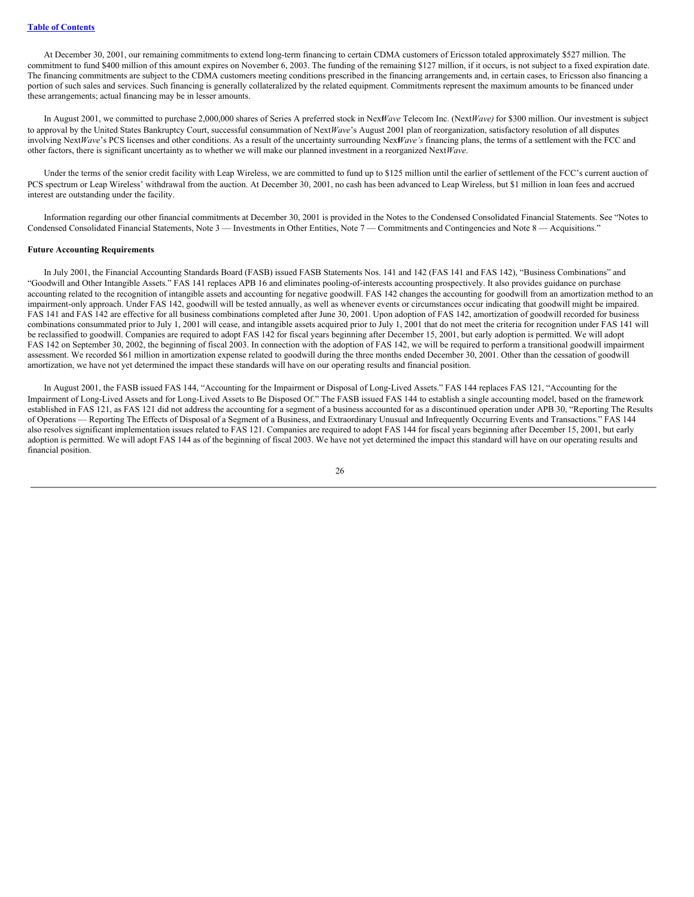At December 30, 2001, our remaining commitments to extend long-term financing to certain CDMA customers of Ericsson totaled approximately \$527 million. The commitment to fund \$400 million of this amount expires on November 6, 2003. The funding of the remaining \$127 million, if it occurs, is not subject to a fixed expiration date. The financing commitments are subject to the CDMA customers meeting conditions prescribed in the financing arrangements and, in certain cases, to Ericsson also financing a portion of such sales and services. Such financing is generally collateralized by the related equipment. Commitments represent the maximum amounts to be financed under these arrangements; actual financing may be in lesser amounts.

In August 2001, we committed to purchase 2,000,000 shares of Series A preferred stock in Nex*W*t *ave* Telecom Inc. (Next*Wave)* for \$300 million. Our investment is subject to approval by the United States Bankruptcy Court, successful consummation of Next*Wave*'s August 2001 plan of reorganization, satisfactory resolution of all disputes involving Next*Wave*'s PCS licenses and other conditions. As a result of the uncertainty surrounding Nex*Wave's* financing plans, the terms of a settlement with the FCC and other factors, there is significant uncertainty as to whether we will make our planned investment in a reorganized Next*Wave*.

Under the terms of the senior credit facility with Leap Wireless, we are committed to fund up to \$125 million until the earlier of settlement of the FCC's current auction of PCS spectrum or Leap Wireless' withdrawal from the auction. At December 30, 2001, no cash has been advanced to Leap Wireless, but \$1 million in loan fees and accrued interest are outstanding under the facility.

Information regarding our other financial commitments at December 30, 2001 is provided in the Notes to the Condensed Consolidated Financial Statements. See "Notes to Condensed Consolidated Financial Statements, Note 3 — Investments in Other Entities, Note 7 — Commitments and Contingencies and Note 8 — Acquisitions."

# **Future Accounting Requirements**

In July 2001, the Financial Accounting Standards Board (FASB) issued FASB Statements Nos. 141 and 142 (FAS 141 and FAS 142), "Business Combinations" and "Goodwill and Other Intangible Assets." FAS 141 replaces APB 16 and eliminates pooling-of-interests accounting prospectively. It also provides guidance on purchase accounting related to the recognition of intangible assets and accounting for negative goodwill. FAS 142 changes the accounting for goodwill from an amortization method to an impairment-only approach. Under FAS 142, goodwill will be tested annually, as well as whenever events or circumstances occur indicating that goodwill might be impaired. FAS 141 and FAS 142 are effective for all business combinations completed after June 30, 2001. Upon adoption of FAS 142, amortization of goodwill recorded for business combinations consummated prior to July 1, 2001 will cease, and intangible assets acquired prior to July 1, 2001 that do not meet the criteria for recognition under FAS 141 will be reclassified to goodwill. Companies are required to adopt FAS 142 for fiscal years beginning after December 15, 2001, but early adoption is permitted. We will adopt FAS 142 on September 30, 2002, the beginning of fiscal 2003. In connection with the adoption of FAS 142, we will be required to perform a transitional goodwill impairment assessment. We recorded \$61 million in amortization expense related to goodwill during the three months ended December 30, 2001. Other than the cessation of goodwill amortization, we have not yet determined the impact these standards will have on our operating results and financial position.

In August 2001, the FASB issued FAS 144, "Accounting for the Impairment or Disposal of Long-Lived Assets." FAS 144 replaces FAS 121, "Accounting for the Impairment of Long-Lived Assets and for Long-Lived Assets to Be Disposed Of." The FASB issued FAS 144 to establish a single accounting model, based on the framework established in FAS 121, as FAS 121 did not address the accounting for a segment of a business accounted for as a discontinued operation under APB 30, "Reporting The Results of Operations — Reporting The Effects of Disposal of a Segment of a Business, and Extraordinary Unusual and Infrequently Occurring Events and Transactions." FAS 144 also resolves significant implementation issues related to FAS 121. Companies are required to adopt FAS 144 for fiscal years beginning after December 15, 2001, but early adoption is permitted. We will adopt FAS 144 as of the beginning of fiscal 2003. We have not yet determined the impact this standard will have on our operating results and financial position.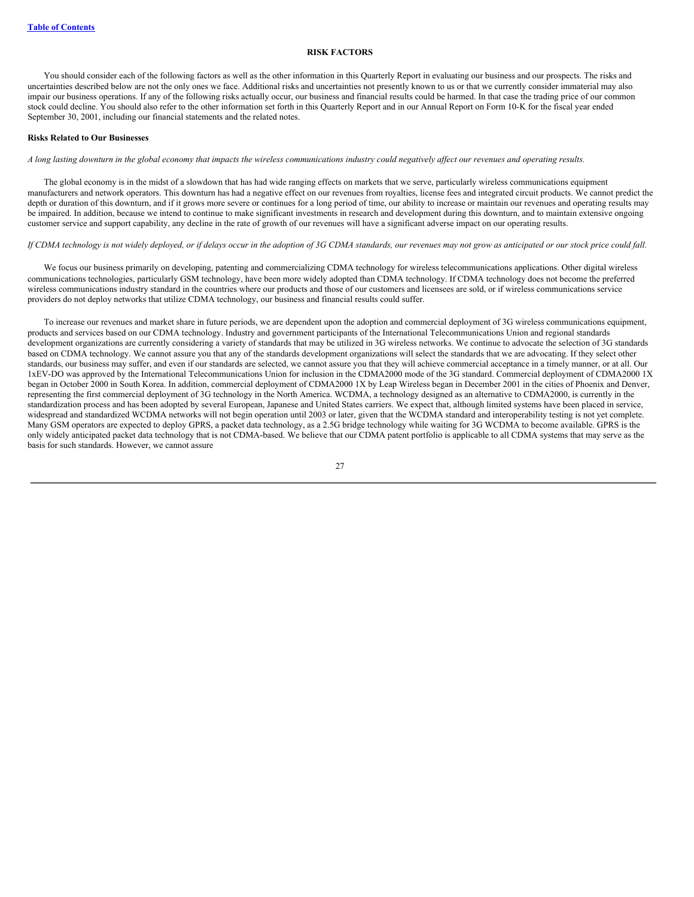## **RISK FACTORS**

You should consider each of the following factors as well as the other information in this Quarterly Report in evaluating our business and our prospects. The risks and uncertainties described below are not the only ones we face. Additional risks and uncertainties not presently known to us or that we currently consider immaterial may also impair our business operations. If any of the following risks actually occur, our business and financial results could be harmed. In that case the trading price of our common stock could decline. You should also refer to the other information set forth in this Quarterly Report and in our Annual Report on Form 10-K for the fiscal year ended September 30, 2001, including our financial statements and the related notes.

## **Risks Related to Our Businesses**

A long lasting downturn in the global economy that impacts the wireless communications industry could negatively affect our revenues and operating results.

The global economy is in the midst of a slowdown that has had wide ranging effects on markets that we serve, particularly wireless communications equipment manufacturers and network operators. This downturn has had a negative effect on our revenues from royalties, license fees and integrated circuit products. We cannot predict the depth or duration of this downturn, and if it grows more severe or continues for a long period of time, our ability to increase or maintain our revenues and operating results may be impaired. In addition, because we intend to continue to make significant investments in research and development during this downturn, and to maintain extensive ongoing customer service and support capability, any decline in the rate of growth of our revenues will have a significant adverse impact on our operating results.

### If CDMA technology is not widely deployed, or if delays occur in the adoption of 3G CDMA standards, our revenues may not grow as anticipated or our stock price could fall.

We focus our business primarily on developing, patenting and commercializing CDMA technology for wireless telecommunications applications. Other digital wireless communications technologies, particularly GSM technology, have been more widely adopted than CDMA technology. If CDMA technology does not become the preferred wireless communications industry standard in the countries where our products and those of our customers and licensees are sold, or if wireless communications service providers do not deploy networks that utilize CDMA technology, our business and financial results could suffer.

To increase our revenues and market share in future periods, we are dependent upon the adoption and commercial deployment of 3G wireless communications equipment, products and services based on our CDMA technology. Industry and government participants of the International Telecommunications Union and regional standards development organizations are currently considering a variety of standards that may be utilized in 3G wireless networks. We continue to advocate the selection of 3G standards based on CDMA technology. We cannot assure you that any of the standards development organizations will select the standards that we are advocating. If they select other standards, our business may suffer, and even if our standards are selected, we cannot assure you that they will achieve commercial acceptance in a timely manner, or at all. Our 1xEV-DO was approved by the International Telecommunications Union for inclusion in the CDMA2000 mode of the 3G standard. Commercial deployment of CDMA2000 1X began in October 2000 in South Korea. In addition, commercial deployment of CDMA2000 1X by Leap Wireless began in December 2001 in the cities of Phoenix and Denver, representing the first commercial deployment of 3G technology in the North America. WCDMA, a technology designed as an alternative to CDMA2000, is currently in the standardization process and has been adopted by several European, Japanese and United States carriers. We expect that, although limited systems have been placed in service, widespread and standardized WCDMA networks will not begin operation until 2003 or later, given that the WCDMA standard and interoperability testing is not yet complete. Many GSM operators are expected to deploy GPRS, a packet data technology, as a 2.5G bridge technology while waiting for 3G WCDMA to become available. GPRS is the only widely anticipated packet data technology that is not CDMA-based. We believe that our CDMA patent portfolio is applicable to all CDMA systems that may serve as the basis for such standards. However, we cannot assure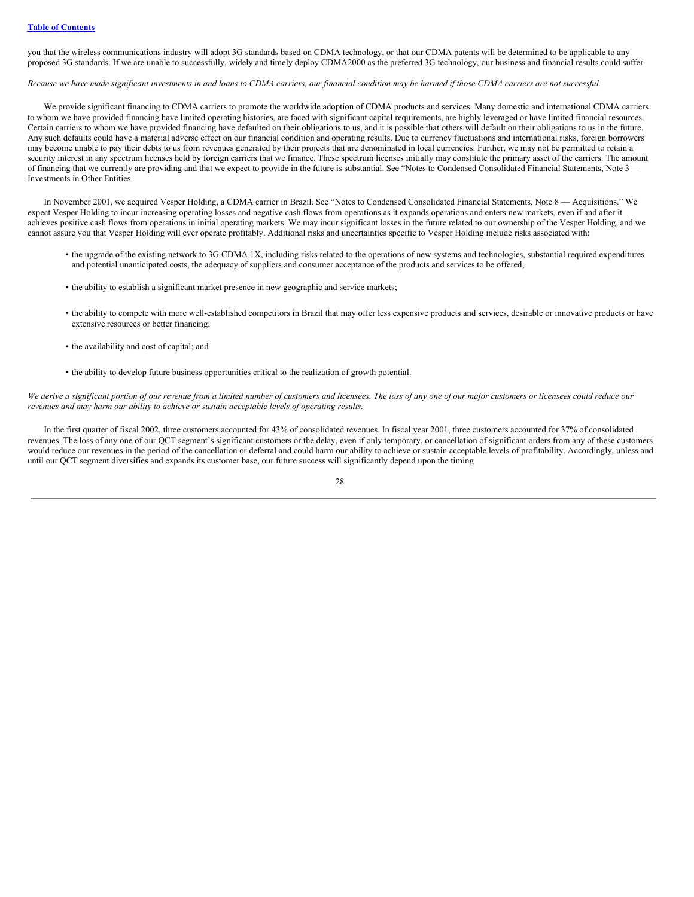you that the wireless communications industry will adopt 3G standards based on CDMA technology, or that our CDMA patents will be determined to be applicable to any proposed 3G standards. If we are unable to successfully, widely and timely deploy CDMA2000 as the preferred 3G technology, our business and financial results could suffer.

Because we have made significant investments in and loans to CDMA carriers, our financial condition may be harmed if those CDMA carriers are not successful.

We provide significant financing to CDMA carriers to promote the worldwide adoption of CDMA products and services. Many domestic and international CDMA carriers to whom we have provided financing have limited operating histories, are faced with significant capital requirements, are highly leveraged or have limited financial resources. Certain carriers to whom we have provided financing have defaulted on their obligations to us, and it is possible that others will default on their obligations to us in the future. Any such defaults could have a material adverse effect on our financial condition and operating results. Due to currency fluctuations and international risks, foreign borrowers may become unable to pay their debts to us from revenues generated by their projects that are denominated in local currencies. Further, we may not be permitted to retain a security interest in any spectrum licenses held by foreign carriers that we finance. These spectrum licenses initially may constitute the primary asset of the carriers. The amount of financing that we currently are providing and that we expect to provide in the future is substantial. See "Notes to Condensed Consolidated Financial Statements, Note 3 -Investments in Other Entities.

In November 2001, we acquired Vesper Holding, a CDMA carrier in Brazil. See "Notes to Condensed Consolidated Financial Statements, Note 8 — Acquisitions." We expect Vesper Holding to incur increasing operating losses and negative cash flows from operations as it expands operations and enters new markets, even if and after it achieves positive cash flows from operations in initial operating markets. We may incur significant losses in the future related to our ownership of the Vesper Holding, and we cannot assure you that Vesper Holding will ever operate profitably. Additional risks and uncertainties specific to Vesper Holding include risks associated with:

- the upgrade of the existing network to 3G CDMA 1X, including risks related to the operations of new systems and technologies, substantial required expenditures and potential unanticipated costs, the adequacy of suppliers and consumer acceptance of the products and services to be offered;
- the ability to establish a significant market presence in new geographic and service markets;
- the ability to compete with more well-established competitors in Brazil that may offer less expensive products and services, desirable or innovative products or have extensive resources or better financing;
- the availability and cost of capital; and
- the ability to develop future business opportunities critical to the realization of growth potential.

We derive a significant portion of our revenue from a limited number of customers and licensees. The loss of any one of our major customers or licensees could reduce our *revenues and may harm our ability to achieve or sustain acceptable levels of operating results.*

In the first quarter of fiscal 2002, three customers accounted for 43% of consolidated revenues. In fiscal year 2001, three customers accounted for 37% of consolidated revenues. The loss of any one of our QCT segment's significant customers or the delay, even if only temporary, or cancellation of significant orders from any of these customers would reduce our revenues in the period of the cancellation or deferral and could harm our ability to achieve or sustain acceptable levels of profitability. Accordingly, unless and until our QCT segment diversifies and expands its customer base, our future success will significantly depend upon the timing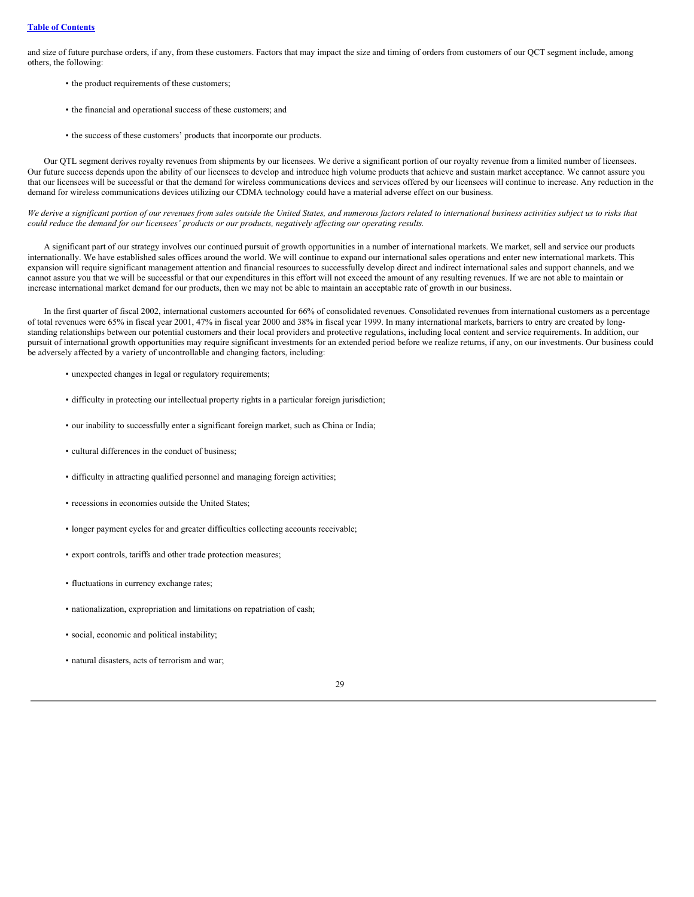and size of future purchase orders, if any, from these customers. Factors that may impact the size and timing of orders from customers of our QCT segment include, among others, the following:

- the product requirements of these customers;
- the financial and operational success of these customers; and
- the success of these customers' products that incorporate our products.

Our QTL segment derives royalty revenues from shipments by our licensees. We derive a significant portion of our royalty revenue from a limited number of licensees. Our future success depends upon the ability of our licensees to develop and introduce high volume products that achieve and sustain market acceptance. We cannot assure you that our licensees will be successful or that the demand for wireless communications devices and services offered by our licensees will continue to increase. Any reduction in the demand for wireless communications devices utilizing our CDMA technology could have a material adverse effect on our business.

We derive a significant portion of our revenues from sales outside the United States, and numerous factors related to international business activities subject us to risks that could reduce the demand for our licensees' products or our products, negatively affecting our operating results.

A significant part of our strategy involves our continued pursuit of growth opportunities in a number of international markets. We market, sell and service our products internationally. We have established sales offices around the world. We will continue to expand our international sales operations and enter new international markets. This expansion will require significant management attention and financial resources to successfully develop direct and indirect international sales and support channels, and we cannot assure you that we will be successful or that our expenditures in this effort will not exceed the amount of any resulting revenues. If we are not able to maintain or increase international market demand for our products, then we may not be able to maintain an acceptable rate of growth in our business.

In the first quarter of fiscal 2002, international customers accounted for 66% of consolidated revenues. Consolidated revenues from international customers as a percentage of total revenues were 65% in fiscal year 2001, 47% in fiscal year 2000 and 38% in fiscal year 1999. In many international markets, barriers to entry are created by longstanding relationships between our potential customers and their local providers and protective regulations, including local content and service requirements. In addition, our pursuit of international growth opportunities may require significant investments for an extended period before we realize returns, if any, on our investments. Our business could be adversely affected by a variety of uncontrollable and changing factors, including:

- unexpected changes in legal or regulatory requirements;
- difficulty in protecting our intellectual property rights in a particular foreign jurisdiction;
- our inability to successfully enter a significant foreign market, such as China or India;
- cultural differences in the conduct of business;
- difficulty in attracting qualified personnel and managing foreign activities;
- recessions in economies outside the United States;
- longer payment cycles for and greater difficulties collecting accounts receivable;
- export controls, tariffs and other trade protection measures;
- fluctuations in currency exchange rates;
- nationalization, expropriation and limitations on repatriation of cash;
- social, economic and political instability;
- natural disasters, acts of terrorism and war;

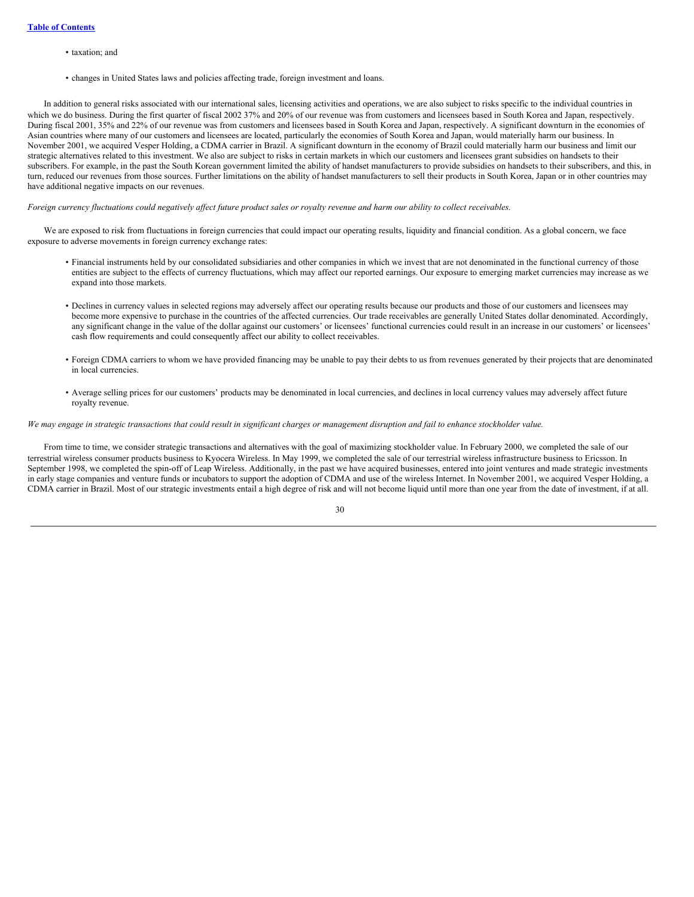- taxation; and
- changes in United States laws and policies affecting trade, foreign investment and loans.

In addition to general risks associated with our international sales, licensing activities and operations, we are also subject to risks specific to the individual countries in which we do business. During the first quarter of fiscal 2002 37% and 20% of our revenue was from customers and licensees based in South Korea and Japan, respectively. During fiscal 2001, 35% and 22% of our revenue was from customers and licensees based in South Korea and Japan, respectively. A significant downturn in the economies of Asian countries where many of our customers and licensees are located, particularly the economies of South Korea and Japan, would materially harm our business. In November 2001, we acquired Vesper Holding, a CDMA carrier in Brazil. A significant downturn in the economy of Brazil could materially harm our business and limit our strategic alternatives related to this investment. We also are subject to risks in certain markets in which our customers and licensees grant subsidies on handsets to their subscribers. For example, in the past the South Korean government limited the ability of handset manufacturers to provide subsidies on handsets to their subscribers, and this, in turn, reduced our revenues from those sources. Further limitations on the ability of handset manufacturers to sell their products in South Korea, Japan or in other countries may have additional negative impacts on our revenues.

#### Foreign currency fluctuations could negatively affect future product sales or royalty revenue and harm our ability to collect receivables.

We are exposed to risk from fluctuations in foreign currencies that could impact our operating results, liquidity and financial condition. As a global concern, we face exposure to adverse movements in foreign currency exchange rates:

- Financial instruments held by our consolidated subsidiaries and other companies in which we invest that are not denominated in the functional currency of those entities are subject to the effects of currency fluctuations, which may affect our reported earnings. Our exposure to emerging market currencies may increase as we expand into those markets.
- Declines in currency values in selected regions may adversely affect our operating results because our products and those of our customers and licensees may become more expensive to purchase in the countries of the affected currencies. Our trade receivables are generally United States dollar denominated. Accordingly, any significant change in the value of the dollar against our customers' or licensees' functional currencies could result in an increase in our customers' or licensees' cash flow requirements and could consequently affect our ability to collect receivables.
- Foreign CDMA carriers to whom we have provided financing may be unable to pay their debts to us from revenues generated by their projects that are denominated in local currencies.
- Average selling prices for our customers' products may be denominated in local currencies, and declines in local currency values may adversely affect future royalty revenue.

### We may engage in strategic transactions that could result in significant charges or management disruption and fail to enhance stockholder value.

From time to time, we consider strategic transactions and alternatives with the goal of maximizing stockholder value. In February 2000, we completed the sale of our terrestrial wireless consumer products business to Kyocera Wireless. In May 1999, we completed the sale of our terrestrial wireless infrastructure business to Ericsson. In September 1998, we completed the spin-off of Leap Wireless. Additionally, in the past we have acquired businesses, entered into joint ventures and made strategic investments in early stage companies and venture funds or incubators to support the adoption of CDMA and use of the wireless Internet. In November 2001, we acquired Vesper Holding, a CDMA carrier in Brazil. Most of our strategic investments entail a high degree of risk and will not become liquid until more than one year from the date of investment, if at all.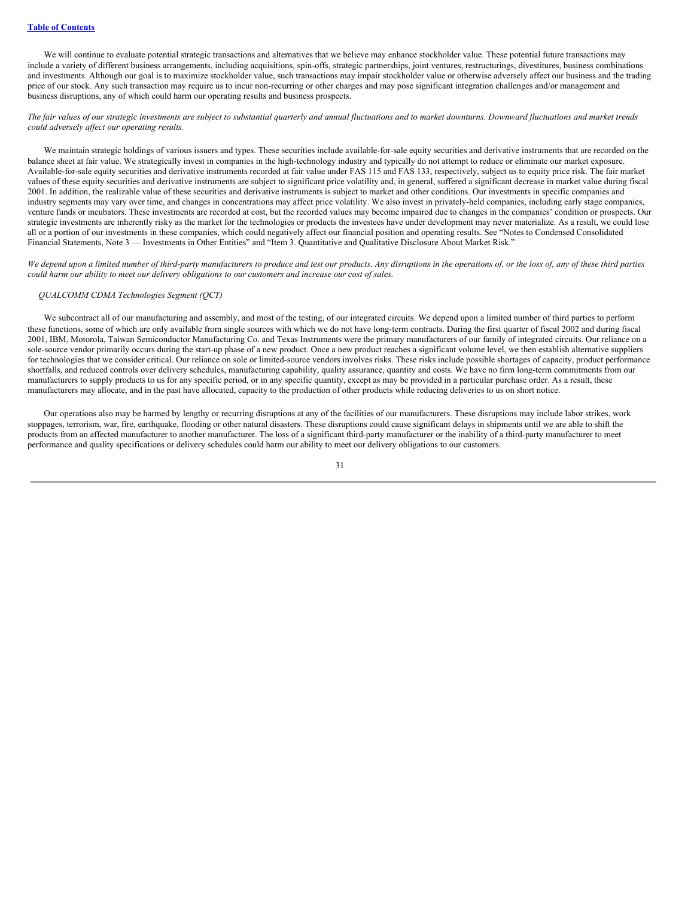We will continue to evaluate potential strategic transactions and alternatives that we believe may enhance stockholder value. These potential future transactions may include a variety of different business arrangements, including acquisitions, spin-offs, strategic partnerships, joint ventures, restructurings, divestitures, business combinations and investments. Although our goal is to maximize stockholder value, such transactions may impair stockholder value or otherwise adversely affect our business and the trading price of our stock. Any such transaction may require us to incur non-recurring or other charges and may pose significant integration challenges and/or management and business disruptions, any of which could harm our operating results and business prospects.

# The fair values of our strategic investments are subject to substantial quarterly and annual fluctuations and to market downturns. Downward fluctuations and market trends *could adversely af ect our operating results.*

We maintain strategic holdings of various issuers and types. These securities include available-for-sale equity securities and derivative instruments that are recorded on the balance sheet at fair value. We strategically invest in companies in the high-technology industry and typically do not attempt to reduce or eliminate our market exposure. Available-for-sale equity securities and derivative instruments recorded at fair value under FAS 115 and FAS 133, respectively, subject us to equity price risk. The fair market values of these equity securities and derivative instruments are subject to significant price volatility and, in general, suffered a significant decrease in market value during fiscal 2001. In addition, the realizable value of these securities and derivative instruments is subject to market and other conditions. Our investments in specific companies and industry segments may vary over time, and changes in concentrations may affect price volatility. We also invest in privately-held companies, including early stage companies, venture funds or incubators. These investments are recorded at cost, but the recorded values may become impaired due to changes in the companies' condition or prospects. Our strategic investments are inherently risky as the market for the technologies or products the investees have under development may never materialize. As a result, we could lose all or a portion of our investments in these companies, which could negatively affect our financial position and operating results. See "Notes to Condensed Consolidated Financial Statements, Note 3 — Investments in Other Entities" and "Item 3. Quantitative and Qualitative Disclosure About Market Risk."

We depend upon a limited number of third-party manufacturers to produce and test our products. Any disruptions in the operations of, or the loss of, any of these third parties could harm our ability to meet our delivery obligations to our customers and increase our cost of sales.

#### *QUALCOMM CDMA Technologies Segment (QCT)*

We subcontract all of our manufacturing and assembly, and most of the testing, of our integrated circuits. We depend upon a limited number of third parties to perform these functions, some of which are only available from single sources with which we do not have long-term contracts. During the first quarter of fiscal 2002 and during fiscal 2001, IBM, Motorola, Taiwan Semiconductor Manufacturing Co. and Texas Instruments were the primary manufacturers of our family of integrated circuits. Our reliance on a sole-source vendor primarily occurs during the start-up phase of a new product. Once a new product reaches a significant volume level, we then establish alternative suppliers for technologies that we consider critical. Our reliance on sole or limited-source vendors involves risks. These risks include possible shortages of capacity, product performance shortfalls, and reduced controls over delivery schedules, manufacturing capability, quality assurance, quantity and costs. We have no firm long-term commitments from our manufacturers to supply products to us for any specific period, or in any specific quantity, except as may be provided in a particular purchase order. As a result, these manufacturers may allocate, and in the past have allocated, capacity to the production of other products while reducing deliveries to us on short notice.

Our operations also may be harmed by lengthy or recurring disruptions at any of the facilities of our manufacturers. These disruptions may include labor strikes, work stoppages, terrorism, war, fire, earthquake, flooding or other natural disasters. These disruptions could cause significant delays in shipments until we are able to shift the products from an affected manufacturer to another manufacturer. The loss of a significant third-party manufacturer or the inability of a third-party manufacturer to meet performance and quality specifications or delivery schedules could harm our ability to meet our delivery obligations to our customers.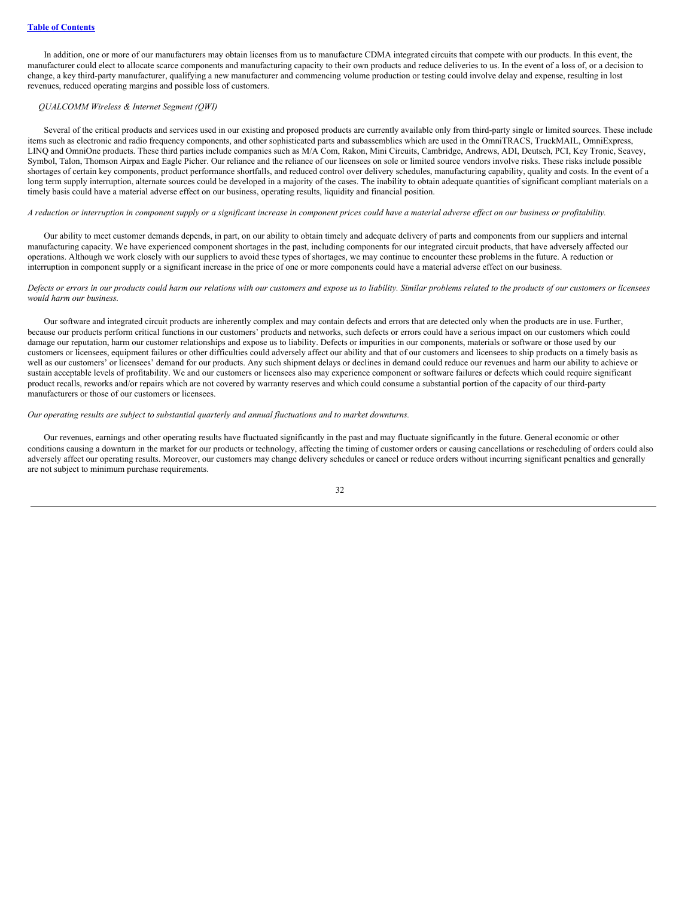In addition, one or more of our manufacturers may obtain licenses from us to manufacture CDMA integrated circuits that compete with our products. In this event, the manufacturer could elect to allocate scarce components and manufacturing capacity to their own products and reduce deliveries to us. In the event of a loss of, or a decision to change, a key third-party manufacturer, qualifying a new manufacturer and commencing volume production or testing could involve delay and expense, resulting in lost revenues, reduced operating margins and possible loss of customers.

#### *QUALCOMM Wireless & Internet Segment (QWI)*

Several of the critical products and services used in our existing and proposed products are currently available only from third-party single or limited sources. These include items such as electronic and radio frequency components, and other sophisticated parts and subassemblies which are used in the OmniTRACS, TruckMAIL, OmniExpress, LINQ and OmniOne products. These third parties include companies such as M/A Com, Rakon, Mini Circuits, Cambridge, Andrews, ADI, Deutsch, PCI, Key Tronic, Seavey, Symbol, Talon, Thomson Airpax and Eagle Picher. Our reliance and the reliance of our licensees on sole or limited source vendors involve risks. These risks include possible shortages of certain key components, product performance shortfalls, and reduced control over delivery schedules, manufacturing capability, quality and costs. In the event of a long term supply interruption, alternate sources could be developed in a majority of the cases. The inability to obtain adequate quantities of significant compliant materials on a timely basis could have a material adverse effect on our business, operating results, liquidity and financial position.

### A reduction or interruption in component supply or a significant increase in component prices could have a material adverse effect on our business or profitability.

Our ability to meet customer demands depends, in part, on our ability to obtain timely and adequate delivery of parts and components from our suppliers and internal manufacturing capacity. We have experienced component shortages in the past, including components for our integrated circuit products, that have adversely affected our operations. Although we work closely with our suppliers to avoid these types of shortages, we may continue to encounter these problems in the future. A reduction or interruption in component supply or a significant increase in the price of one or more components could have a material adverse effect on our business.

#### Defects or errors in our products could harm our relations with our customers and expose us to liability. Similar problems related to the products of our customers or licensees *would harm our business.*

Our software and integrated circuit products are inherently complex and may contain defects and errors that are detected only when the products are in use. Further, because our products perform critical functions in our customers' products and networks, such defects or errors could have a serious impact on our customers which could damage our reputation, harm our customer relationships and expose us to liability. Defects or impurities in our components, materials or software or those used by our customers or licensees, equipment failures or other difficulties could adversely affect our ability and that of our customers and licensees to ship products on a timely basis as well as our customers' or licensees' demand for our products. Any such shipment delays or declines in demand could reduce our revenues and harm our ability to achieve or sustain acceptable levels of profitability. We and our customers or licensees also may experience component or software failures or defects which could require significant product recalls, reworks and/or repairs which are not covered by warranty reserves and which could consume a substantial portion of the capacity of our third-party manufacturers or those of our customers or licensees.

#### *Our operating results are subject to substantial quarterly and annual fluctuations and to market downturns.*

Our revenues, earnings and other operating results have fluctuated significantly in the past and may fluctuate significantly in the future. General economic or other conditions causing a downturn in the market for our products or technology, affecting the timing of customer orders or causing cancellations or rescheduling of orders could also adversely affect our operating results. Moreover, our customers may change delivery schedules or cancel or reduce orders without incurring significant penalties and generally are not subject to minimum purchase requirements.

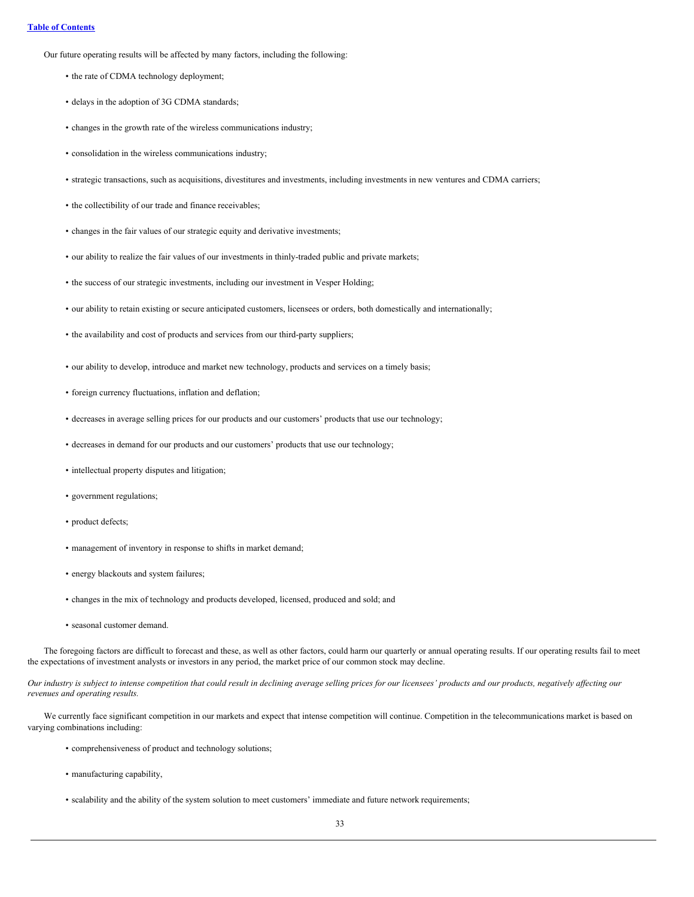Our future operating results will be affected by many factors, including the following:

- the rate of CDMA technology deployment;
- delays in the adoption of 3G CDMA standards;
- changes in the growth rate of the wireless communications industry;
- consolidation in the wireless communications industry;
- strategic transactions, such as acquisitions, divestitures and investments, including investments in new ventures and CDMA carriers;
- the collectibility of our trade and finance receivables;
- changes in the fair values of our strategic equity and derivative investments;
- our ability to realize the fair values of our investments in thinly-traded public and private markets;
- the success of our strategic investments, including our investment in Vesper Holding;
- our ability to retain existing or secure anticipated customers, licensees or orders, both domestically and internationally;
- the availability and cost of products and services from our third-party suppliers;
- our ability to develop, introduce and market new technology, products and services on a timely basis;
- foreign currency fluctuations, inflation and deflation;
- decreases in average selling prices for our products and our customers' products that use our technology;
- decreases in demand for our products and our customers' products that use our technology;
- intellectual property disputes and litigation;
- government regulations;
- product defects;
- management of inventory in response to shifts in market demand;
- energy blackouts and system failures;
- changes in the mix of technology and products developed, licensed, produced and sold; and
- seasonal customer demand.

The foregoing factors are difficult to forecast and these, as well as other factors, could harm our quarterly or annual operating results. If our operating results fail to meet the expectations of investment analysts or investors in any period, the market price of our common stock may decline.

Our industry is subject to intense competition that could result in declining average selling prices for our licensees' products and our products, negatively affecting our *revenues and operating results.*

We currently face significant competition in our markets and expect that intense competition will continue. Competition in the telecommunications market is based on varying combinations including:

- comprehensiveness of product and technology solutions;
- manufacturing capability,
- scalability and the ability of the system solution to meet customers' immediate and future network requirements;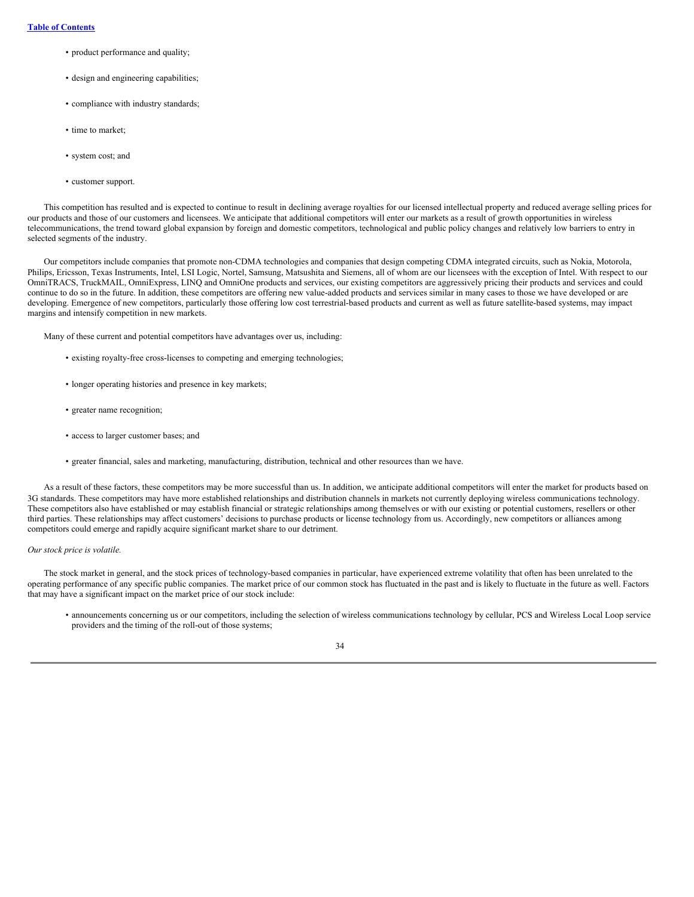- product performance and quality;
- design and engineering capabilities;
- compliance with industry standards;
- time to market:
- system cost; and
- customer support.

This competition has resulted and is expected to continue to result in declining average royalties for our licensed intellectual property and reduced average selling prices for our products and those of our customers and licensees. We anticipate that additional competitors will enter our markets as a result of growth opportunities in wireless telecommunications, the trend toward global expansion by foreign and domestic competitors, technological and public policy changes and relatively low barriers to entry in selected segments of the industry.

Our competitors include companies that promote non-CDMA technologies and companies that design competing CDMA integrated circuits, such as Nokia, Motorola, Philips, Ericsson, Texas Instruments, Intel, LSI Logic, Nortel, Samsung, Matsushita and Siemens, all of whom are our licensees with the exception of Intel. With respect to our OmniTRACS, TruckMAIL, OmniExpress, LINQ and OmniOne products and services, our existing competitors are aggressively pricing their products and services and could continue to do so in the future. In addition, these competitors are offering new value-added products and services similar in many cases to those we have developed or are developing. Emergence of new competitors, particularly those offering low cost terrestrial-based products and current as well as future satellite-based systems, may impact margins and intensify competition in new markets.

Many of these current and potential competitors have advantages over us, including:

- existing royalty-free cross-licenses to competing and emerging technologies;
- longer operating histories and presence in key markets;
- greater name recognition;
- access to larger customer bases; and
- greater financial, sales and marketing, manufacturing, distribution, technical and other resources than we have.

As a result of these factors, these competitors may be more successful than us. In addition, we anticipate additional competitors will enter the market for products based on 3G standards. These competitors may have more established relationships and distribution channels in markets not currently deploying wireless communications technology. These competitors also have established or may establish financial or strategic relationships among themselves or with our existing or potential customers, resellers or other third parties. These relationships may affect customers' decisions to purchase products or license technology from us. Accordingly, new competitors or alliances among competitors could emerge and rapidly acquire significant market share to our detriment.

### *Our stock price is volatile.*

The stock market in general, and the stock prices of technology-based companies in particular, have experienced extreme volatility that often has been unrelated to the operating performance of any specific public companies. The market price of our common stock has fluctuated in the past and is likely to fluctuate in the future as well. Factors that may have a significant impact on the market price of our stock include:

• announcements concerning us or our competitors, including the selection of wireless communications technology by cellular, PCS and Wireless Local Loop service providers and the timing of the roll-out of those systems;

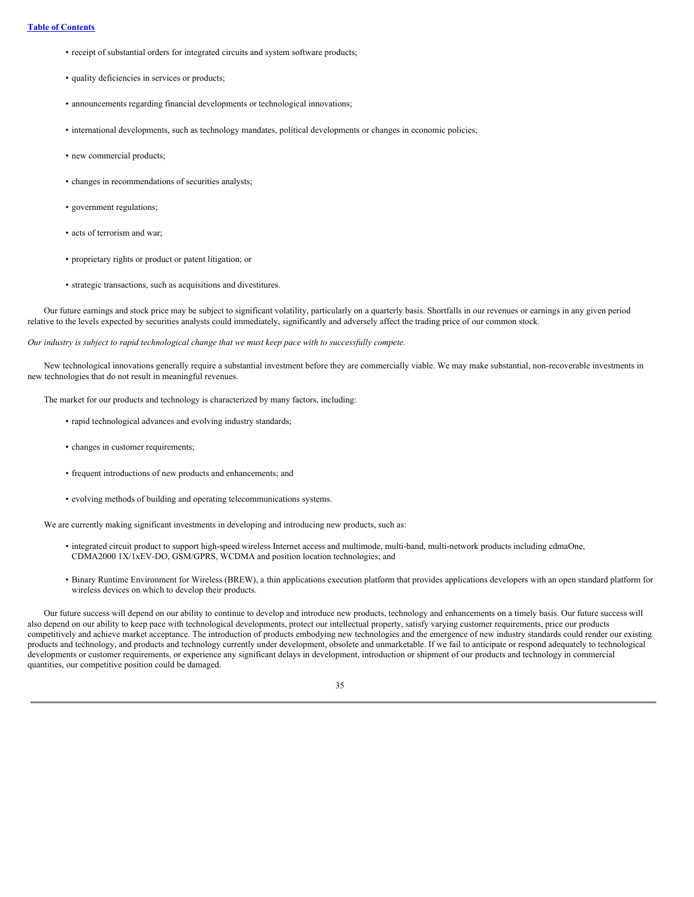- receipt of substantial orders for integrated circuits and system software products;
- quality deficiencies in services or products;
- announcements regarding financial developments or technological innovations;
- international developments, such as technology mandates, political developments or changes in economic policies;
- new commercial products;
- changes in recommendations of securities analysts;
- government regulations;
- acts of terrorism and war;
- proprietary rights or product or patent litigation; or
- strategic transactions, such as acquisitions and divestitures.

Our future earnings and stock price may be subject to significant volatility, particularly on a quarterly basis. Shortfalls in our revenues or earnings in any given period relative to the levels expected by securities analysts could immediately, significantly and adversely affect the trading price of our common stock.

Our industry is subject to rapid technological change that we must keep pace with to successfully compete.

New technological innovations generally require a substantial investment before they are commercially viable. We may make substantial, non-recoverable investments in new technologies that do not result in meaningful revenues.

The market for our products and technology is characterized by many factors, including:

- rapid technological advances and evolving industry standards;
- changes in customer requirements;
- frequent introductions of new products and enhancements; and
- evolving methods of building and operating telecommunications systems.

We are currently making significant investments in developing and introducing new products, such as:

- integrated circuit product to support high-speed wireless Internet access and multimode, multi-band, multi-network products including cdmaOne, CDMA2000 1X/1xEV-DO, GSM/GPRS, WCDMA and position location technologies; and
- Binary Runtime Environment for Wireless (BREW), a thin applications execution platform that provides applications developers with an open standard platform for wireless devices on which to develop their products.

Our future success will depend on our ability to continue to develop and introduce new products, technology and enhancements on a timely basis. Our future success will also depend on our ability to keep pace with technological developments, protect our intellectual property, satisfy varying customer requirements, price our products competitively and achieve market acceptance. The introduction of products embodying new technologies and the emergence of new industry standards could render our existing products and technology, and products and technology currently under development, obsolete and unmarketable. If we fail to anticipate or respond adequately to technological developments or customer requirements, or experience any significant delays in development, introduction or shipment of our products and technology in commercial quantities, our competitive position could be damaged.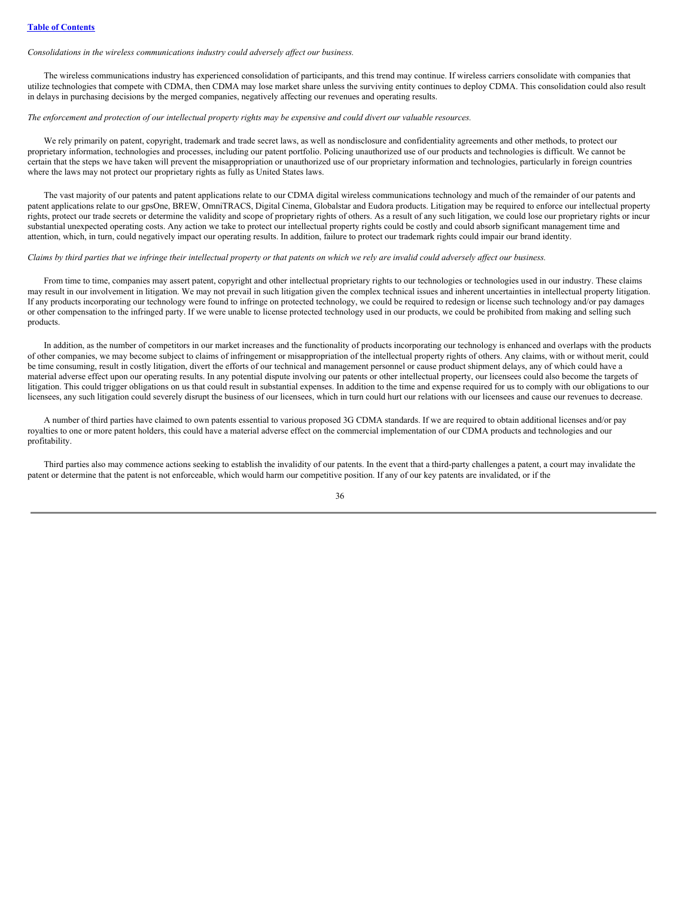#### *Consolidations in the wireless communications industry could adversely af ect our business.*

The wireless communications industry has experienced consolidation of participants, and this trend may continue. If wireless carriers consolidate with companies that utilize technologies that compete with CDMA, then CDMA may lose market share unless the surviving entity continues to deploy CDMA. This consolidation could also result in delays in purchasing decisions by the merged companies, negatively affecting our revenues and operating results.

# The enforcement and protection of our intellectual property rights may be expensive and could divert our valuable resources.

We rely primarily on patent, copyright, trademark and trade secret laws, as well as nondisclosure and confidentiality agreements and other methods, to protect our proprietary information, technologies and processes, including our patent portfolio. Policing unauthorized use of our products and technologies is difficult. We cannot be certain that the steps we have taken will prevent the misappropriation or unauthorized use of our proprietary information and technologies, particularly in foreign countries where the laws may not protect our proprietary rights as fully as United States laws.

The vast majority of our patents and patent applications relate to our CDMA digital wireless communications technology and much of the remainder of our patents and patent applications relate to our gpsOne, BREW, OmniTRACS, Digital Cinema, Globalstar and Eudora products. Litigation may be required to enforce our intellectual property rights, protect our trade secrets or determine the validity and scope of proprietary rights of others. As a result of any such litigation, we could lose our proprietary rights or incur substantial unexpected operating costs. Any action we take to protect our intellectual property rights could be costly and could absorb significant management time and attention, which, in turn, could negatively impact our operating results. In addition, failure to protect our trademark rights could impair our brand identity.

# Claims by third parties that we infringe their intellectual property or that patents on which we rely are invalid could adversely affect our business.

From time to time, companies may assert patent, copyright and other intellectual proprietary rights to our technologies or technologies used in our industry. These claims may result in our involvement in litigation. We may not prevail in such litigation given the complex technical issues and inherent uncertainties in intellectual property litigation. If any products incorporating our technology were found to infringe on protected technology, we could be required to redesign or license such technology and/or pay damages or other compensation to the infringed party. If we were unable to license protected technology used in our products, we could be prohibited from making and selling such products.

In addition, as the number of competitors in our market increases and the functionality of products incorporating our technology is enhanced and overlaps with the products of other companies, we may become subject to claims of infringement or misappropriation of the intellectual property rights of others. Any claims, with or without merit, could be time consuming, result in costly litigation, divert the efforts of our technical and management personnel or cause product shipment delays, any of which could have a material adverse effect upon our operating results. In any potential dispute involving our patents or other intellectual property, our licensees could also become the targets of litigation. This could trigger obligations on us that could result in substantial expenses. In addition to the time and expense required for us to comply with our obligations to our licensees, any such litigation could severely disrupt the business of our licensees, which in turn could hurt our relations with our licensees and cause our revenues to decrease.

A number of third parties have claimed to own patents essential to various proposed 3G CDMA standards. If we are required to obtain additional licenses and/or pay royalties to one or more patent holders, this could have a material adverse effect on the commercial implementation of our CDMA products and technologies and our profitability.

Third parties also may commence actions seeking to establish the invalidity of our patents. In the event that a third-party challenges a patent, a court may invalidate the patent or determine that the patent is not enforceable, which would harm our competitive position. If any of our key patents are invalidated, or if the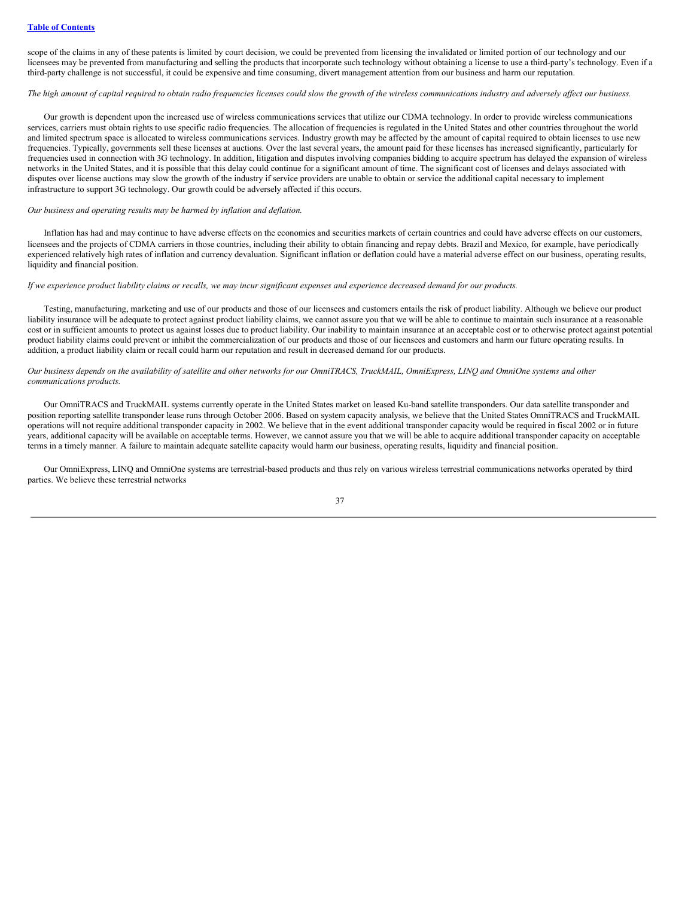scope of the claims in any of these patents is limited by court decision, we could be prevented from licensing the invalidated or limited portion of our technology and our licensees may be prevented from manufacturing and selling the products that incorporate such technology without obtaining a license to use a third-party's technology. Even if a third-party challenge is not successful, it could be expensive and time consuming, divert management attention from our business and harm our reputation.

# The high amount of capital required to obtain radio frequencies licenses could slow the growth of the wireless communications industry and adversely affect our business.

Our growth is dependent upon the increased use of wireless communications services that utilize our CDMA technology. In order to provide wireless communications services, carriers must obtain rights to use specific radio frequencies. The allocation of frequencies is regulated in the United States and other countries throughout the world and limited spectrum space is allocated to wireless communications services. Industry growth may be affected by the amount of capital required to obtain licenses to use new frequencies. Typically, governments sell these licenses at auctions. Over the last several years, the amount paid for these licenses has increased significantly, particularly for frequencies used in connection with 3G technology. In addition, litigation and disputes involving companies bidding to acquire spectrum has delayed the expansion of wireless networks in the United States, and it is possible that this delay could continue for a significant amount of time. The significant cost of licenses and delays associated with disputes over license auctions may slow the growth of the industry if service providers are unable to obtain or service the additional capital necessary to implement infrastructure to support 3G technology. Our growth could be adversely affected if this occurs.

### *Our business and operating results may be harmed by inflation and deflation.*

Inflation has had and may continue to have adverse effects on the economies and securities markets of certain countries and could have adverse effects on our customers, licensees and the projects of CDMA carriers in those countries, including their ability to obtain financing and repay debts. Brazil and Mexico, for example, have periodically experienced relatively high rates of inflation and currency devaluation. Significant inflation or deflation could have a material adverse effect on our business, operating results, liquidity and financial position.

#### If we experience product liability claims or recalls, we may incur significant expenses and experience decreased demand for our products.

Testing, manufacturing, marketing and use of our products and those of our licensees and customers entails the risk of product liability. Although we believe our product liability insurance will be adequate to protect against product liability claims, we cannot assure you that we will be able to continue to maintain such insurance at a reasonable cost or in sufficient amounts to protect us against losses due to product liability. Our inability to maintain insurance at an acceptable cost or to otherwise protect against potential product liability claims could prevent or inhibit the commercialization of our products and those of our licensees and customers and harm our future operating results. In addition, a product liability claim or recall could harm our reputation and result in decreased demand for our products.

# Our business depends on the availability of satellite and other networks for our OmniTRACS, TruckMAIL, OmniExpress, LINO and OmniOne systems and other *communications products.*

Our OmniTRACS and TruckMAIL systems currently operate in the United States market on leased Ku-band satellite transponders. Our data satellite transponder and position reporting satellite transponder lease runs through October 2006. Based on system capacity analysis, we believe that the United States OmniTRACS and TruckMAIL operations will not require additional transponder capacity in 2002. We believe that in the event additional transponder capacity would be required in fiscal 2002 or in future years, additional capacity will be available on acceptable terms. However, we cannot assure you that we will be able to acquire additional transponder capacity on acceptable terms in a timely manner. A failure to maintain adequate satellite capacity would harm our business, operating results, liquidity and financial position.

Our OmniExpress, LINQ and OmniOne systems are terrestrial-based products and thus rely on various wireless terrestrial communications networks operated by third parties. We believe these terrestrial networks

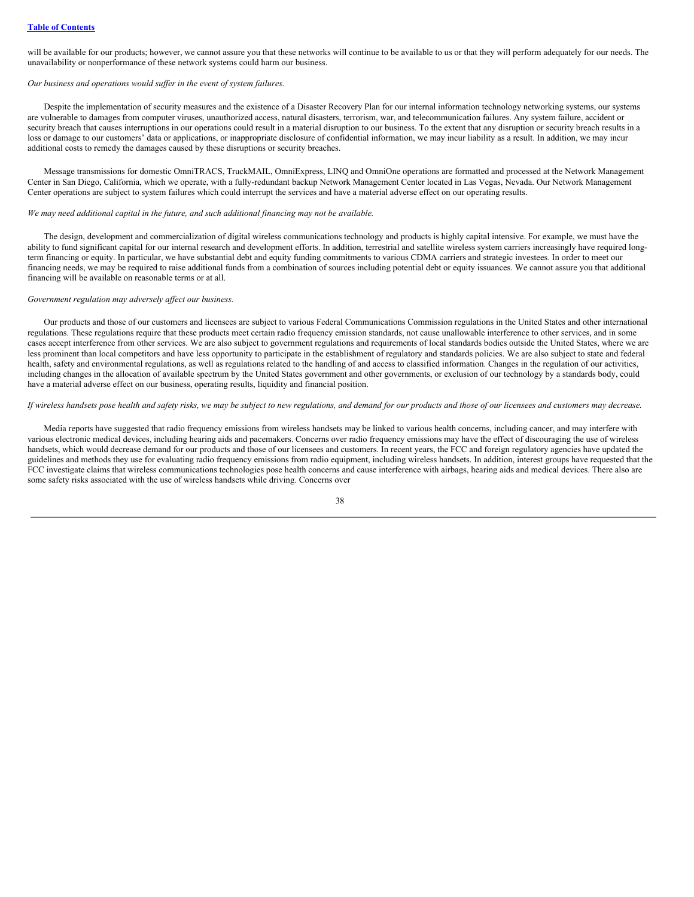will be available for our products; however, we cannot assure you that these networks will continue to be available to us or that they will perform adequately for our needs. The unavailability or nonperformance of these network systems could harm our business.

### *Our business and operations would suf er in the event of system failures.*

Despite the implementation of security measures and the existence of a Disaster Recovery Plan for our internal information technology networking systems, our systems are vulnerable to damages from computer viruses, unauthorized access, natural disasters, terrorism, war, and telecommunication failures. Any system failure, accident or security breach that causes interruptions in our operations could result in a material disruption to our business. To the extent that any disruption or security breach results in a loss or damage to our customers' data or applications, or inappropriate disclosure of confidential information, we may incur liability as a result. In addition, we may incur additional costs to remedy the damages caused by these disruptions or security breaches.

Message transmissions for domestic OmniTRACS, TruckMAIL, OmniExpress, LINQ and OmniOne operations are formatted and processed at the Network Management Center in San Diego, California, which we operate, with a fully-redundant backup Network Management Center located in Las Vegas, Nevada. Our Network Management Center operations are subject to system failures which could interrupt the services and have a material adverse effect on our operating results.

#### *We may need additional capital in the future, and such additional financing may not be available.*

The design, development and commercialization of digital wireless communications technology and products is highly capital intensive. For example, we must have the ability to fund significant capital for our internal research and development efforts. In addition, terrestrial and satellite wireless system carriers increasingly have required longterm financing or equity. In particular, we have substantial debt and equity funding commitments to various CDMA carriers and strategic investees. In order to meet our financing needs, we may be required to raise additional funds from a combination of sources including potential debt or equity issuances. We cannot assure you that additional financing will be available on reasonable terms or at all.

# *Government regulation may adversely af ect our business.*

Our products and those of our customers and licensees are subject to various Federal Communications Commission regulations in the United States and other international regulations. These regulations require that these products meet certain radio frequency emission standards, not cause unallowable interference to other services, and in some cases accept interference from other services. We are also subject to government regulations and requirements of local standards bodies outside the United States, where we are less prominent than local competitors and have less opportunity to participate in the establishment of regulatory and standards policies. We are also subject to state and federal health, safety and environmental regulations, as well as regulations related to the handling of and access to classified information. Changes in the regulation of our activities, including changes in the allocation of available spectrum by the United States government and other governments, or exclusion of our technology by a standards body, could have a material adverse effect on our business, operating results, liquidity and financial position.

# If wireless handsets pose health and safety risks, we may be subject to new regulations, and demand for our products and those of our licensees and customers may decrease.

Media reports have suggested that radio frequency emissions from wireless handsets may be linked to various health concerns, including cancer, and may interfere with various electronic medical devices, including hearing aids and pacemakers. Concerns over radio frequency emissions may have the effect of discouraging the use of wireless handsets, which would decrease demand for our products and those of our licensees and customers. In recent years, the FCC and foreign regulatory agencies have updated the guidelines and methods they use for evaluating radio frequency emissions from radio equipment, including wireless handsets. In addition, interest groups have requested that the FCC investigate claims that wireless communications technologies pose health concerns and cause interference with airbags, hearing aids and medical devices. There also are some safety risks associated with the use of wireless handsets while driving. Concerns over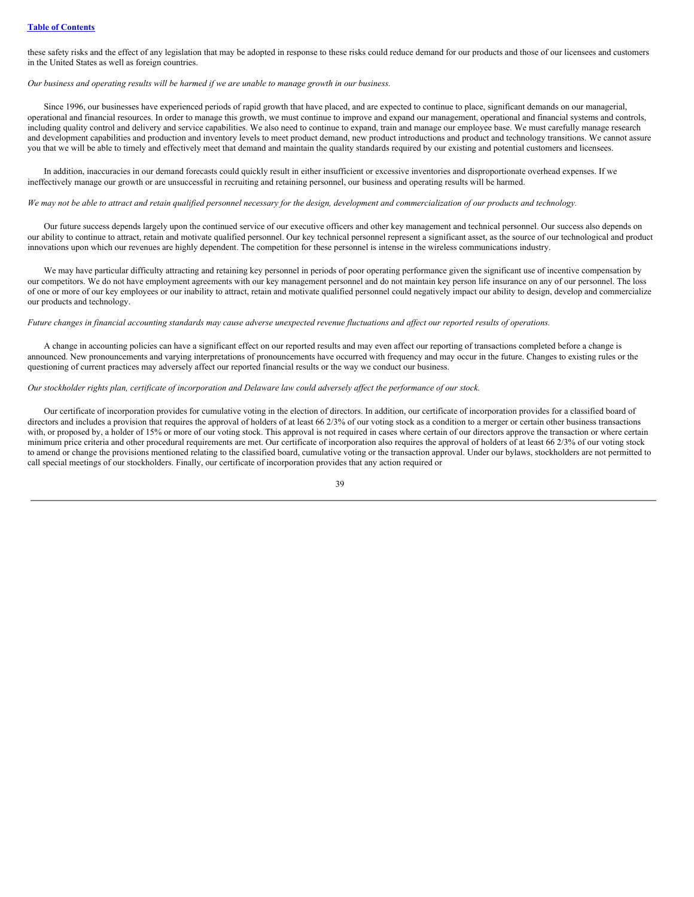#### **Table of [Contents](#page-0-0)**

these safety risks and the effect of any legislation that may be adopted in response to these risks could reduce demand for our products and those of our licensees and customers in the United States as well as foreign countries.

#### Our business and operating results will be harmed if we are unable to manage growth in our business.

Since 1996, our businesses have experienced periods of rapid growth that have placed, and are expected to continue to place, significant demands on our managerial, operational and financial resources. In order to manage this growth, we must continue to improve and expand our management, operational and financial systems and controls, including quality control and delivery and service capabilities. We also need to continue to expand, train and manage our employee base. We must carefully manage research and development capabilities and production and inventory levels to meet product demand, new product introductions and product and technology transitions. We cannot assure you that we will be able to timely and effectively meet that demand and maintain the quality standards required by our existing and potential customers and licensees.

In addition, inaccuracies in our demand forecasts could quickly result in either insufficient or excessive inventories and disproportionate overhead expenses. If we ineffectively manage our growth or are unsuccessful in recruiting and retaining personnel, our business and operating results will be harmed.

# We may not be able to attract and retain qualified personnel necessary for the design, development and commercialization of our products and technology.

Our future success depends largely upon the continued service of our executive officers and other key management and technical personnel. Our success also depends on our ability to continue to attract, retain and motivate qualified personnel. Our key technical personnel represent a significant asset, as the source of our technological and product innovations upon which our revenues are highly dependent. The competition for these personnel is intense in the wireless communications industry.

We may have particular difficulty attracting and retaining key personnel in periods of poor operating performance given the significant use of incentive compensation by our competitors. We do not have employment agreements with our key management personnel and do not maintain key person life insurance on any of our personnel. The loss of one or more of our key employees or our inability to attract, retain and motivate qualified personnel could negatively impact our ability to design, develop and commercialize our products and technology.

### Future changes in financial accounting standards may cause adverse unexpected revenue fluctuations and affect our reported results of operations.

A change in accounting policies can have a significant effect on our reported results and may even affect our reporting of transactions completed before a change is announced. New pronouncements and varying interpretations of pronouncements have occurred with frequency and may occur in the future. Changes to existing rules or the questioning of current practices may adversely affect our reported financial results or the way we conduct our business.

#### Our stockholder rights plan, certificate of incorporation and Delaware law could adversely affect the performance of our stock.

Our certificate of incorporation provides for cumulative voting in the election of directors. In addition, our certificate of incorporation provides for a classified board of directors and includes a provision that requires the approval of holders of at least 66 2/3% of our voting stock as a condition to a merger or certain other business transactions with, or proposed by, a holder of 15% or more of our voting stock. This approval is not required in cases where certain of our directors approve the transaction or where certain minimum price criteria and other procedural requirements are met. Our certificate of incorporation also requires the approval of holders of at least 66 2/3% of our voting stock to amend or change the provisions mentioned relating to the classified board, cumulative voting or the transaction approval. Under our bylaws, stockholders are not permitted to call special meetings of our stockholders. Finally, our certificate of incorporation provides that any action required or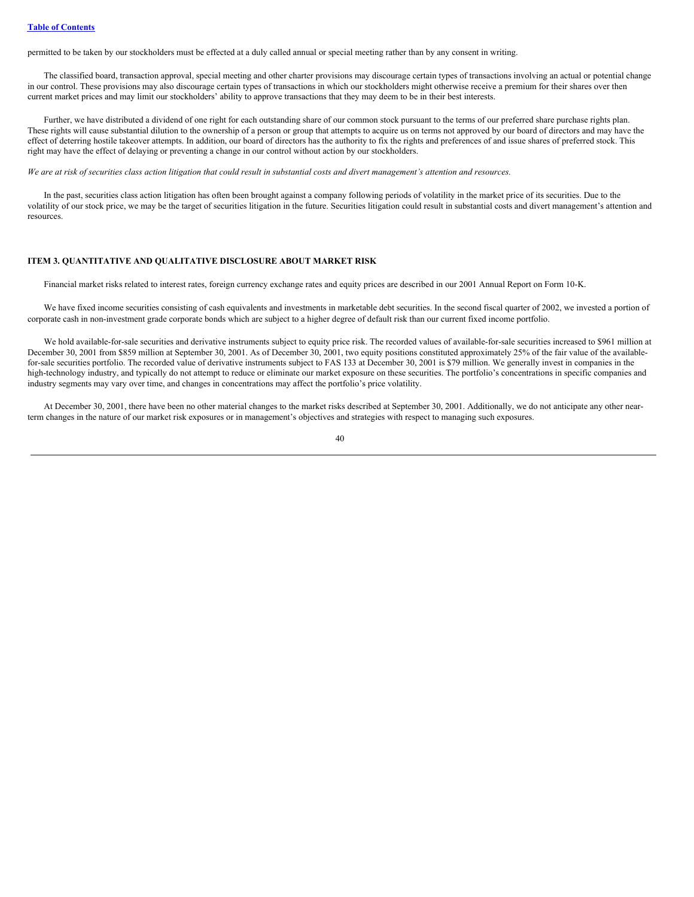permitted to be taken by our stockholders must be effected at a duly called annual or special meeting rather than by any consent in writing.

The classified board, transaction approval, special meeting and other charter provisions may discourage certain types of transactions involving an actual or potential change in our control. These provisions may also discourage certain types of transactions in which our stockholders might otherwise receive a premium for their shares over then current market prices and may limit our stockholders' ability to approve transactions that they may deem to be in their best interests.

Further, we have distributed a dividend of one right for each outstanding share of our common stock pursuant to the terms of our preferred share purchase rights plan. These rights will cause substantial dilution to the ownership of a person or group that attempts to acquire us on terms not approved by our board of directors and may have the effect of deterring hostile takeover attempts. In addition, our board of directors has the authority to fix the rights and preferences of and issue shares of preferred stock. This right may have the effect of delaying or preventing a change in our control without action by our stockholders.

We are at risk of securities class action litigation that could result in substantial costs and divert management's attention and resources.

In the past, securities class action litigation has often been brought against a company following periods of volatility in the market price of its securities. Due to the volatility of our stock price, we may be the target of securities litigation in the future. Securities litigation could result in substantial costs and divert management's attention and resources.

# <span id="page-41-0"></span>**ITEM 3. QUANTITATIVE AND QUALITATIVE DISCLOSURE ABOUT MARKET RISK**

Financial market risks related to interest rates, foreign currency exchange rates and equity prices are described in our 2001 Annual Report on Form 10-K.

We have fixed income securities consisting of cash equivalents and investments in marketable debt securities. In the second fiscal quarter of 2002, we invested a portion of corporate cash in non-investment grade corporate bonds which are subject to a higher degree of default risk than our current fixed income portfolio.

We hold available-for-sale securities and derivative instruments subject to equity price risk. The recorded values of available-for-sale securities increased to \$961 million at December 30, 2001 from \$859 million at September 30, 2001. As of December 30, 2001, two equity positions constituted approximately 25% of the fair value of the availablefor-sale securities portfolio. The recorded value of derivative instruments subject to FAS 133 at December 30, 2001 is \$79 million. We generally invest in companies in the high-technology industry, and typically do not attempt to reduce or eliminate our market exposure on these securities. The portfolio's concentrations in specific companies and industry segments may vary over time, and changes in concentrations may affect the portfolio's price volatility.

At December 30, 2001, there have been no other material changes to the market risks described at September 30, 2001. Additionally, we do not anticipate any other nearterm changes in the nature of our market risk exposures or in management's objectives and strategies with respect to managing such exposures.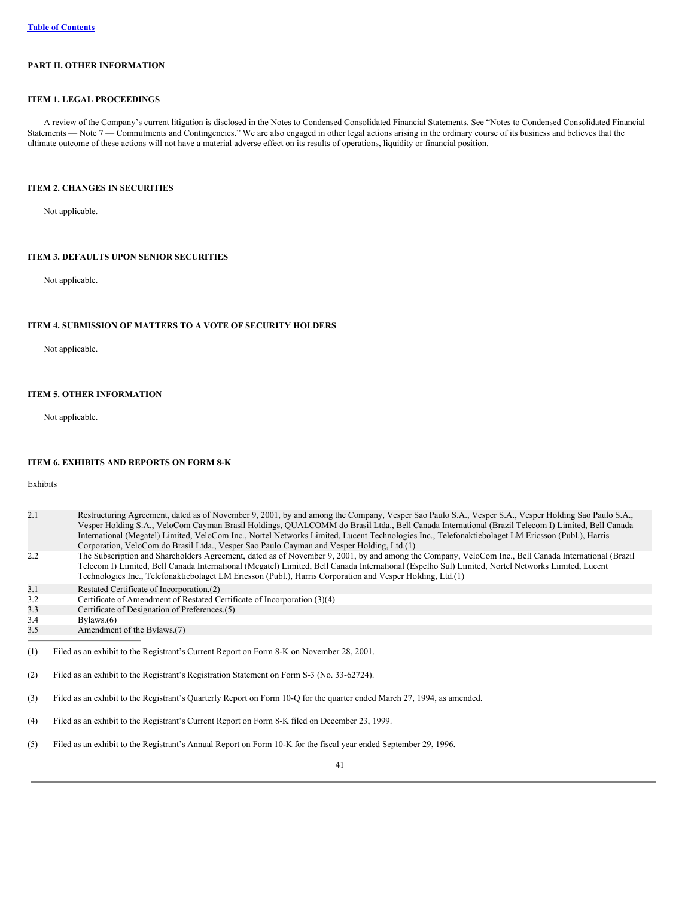# <span id="page-42-1"></span><span id="page-42-0"></span>**PART II. OTHER INFORMATION**

# **ITEM 1. LEGAL PROCEEDINGS**

A review of the Company's current litigation is disclosed in the Notes to Condensed Consolidated Financial Statements. See "Notes to Condensed Consolidated Financial Statements — Note 7 — Commitments and Contingencies." We are also engaged in other legal actions arising in the ordinary course of its business and believes that the ultimate outcome of these actions will not have a material adverse effect on its results of operations, liquidity or financial position.

# <span id="page-42-2"></span>**ITEM 2. CHANGES IN SECURITIES**

Not applicable.

# <span id="page-42-3"></span>**ITEM 3. DEFAULTS UPON SENIOR SECURITIES**

Not applicable.

# <span id="page-42-4"></span>**ITEM 4. SUBMISSION OF MATTERS TO A VOTE OF SECURITY HOLDERS**

Not applicable.

# <span id="page-42-5"></span>**ITEM 5. OTHER INFORMATION**

Not applicable.

# <span id="page-42-6"></span>**ITEM 6. EXHIBITS AND REPORTS ON FORM 8-K**

Exhibits

| 2.1 | Restructuring Agreement, dated as of November 9, 2001, by and among the Company, Vesper Sao Paulo S.A., Vesper S.A., Vesper Holding Sao Paulo S.A.,<br>Vesper Holding S.A., VeloCom Cayman Brasil Holdings, QUALCOMM do Brasil Ltda., Bell Canada International (Brazil Telecom I) Limited, Bell Canada<br>International (Megatel) Limited, VeloCom Inc., Nortel Networks Limited, Lucent Technologies Inc., Telefonaktiebolaget LM Ericsson (Publ.), Harris<br>Corporation, VeloCom do Brasil Ltda., Vesper Sao Paulo Cayman and Vesper Holding, Ltd.(1) |
|-----|-----------------------------------------------------------------------------------------------------------------------------------------------------------------------------------------------------------------------------------------------------------------------------------------------------------------------------------------------------------------------------------------------------------------------------------------------------------------------------------------------------------------------------------------------------------|
| 2.2 | The Subscription and Shareholders Agreement, dated as of November 9, 2001, by and among the Company, VeloCom Inc., Bell Canada International (Brazil<br>Telecom I) Limited, Bell Canada International (Megatel) Limited, Bell Canada International (Espelho Sul) Limited, Nortel Networks Limited, Lucent<br>Technologies Inc., Telefonaktiebolaget LM Ericsson (Publ.), Harris Corporation and Vesper Holding, Ltd. (1)                                                                                                                                  |
| 3.1 | Restated Certificate of Incorporation.(2)                                                                                                                                                                                                                                                                                                                                                                                                                                                                                                                 |
| 3.2 | Certificate of Amendment of Restated Certificate of Incorporation. (3)(4)                                                                                                                                                                                                                                                                                                                                                                                                                                                                                 |
| 3.3 | Certificate of Designation of Preferences. (5)                                                                                                                                                                                                                                                                                                                                                                                                                                                                                                            |
| 3.4 | Bylaws. $(6)$                                                                                                                                                                                                                                                                                                                                                                                                                                                                                                                                             |
| 3.5 | Amendment of the Bylaws.(7)                                                                                                                                                                                                                                                                                                                                                                                                                                                                                                                               |
| (1) | Filed as an exhibit to the Registrant's Current Report on Form 8-K on November 28, 2001.                                                                                                                                                                                                                                                                                                                                                                                                                                                                  |

(2) Filed as an exhibit to the Registrant's Registration Statement on Form S-3 (No. 33-62724).

(3) Filed as an exhibit to the Registrant's Quarterly Report on Form 10-Q for the quarter ended March 27, 1994, as amended.

- (4) Filed as an exhibit to the Registrant's Current Report on Form 8-K filed on December 23, 1999.
- (5) Filed as an exhibit to the Registrant's Annual Report on Form 10-K for the fiscal year ended September 29, 1996.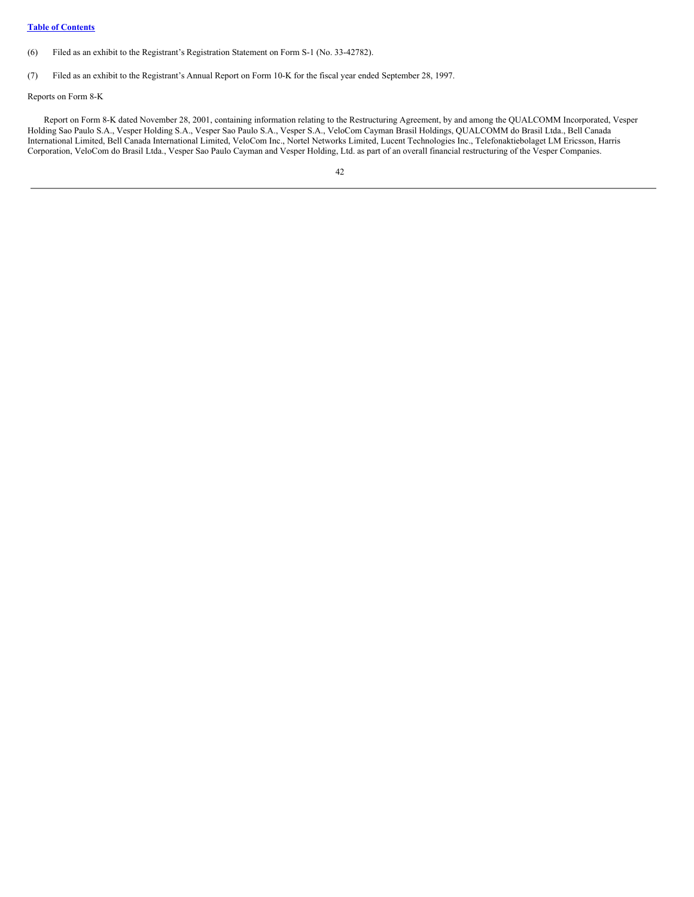**Table of [Contents](#page-0-0)**

(6) Filed as an exhibit to the Registrant's Registration Statement on Form S-1 (No. 33-42782).

(7) Filed as an exhibit to the Registrant's Annual Report on Form 10-K for the fiscal year ended September 28, 1997.

# Reports on Form 8-K

Report on Form 8-K dated November 28, 2001, containing information relating to the Restructuring Agreement, by and among the QUALCOMM Incorporated, Vesper Holding Sao Paulo S.A., Vesper Holding S.A., Vesper Sao Paulo S.A., Vesper S.A., VeloCom Cayman Brasil Holdings, QUALCOMM do Brasil Ltda., Bell Canada International Limited, Bell Canada International Limited, VeloCom Inc., Nortel Networks Limited, Lucent Technologies Inc., Telefonaktiebolaget LM Ericsson, Harris Corporation, VeloCom do Brasil Ltda., Vesper Sao Paulo Cayman and Vesper Holding, Ltd. as part of an overall financial restructuring of the Vesper Companies.